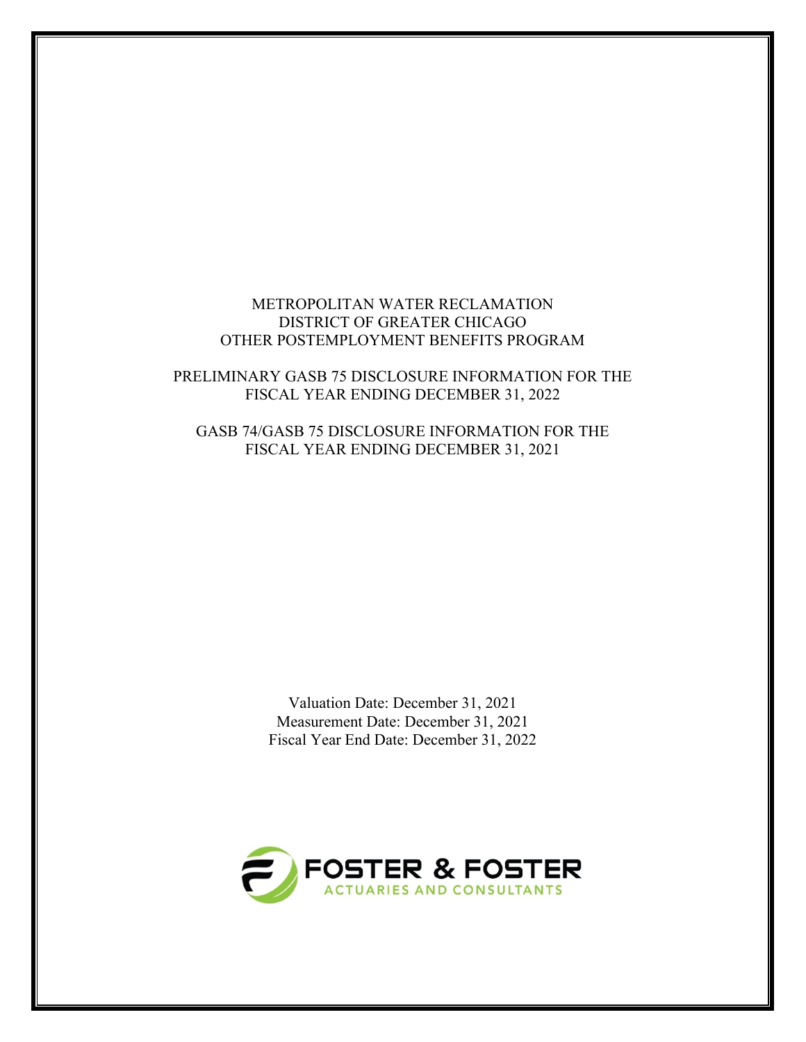## METROPOLITAN WATER RECLAMATION DISTRICT OF GREATER CHICAGO OTHER POSTEMPLOYMENT BENEFITS PROGRAM

## PRELIMINARY GASB 75 DISCLOSURE INFORMATION FOR THE FISCAL YEAR ENDING DECEMBER 31, 2022

# GASB 74/GASB 75 DISCLOSURE INFORMATION FOR THE FISCAL YEAR ENDING DECEMBER 31, 2021

Valuation Date: December 31, 2021 Measurement Date: December 31, 2021 Fiscal Year End Date: December 31, 2022

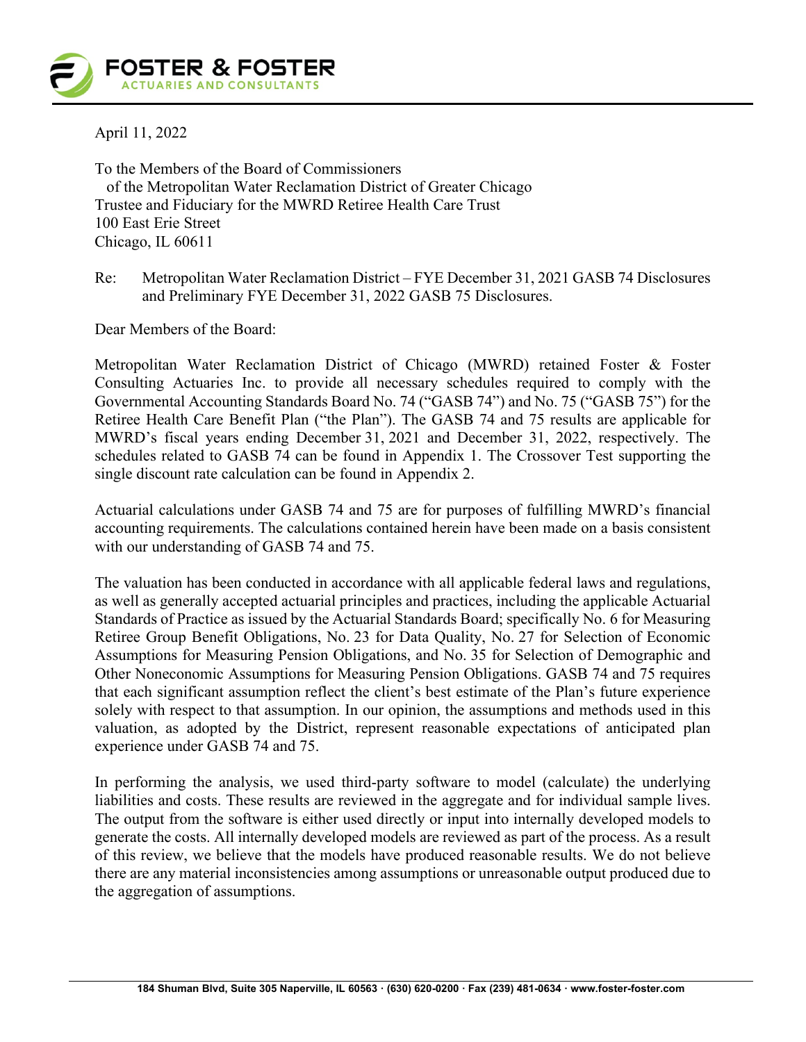April 11, 2022

To the Members of the Board of Commissioners of the Metropolitan Water Reclamation District of Greater Chicago Trustee and Fiduciary for the MWRD Retiree Health Care Trust 100 East Erie Street Chicago, IL 60611

Re: Metropolitan Water Reclamation District – FYE December 31, 2021 GASB 74 Disclosures and Preliminary FYE December 31, 2022 GASB 75 Disclosures.

Dear Members of the Board:

Metropolitan Water Reclamation District of Chicago (MWRD) retained Foster & Foster Consulting Actuaries Inc. to provide all necessary schedules required to comply with the Governmental Accounting Standards Board No. 74 ("GASB 74") and No. 75 ("GASB 75") for the Retiree Health Care Benefit Plan ("the Plan"). The GASB 74 and 75 results are applicable for MWRD's fiscal years ending December 31, 2021 and December 31, 2022, respectively. The schedules related to GASB 74 can be found in Appendix 1. The Crossover Test supporting the single discount rate calculation can be found in Appendix 2.

Actuarial calculations under GASB 74 and 75 are for purposes of fulfilling MWRD's financial accounting requirements. The calculations contained herein have been made on a basis consistent with our understanding of GASB 74 and 75.

The valuation has been conducted in accordance with all applicable federal laws and regulations, as well as generally accepted actuarial principles and practices, including the applicable Actuarial Standards of Practice as issued by the Actuarial Standards Board; specifically No. 6 for Measuring Retiree Group Benefit Obligations, No. 23 for Data Quality, No. 27 for Selection of Economic Assumptions for Measuring Pension Obligations, and No. 35 for Selection of Demographic and Other Noneconomic Assumptions for Measuring Pension Obligations. GASB 74 and 75 requires that each significant assumption reflect the client's best estimate of the Plan's future experience solely with respect to that assumption. In our opinion, the assumptions and methods used in this valuation, as adopted by the District, represent reasonable expectations of anticipated plan experience under GASB 74 and 75.

In performing the analysis, we used third-party software to model (calculate) the underlying liabilities and costs. These results are reviewed in the aggregate and for individual sample lives. The output from the software is either used directly or input into internally developed models to generate the costs. All internally developed models are reviewed as part of the process. As a result of this review, we believe that the models have produced reasonable results. We do not believe there are any material inconsistencies among assumptions or unreasonable output produced due to the aggregation of assumptions.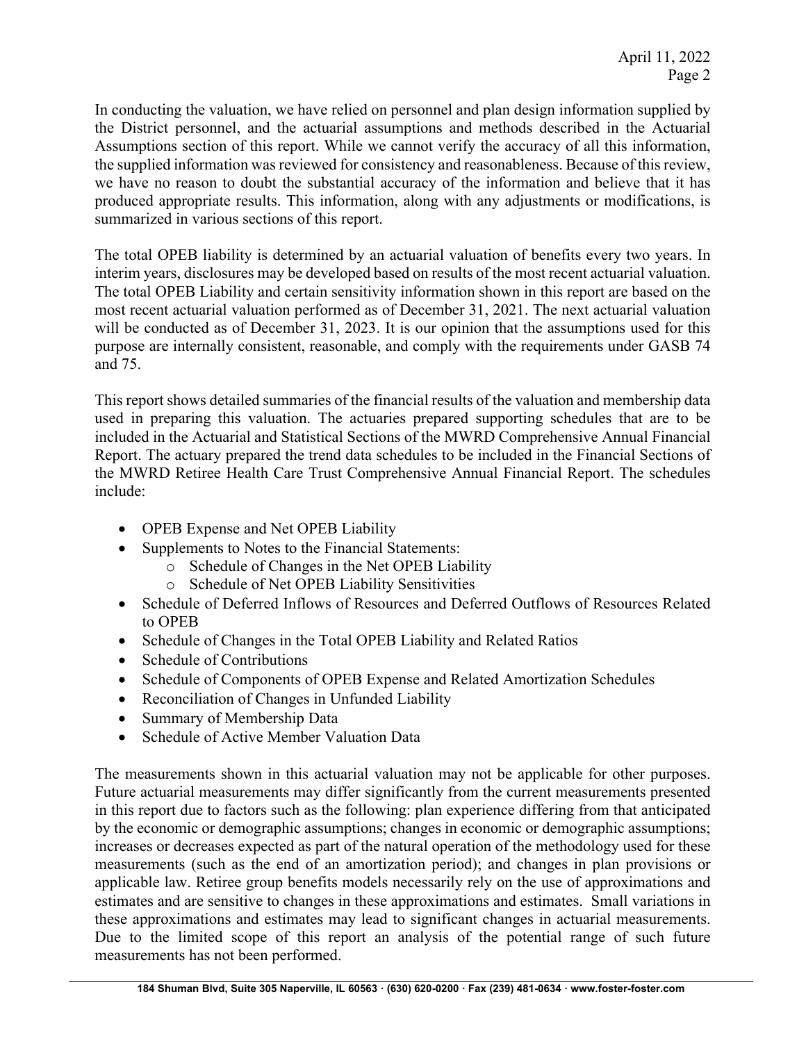In conducting the valuation, we have relied on personnel and plan design information supplied by the District personnel, and the actuarial assumptions and methods described in the Actuarial Assumptions section of this report. While we cannot verify the accuracy of all this information, the supplied information was reviewed for consistency and reasonableness. Because of this review, we have no reason to doubt the substantial accuracy of the information and believe that it has produced appropriate results. This information, along with any adjustments or modifications, is summarized in various sections of this report.

The total OPEB liability is determined by an actuarial valuation of benefits every two years. In interim years, disclosures may be developed based on results of the most recent actuarial valuation. The total OPEB Liability and certain sensitivity information shown in this report are based on the most recent actuarial valuation performed as of December 31, 2021. The next actuarial valuation will be conducted as of December 31, 2023. It is our opinion that the assumptions used for this purpose are internally consistent, reasonable, and comply with the requirements under GASB 74 and 75.

This report shows detailed summaries of the financial results of the valuation and membership data used in preparing this valuation. The actuaries prepared supporting schedules that are to be included in the Actuarial and Statistical Sections of the MWRD Comprehensive Annual Financial Report. The actuary prepared the trend data schedules to be included in the Financial Sections of the MWRD Retiree Health Care Trust Comprehensive Annual Financial Report. The schedules include:

- OPEB Expense and Net OPEB Liability
- Supplements to Notes to the Financial Statements:
	- o Schedule of Changes in the Net OPEB Liability
	- o Schedule of Net OPEB Liability Sensitivities
- Schedule of Deferred Inflows of Resources and Deferred Outflows of Resources Related to OPEB
- Schedule of Changes in the Total OPEB Liability and Related Ratios
- Schedule of Contributions
- Schedule of Components of OPEB Expense and Related Amortization Schedules
- Reconciliation of Changes in Unfunded Liability
- Summary of Membership Data
- Schedule of Active Member Valuation Data

The measurements shown in this actuarial valuation may not be applicable for other purposes. Future actuarial measurements may differ significantly from the current measurements presented in this report due to factors such as the following: plan experience differing from that anticipated by the economic or demographic assumptions; changes in economic or demographic assumptions; increases or decreases expected as part of the natural operation of the methodology used for these measurements (such as the end of an amortization period); and changes in plan provisions or applicable law. Retiree group benefits models necessarily rely on the use of approximations and estimates and are sensitive to changes in these approximations and estimates. Small variations in these approximations and estimates may lead to significant changes in actuarial measurements. Due to the limited scope of this report an analysis of the potential range of such future measurements has not been performed.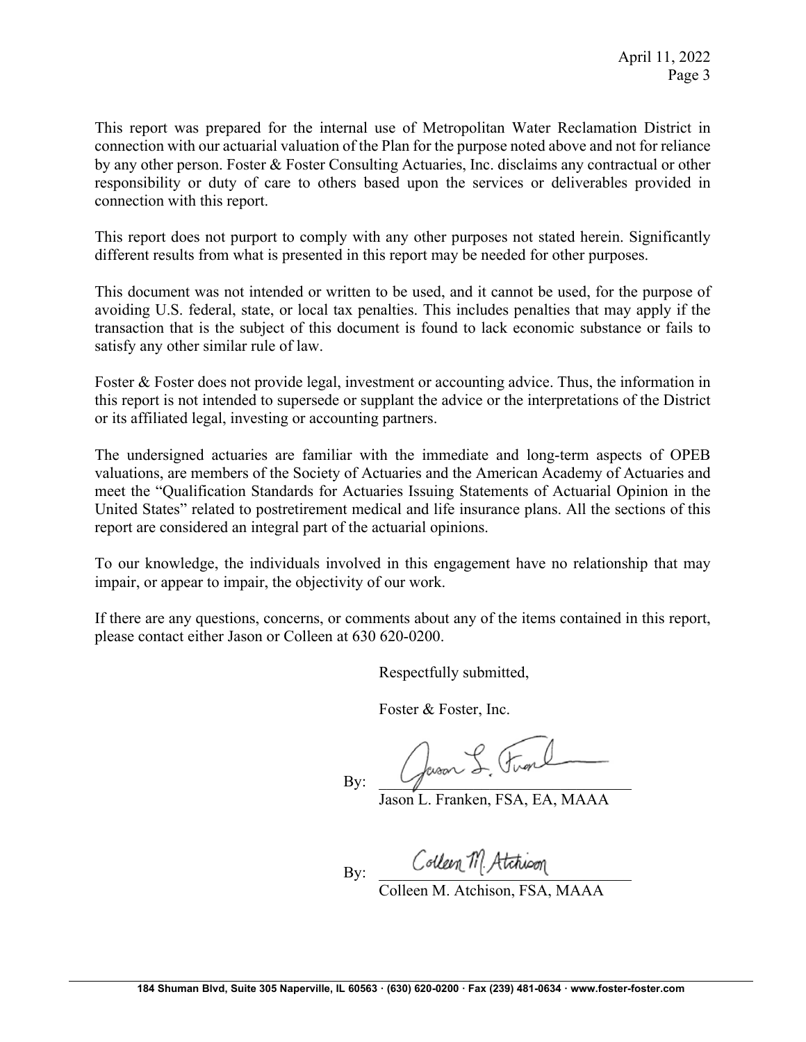This report was prepared for the internal use of Metropolitan Water Reclamation District in connection with our actuarial valuation of the Plan for the purpose noted above and not for reliance by any other person. Foster & Foster Consulting Actuaries, Inc. disclaims any contractual or other responsibility or duty of care to others based upon the services or deliverables provided in connection with this report.

This report does not purport to comply with any other purposes not stated herein. Significantly different results from what is presented in this report may be needed for other purposes.

This document was not intended or written to be used, and it cannot be used, for the purpose of avoiding U.S. federal, state, or local tax penalties. This includes penalties that may apply if the transaction that is the subject of this document is found to lack economic substance or fails to satisfy any other similar rule of law.

Foster & Foster does not provide legal, investment or accounting advice. Thus, the information in this report is not intended to supersede or supplant the advice or the interpretations of the District or its affiliated legal, investing or accounting partners.

The undersigned actuaries are familiar with the immediate and long-term aspects of OPEB valuations, are members of the Society of Actuaries and the American Academy of Actuaries and meet the "Qualification Standards for Actuaries Issuing Statements of Actuarial Opinion in the United States" related to postretirement medical and life insurance plans. All the sections of this report are considered an integral part of the actuarial opinions.

To our knowledge, the individuals involved in this engagement have no relationship that may impair, or appear to impair, the objectivity of our work.

If there are any questions, concerns, or comments about any of the items contained in this report, please contact either Jason or Colleen at 630 620-0200.

Respectfully submitted,

Foster & Foster, Inc.

 $Bv:$  Queen S. Firm

Jason L. Franken, FSA, EA, MAAA

Bv: Colleen M Atchioon

Colleen M. Atchison, FSA, MAAA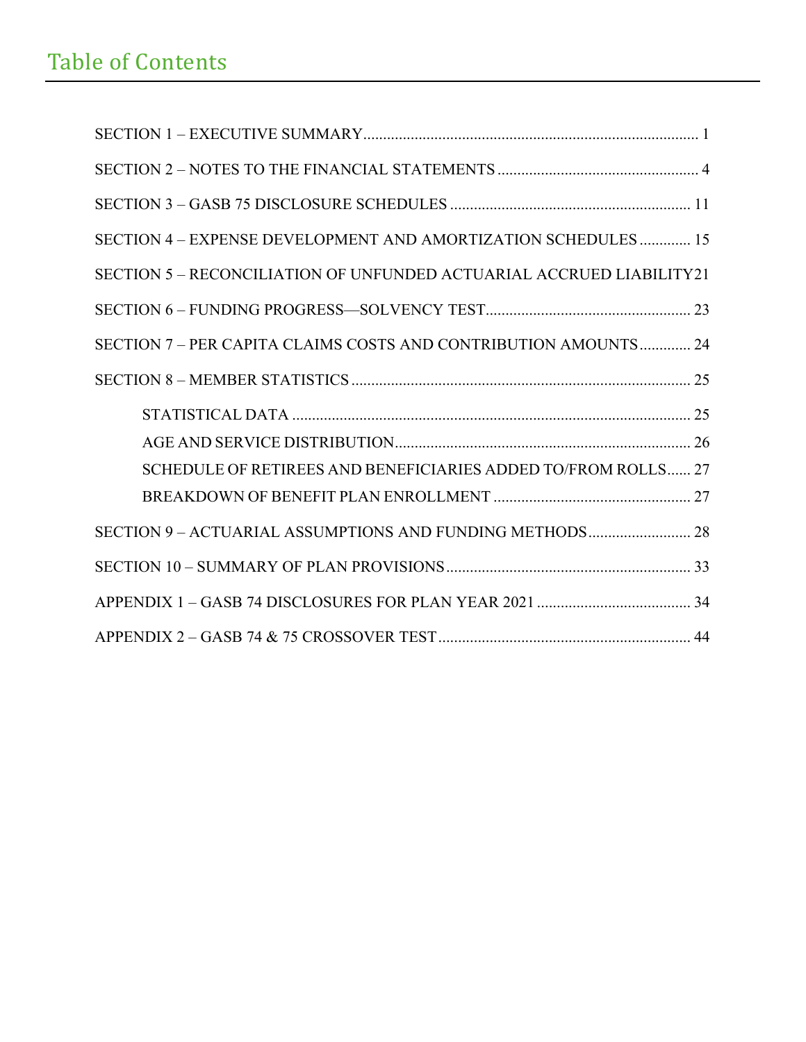# Table of Contents

| SECTION 4 – EXPENSE DEVELOPMENT AND AMORTIZATION SCHEDULES 15        |
|----------------------------------------------------------------------|
| SECTION 5 – RECONCILIATION OF UNFUNDED ACTUARIAL ACCRUED LIABILITY21 |
|                                                                      |
| SECTION 7 – PER CAPITA CLAIMS COSTS AND CONTRIBUTION AMOUNTS 24      |
|                                                                      |
|                                                                      |
| SCHEDULE OF RETIREES AND BENEFICIARIES ADDED TO/FROM ROLLS 27        |
|                                                                      |
|                                                                      |
|                                                                      |
|                                                                      |
|                                                                      |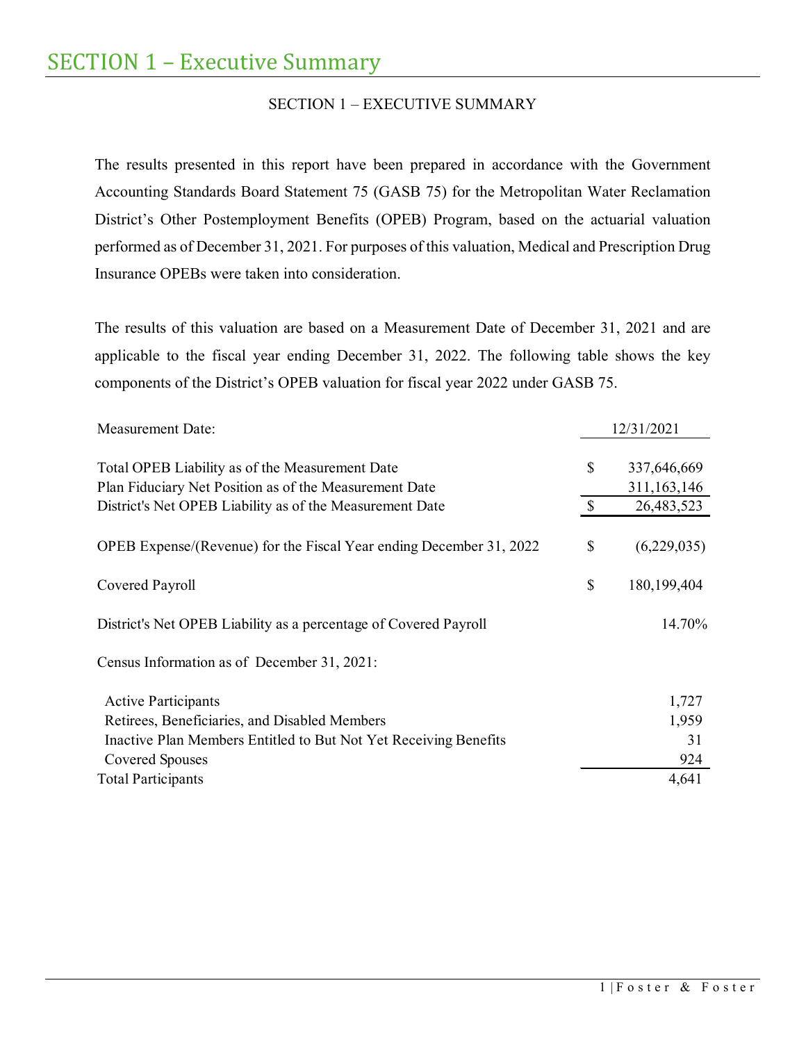# SECTION 1 – EXECUTIVE SUMMARY

<span id="page-5-0"></span>The results presented in this report have been prepared in accordance with the Government Accounting Standards Board Statement 75 (GASB 75) for the Metropolitan Water Reclamation District's Other Postemployment Benefits (OPEB) Program, based on the actuarial valuation performed as of December 31, 2021. For purposes of this valuation, Medical and Prescription Drug Insurance OPEBs were taken into consideration.

The results of this valuation are based on a Measurement Date of December 31, 2021 and are applicable to the fiscal year ending December 31, 2022. The following table shows the key components of the District's OPEB valuation for fiscal year 2022 under GASB 75.

| <b>Measurement Date:</b>                                                                                  |              | 12/31/2021                   |
|-----------------------------------------------------------------------------------------------------------|--------------|------------------------------|
| Total OPEB Liability as of the Measurement Date<br>Plan Fiduciary Net Position as of the Measurement Date | \$           | 337,646,669<br>311, 163, 146 |
| District's Net OPEB Liability as of the Measurement Date                                                  | $\mathbb{S}$ | 26,483,523                   |
| OPEB Expense/(Revenue) for the Fiscal Year ending December 31, 2022                                       | \$           | (6,229,035)                  |
| Covered Payroll                                                                                           | \$           | 180,199,404                  |
| District's Net OPEB Liability as a percentage of Covered Payroll                                          |              | 14.70%                       |
| Census Information as of December 31, 2021:                                                               |              |                              |
| <b>Active Participants</b>                                                                                |              | 1,727                        |
| Retirees, Beneficiaries, and Disabled Members                                                             |              | 1,959                        |
| Inactive Plan Members Entitled to But Not Yet Receiving Benefits                                          |              | 31                           |
| Covered Spouses                                                                                           |              | 924                          |
| <b>Total Participants</b>                                                                                 |              | 4,641                        |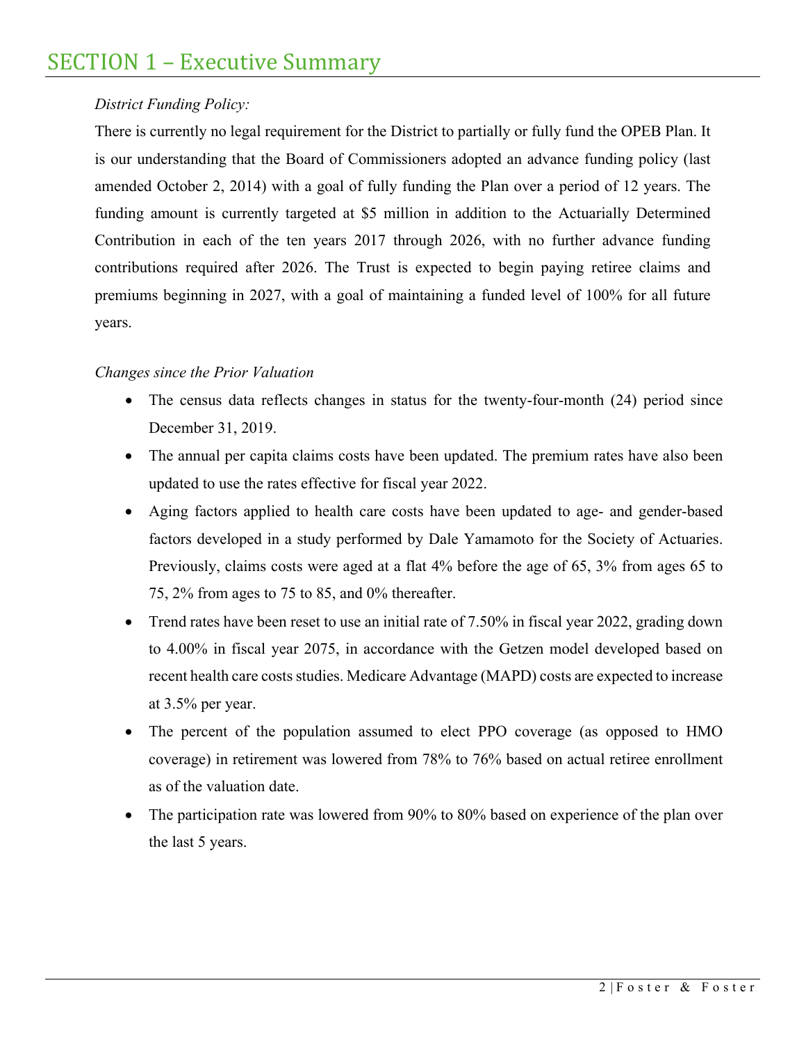# SECTION 1 – Executive Summary

# *District Funding Policy:*

There is currently no legal requirement for the District to partially or fully fund the OPEB Plan. It is our understanding that the Board of Commissioners adopted an advance funding policy (last amended October 2, 2014) with a goal of fully funding the Plan over a period of 12 years. The funding amount is currently targeted at \$5 million in addition to the Actuarially Determined Contribution in each of the ten years 2017 through 2026, with no further advance funding contributions required after 2026. The Trust is expected to begin paying retiree claims and premiums beginning in 2027, with a goal of maintaining a funded level of 100% for all future years.

# *Changes since the Prior Valuation*

- The census data reflects changes in status for the twenty-four-month (24) period since December 31, 2019.
- The annual per capita claims costs have been updated. The premium rates have also been updated to use the rates effective for fiscal year 2022.
- Aging factors applied to health care costs have been updated to age- and gender-based factors developed in a study performed by Dale Yamamoto for the Society of Actuaries. Previously, claims costs were aged at a flat 4% before the age of 65, 3% from ages 65 to 75, 2% from ages to 75 to 85, and 0% thereafter.
- Trend rates have been reset to use an initial rate of 7.50% in fiscal year 2022, grading down to 4.00% in fiscal year 2075, in accordance with the Getzen model developed based on recent health care costs studies. Medicare Advantage (MAPD) costs are expected to increase at 3.5% per year.
- The percent of the population assumed to elect PPO coverage (as opposed to HMO coverage) in retirement was lowered from 78% to 76% based on actual retiree enrollment as of the valuation date.
- The participation rate was lowered from 90% to 80% based on experience of the plan over the last 5 years.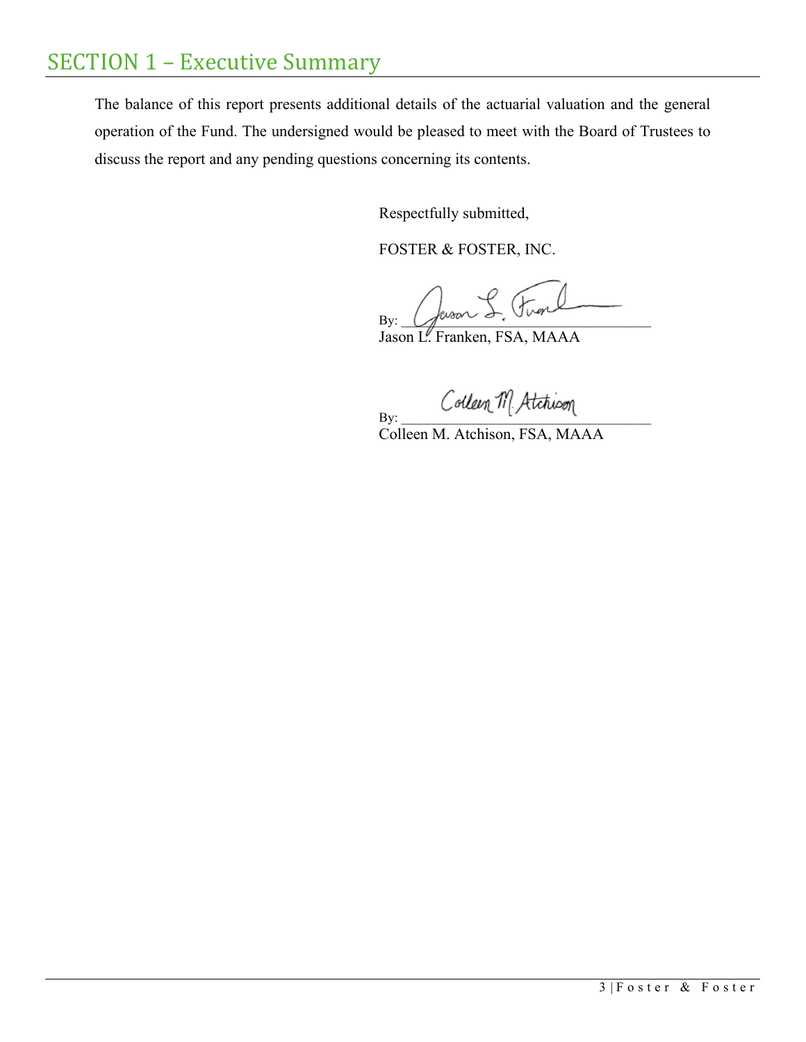# SECTION 1 – Executive Summary

The balance of this report presents additional details of the actuarial valuation and the general operation of the Fund. The undersigned would be pleased to meet with the Board of Trustees to discuss the report and any pending questions concerning its contents.

Respectfully submitted,

FOSTER & FOSTER, INC.

By:  $\mathcal{L}$  weak  $\circ$   $\circ$   $\circ$   $\circ$ 

Jason L. Franken, FSA, MAAA

By: Colleen M. Atchioon

Colleen M. Atchison, FSA, MAAA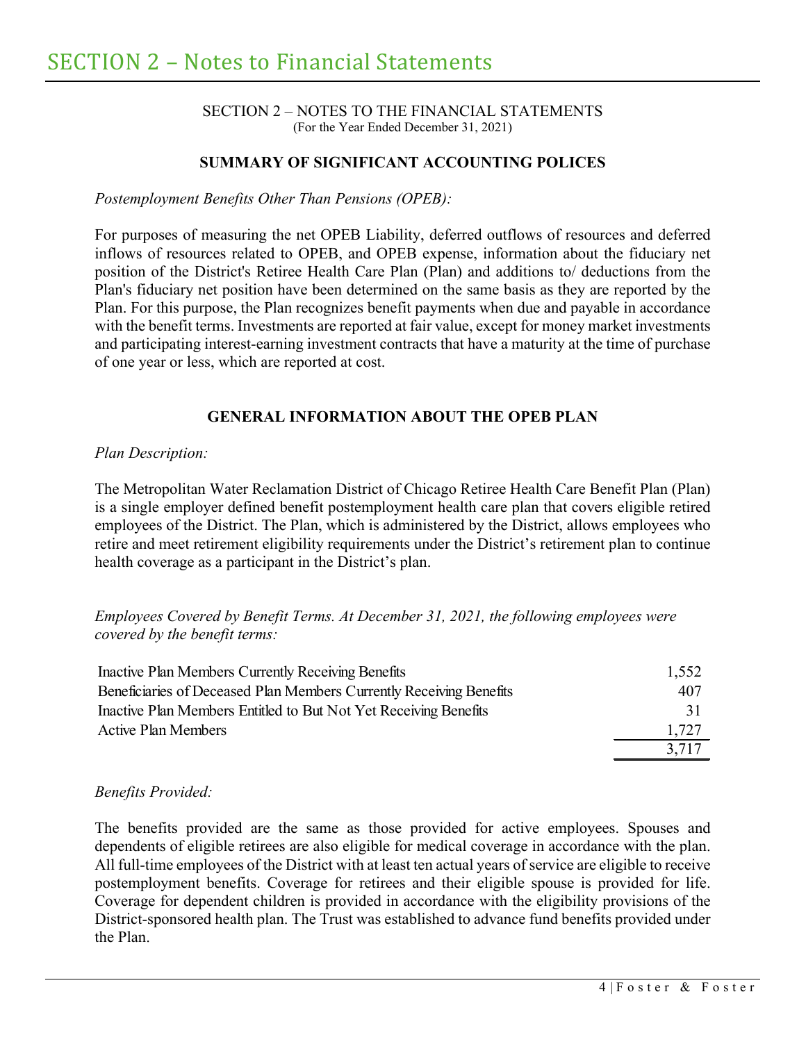#### SECTION 2 – NOTES TO THE FINANCIAL STATEMENTS (For the Year Ended December 31, 2021)

## **SUMMARY OF SIGNIFICANT ACCOUNTING POLICES**

<span id="page-8-0"></span>*Postemployment Benefits Other Than Pensions (OPEB):*

For purposes of measuring the net OPEB Liability, deferred outflows of resources and deferred inflows of resources related to OPEB, and OPEB expense, information about the fiduciary net position of the District's Retiree Health Care Plan (Plan) and additions to/ deductions from the Plan's fiduciary net position have been determined on the same basis as they are reported by the Plan. For this purpose, the Plan recognizes benefit payments when due and payable in accordance with the benefit terms. Investments are reported at fair value, except for money market investments and participating interest-earning investment contracts that have a maturity at the time of purchase of one year or less, which are reported at cost.

## **GENERAL INFORMATION ABOUT THE OPEB PLAN**

#### *Plan Description:*

The Metropolitan Water Reclamation District of Chicago Retiree Health Care Benefit Plan (Plan) is a single employer defined benefit postemployment health care plan that covers eligible retired employees of the District. The Plan, which is administered by the District, allows employees who retire and meet retirement eligibility requirements under the District's retirement plan to continue health coverage as a participant in the District's plan.

*Employees Covered by Benefit Terms. At December 31, 2021, the following employees were covered by the benefit terms:*

| Inactive Plan Members Currently Receiving Benefits                  | 1,552 |
|---------------------------------------------------------------------|-------|
| Beneficiaries of Deceased Plan Members Currently Receiving Benefits | 407   |
| Inactive Plan Members Entitled to But Not Yet Receiving Benefits    | 31    |
| <b>Active Plan Members</b>                                          | 1,727 |
|                                                                     | 3.717 |

#### *Benefits Provided:*

The benefits provided are the same as those provided for active employees. Spouses and dependents of eligible retirees are also eligible for medical coverage in accordance with the plan. All full-time employees of the District with at least ten actual years of service are eligible to receive postemployment benefits. Coverage for retirees and their eligible spouse is provided for life. Coverage for dependent children is provided in accordance with the eligibility provisions of the District-sponsored health plan. The Trust was established to advance fund benefits provided under the Plan.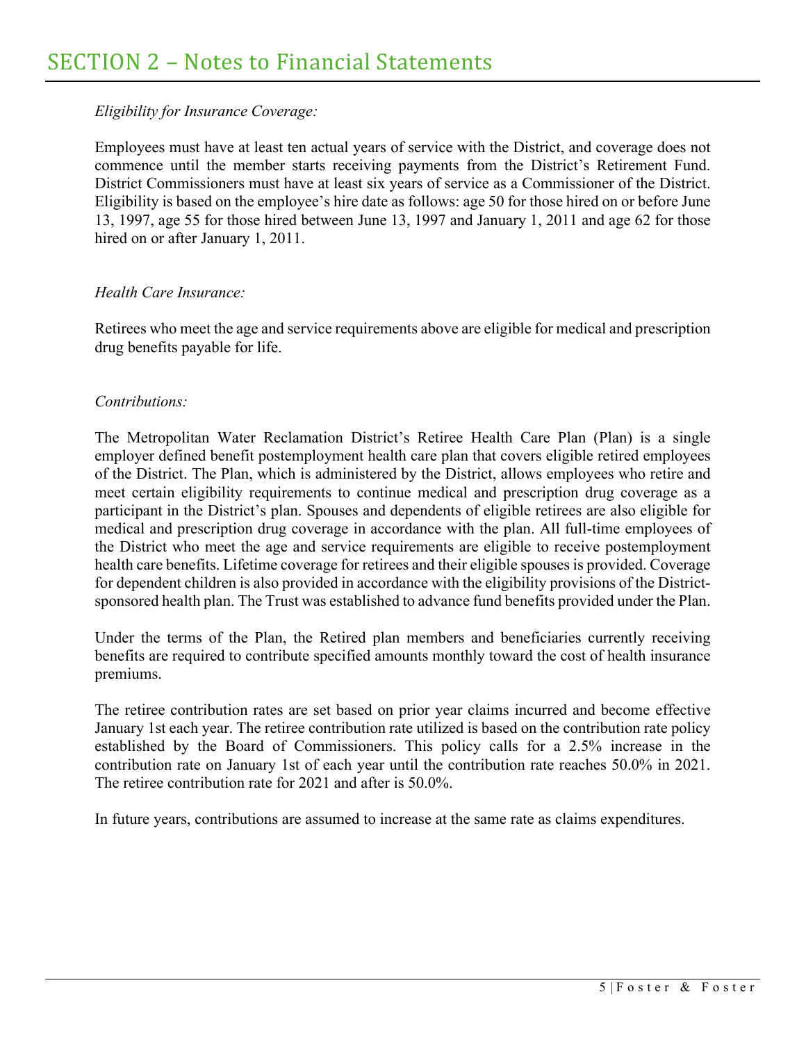## *Eligibility for Insurance Coverage:*

Employees must have at least ten actual years of service with the District, and coverage does not commence until the member starts receiving payments from the District's Retirement Fund. District Commissioners must have at least six years of service as a Commissioner of the District. Eligibility is based on the employee's hire date as follows: age 50 for those hired on or before June 13, 1997, age 55 for those hired between June 13, 1997 and January 1, 2011 and age 62 for those hired on or after January 1, 2011.

## *Health Care Insurance:*

Retirees who meet the age and service requirements above are eligible for medical and prescription drug benefits payable for life.

## *Contributions:*

The Metropolitan Water Reclamation District's Retiree Health Care Plan (Plan) is a single employer defined benefit postemployment health care plan that covers eligible retired employees of the District. The Plan, which is administered by the District, allows employees who retire and meet certain eligibility requirements to continue medical and prescription drug coverage as a participant in the District's plan. Spouses and dependents of eligible retirees are also eligible for medical and prescription drug coverage in accordance with the plan. All full-time employees of the District who meet the age and service requirements are eligible to receive postemployment health care benefits. Lifetime coverage for retirees and their eligible spouses is provided. Coverage for dependent children is also provided in accordance with the eligibility provisions of the Districtsponsored health plan. The Trust was established to advance fund benefits provided under the Plan.

Under the terms of the Plan, the Retired plan members and beneficiaries currently receiving benefits are required to contribute specified amounts monthly toward the cost of health insurance premiums.

The retiree contribution rates are set based on prior year claims incurred and become effective January 1st each year. The retiree contribution rate utilized is based on the contribution rate policy established by the Board of Commissioners. This policy calls for a 2.5% increase in the contribution rate on January 1st of each year until the contribution rate reaches 50.0% in 2021. The retiree contribution rate for 2021 and after is 50.0%.

In future years, contributions are assumed to increase at the same rate as claims expenditures.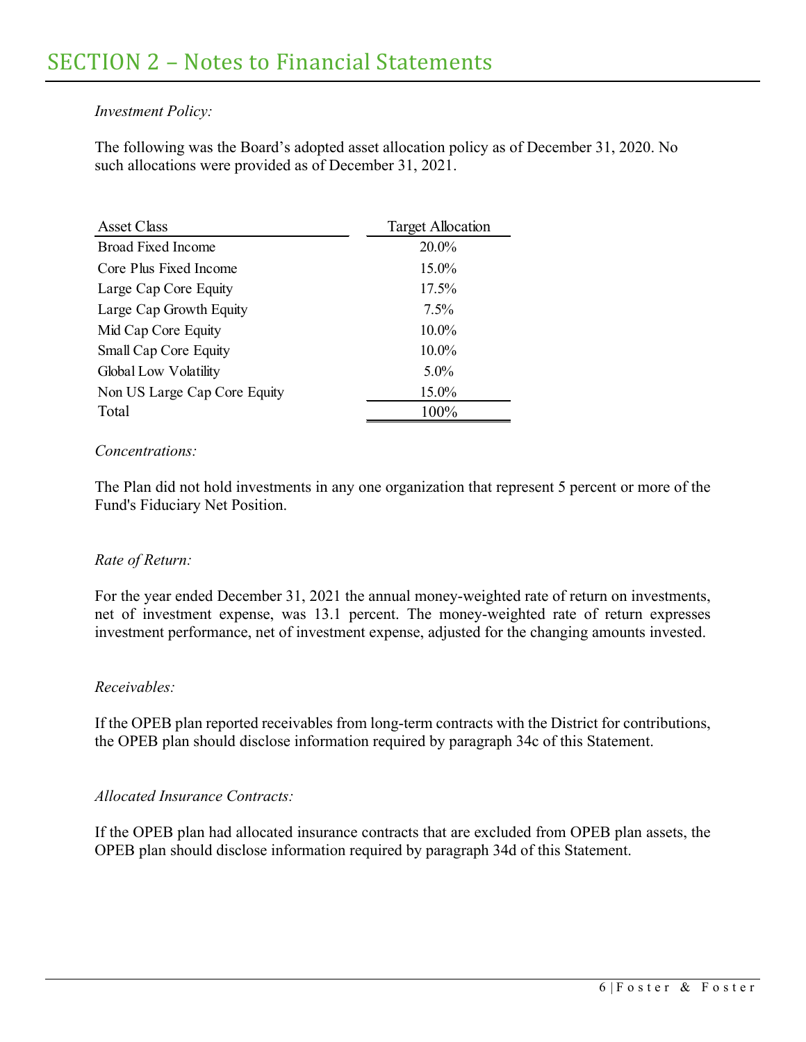## *Investment Policy:*

The following was the Board's adopted asset allocation policy as of December 31, 2020. No such allocations were provided as of December 31, 2021.

| <b>Asset Class</b>           | <b>Target Allocation</b> |
|------------------------------|--------------------------|
| <b>Broad Fixed Income</b>    | 20.0%                    |
| Core Plus Fixed Income       | 15.0%                    |
| Large Cap Core Equity        | 17.5%                    |
| Large Cap Growth Equity      | $7.5\%$                  |
| Mid Cap Core Equity          | $10.0\%$                 |
| Small Cap Core Equity        | 10.0%                    |
| Global Low Volatility        | $5.0\%$                  |
| Non US Large Cap Core Equity | 15.0%                    |
| Total                        | 100%                     |

## *Concentrations:*

The Plan did not hold investments in any one organization that represent 5 percent or more of the Fund's Fiduciary Net Position.

## *Rate of Return:*

For the year ended December 31, 2021 the annual money-weighted rate of return on investments, net of investment expense, was 13.1 percent. The money-weighted rate of return expresses investment performance, net of investment expense, adjusted for the changing amounts invested.

## *Receivables:*

If the OPEB plan reported receivables from long-term contracts with the District for contributions, the OPEB plan should disclose information required by paragraph 34c of this Statement.

## *Allocated Insurance Contracts:*

If the OPEB plan had allocated insurance contracts that are excluded from OPEB plan assets, the OPEB plan should disclose information required by paragraph 34d of this Statement.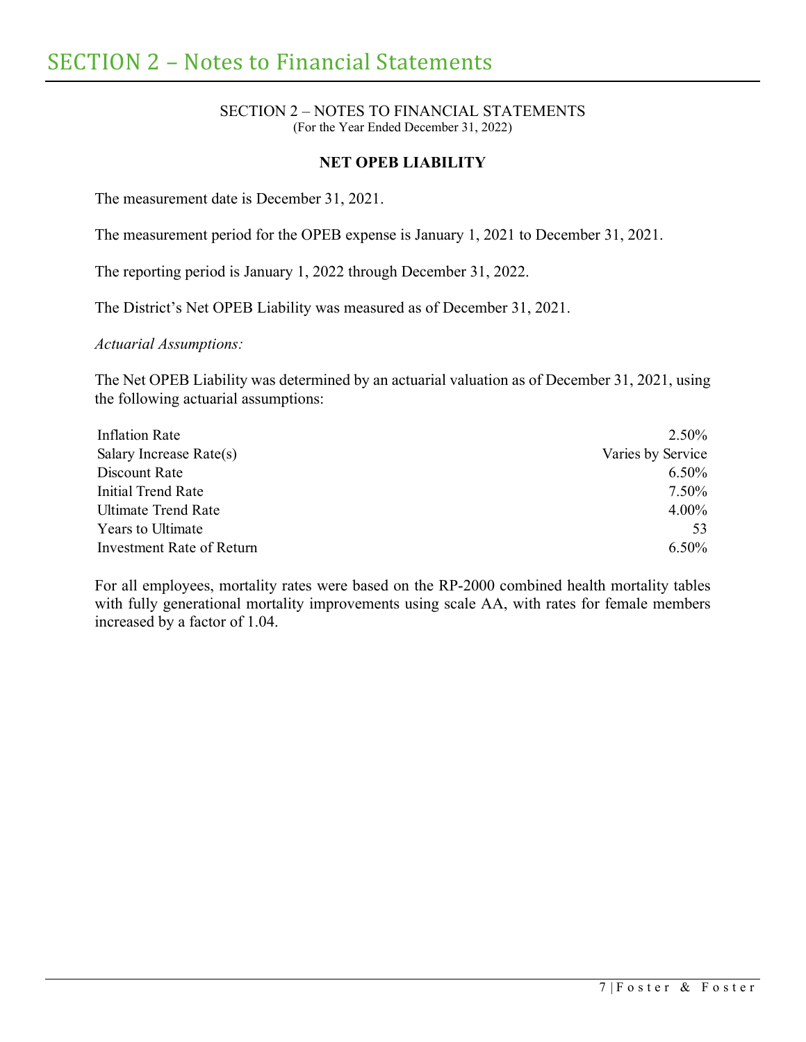#### SECTION 2 – NOTES TO FINANCIAL STATEMENTS (For the Year Ended December 31, 2022)

### **NET OPEB LIABILITY**

The measurement date is December 31, 2021.

The measurement period for the OPEB expense is January 1, 2021 to December 31, 2021.

The reporting period is January 1, 2022 through December 31, 2022.

The District's Net OPEB Liability was measured as of December 31, 2021.

*Actuarial Assumptions:*

The Net OPEB Liability was determined by an actuarial valuation as of December 31, 2021, using the following actuarial assumptions:

| Inflation Rate            | 2.50%             |
|---------------------------|-------------------|
| Salary Increase Rate(s)   | Varies by Service |
| Discount Rate             | $6.50\%$          |
| Initial Trend Rate        | 7.50%             |
| Ultimate Trend Rate       | $4.00\%$          |
| <b>Years to Ultimate</b>  | 53                |
| Investment Rate of Return | $6.50\%$          |

For all employees, mortality rates were based on the RP-2000 combined health mortality tables with fully generational mortality improvements using scale AA, with rates for female members increased by a factor of 1.04.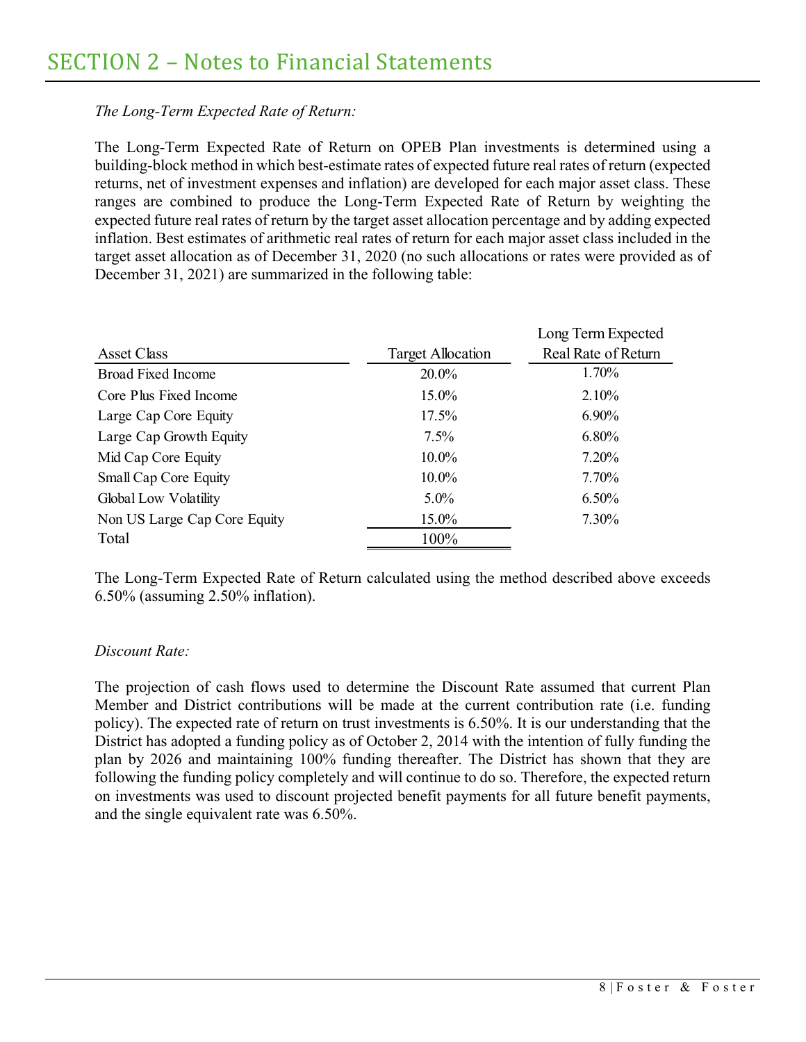## *The Long-Term Expected Rate of Return:*

The Long-Term Expected Rate of Return on OPEB Plan investments is determined using a building-block method in which best-estimate rates of expected future real rates of return (expected returns, net of investment expenses and inflation) are developed for each major asset class. These ranges are combined to produce the Long-Term Expected Rate of Return by weighting the expected future real rates of return by the target asset allocation percentage and by adding expected inflation. Best estimates of arithmetic real rates of return for each major asset class included in the target asset allocation as of December 31, 2020 (no such allocations or rates were provided as of December 31, 2021) are summarized in the following table:

|                              |                          | Long Term Expected  |
|------------------------------|--------------------------|---------------------|
| Asset Class                  | <b>Target Allocation</b> | Real Rate of Return |
| <b>Broad Fixed Income</b>    | 20.0%                    | 1.70%               |
| Core Plus Fixed Income       | 15.0%                    | 2.10%               |
| Large Cap Core Equity        | 17.5%                    | $6.90\%$            |
| Large Cap Growth Equity      | 7.5%                     | 6.80%               |
| Mid Cap Core Equity          | 10.0%                    | $7.20\%$            |
| Small Cap Core Equity        | $10.0\%$                 | 7.70%               |
| Global Low Volatility        | $5.0\%$                  | $6.50\%$            |
| Non US Large Cap Core Equity | 15.0%                    | 7.30%               |
| Total                        | 100%                     |                     |

The Long-Term Expected Rate of Return calculated using the method described above exceeds 6.50% (assuming 2.50% inflation).

## *Discount Rate:*

The projection of cash flows used to determine the Discount Rate assumed that current Plan Member and District contributions will be made at the current contribution rate (i.e. funding policy). The expected rate of return on trust investments is 6.50%. It is our understanding that the District has adopted a funding policy as of October 2, 2014 with the intention of fully funding the plan by 2026 and maintaining 100% funding thereafter. The District has shown that they are following the funding policy completely and will continue to do so. Therefore, the expected return on investments was used to discount projected benefit payments for all future benefit payments, and the single equivalent rate was 6.50%.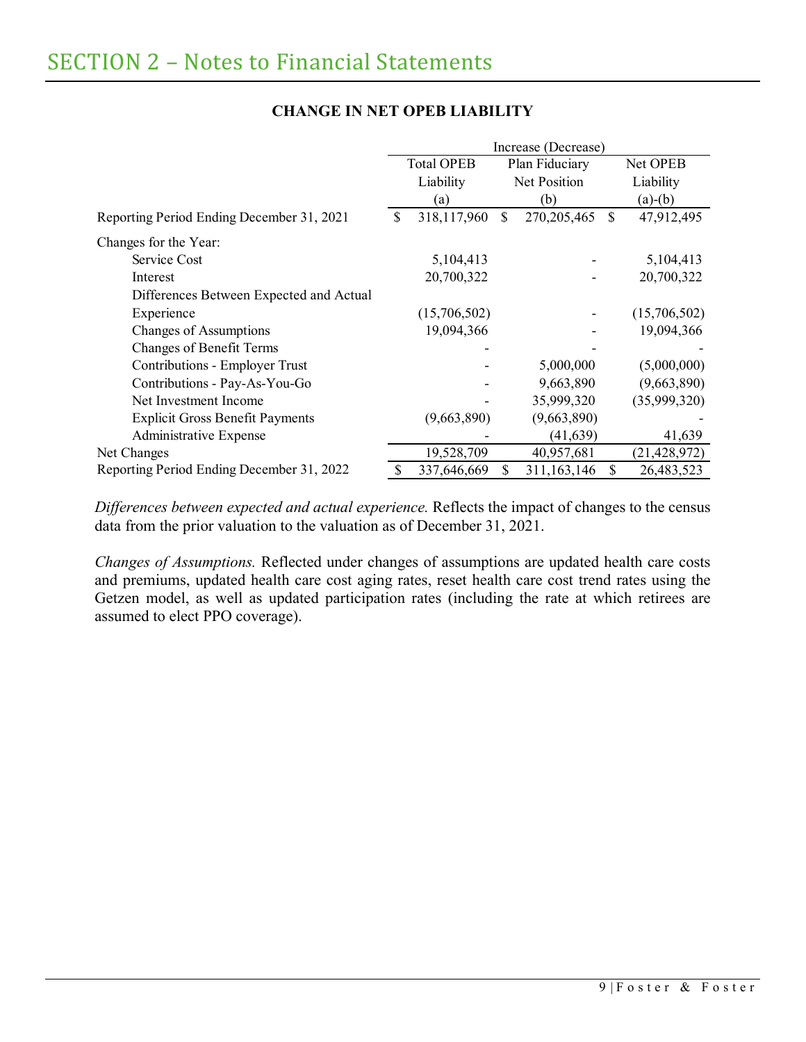|                                           | Increase (Decrease)                 |              |              |               |               |                |
|-------------------------------------------|-------------------------------------|--------------|--------------|---------------|---------------|----------------|
|                                           | Plan Fiduciary<br><b>Total OPEB</b> |              |              |               | Net OPEB      |                |
|                                           | Liability                           |              | Net Position |               |               | Liability      |
|                                           |                                     | (a)          |              | (b)           |               | $(a)-(b)$      |
| Reporting Period Ending December 31, 2021 | \$                                  | 318,117,960  | \$           | 270, 205, 465 | <sup>\$</sup> | 47,912,495     |
| Changes for the Year:                     |                                     |              |              |               |               |                |
| Service Cost                              |                                     | 5,104,413    |              |               |               | 5,104,413      |
| Interest                                  |                                     | 20,700,322   |              |               |               | 20,700,322     |
| Differences Between Expected and Actual   |                                     |              |              |               |               |                |
| Experience                                |                                     | (15,706,502) |              |               |               | (15,706,502)   |
| <b>Changes of Assumptions</b>             |                                     | 19,094,366   |              |               |               | 19,094,366     |
| <b>Changes of Benefit Terms</b>           |                                     |              |              |               |               |                |
| Contributions - Employer Trust            |                                     |              |              | 5,000,000     |               | (5,000,000)    |
| Contributions - Pay-As-You-Go             |                                     |              |              | 9,663,890     |               | (9,663,890)    |
| Net Investment Income                     |                                     |              |              | 35,999,320    |               | (35,999,320)   |
| <b>Explicit Gross Benefit Payments</b>    |                                     | (9,663,890)  |              | (9,663,890)   |               |                |
| Administrative Expense                    |                                     |              |              | (41, 639)     |               | 41,639         |
| Net Changes                               |                                     | 19,528,709   |              | 40,957,681    |               | (21, 428, 972) |
| Reporting Period Ending December 31, 2022 |                                     | 337,646,669  | \$.          | 311, 163, 146 | <sup>\$</sup> | 26,483,523     |

# **CHANGE IN NET OPEB LIABILITY**

*Differences between expected and actual experience.* Reflects the impact of changes to the census data from the prior valuation to the valuation as of December 31, 2021.

*Changes of Assumptions.* Reflected under changes of assumptions are updated health care costs and premiums, updated health care cost aging rates, reset health care cost trend rates using the Getzen model, as well as updated participation rates (including the rate at which retirees are assumed to elect PPO coverage).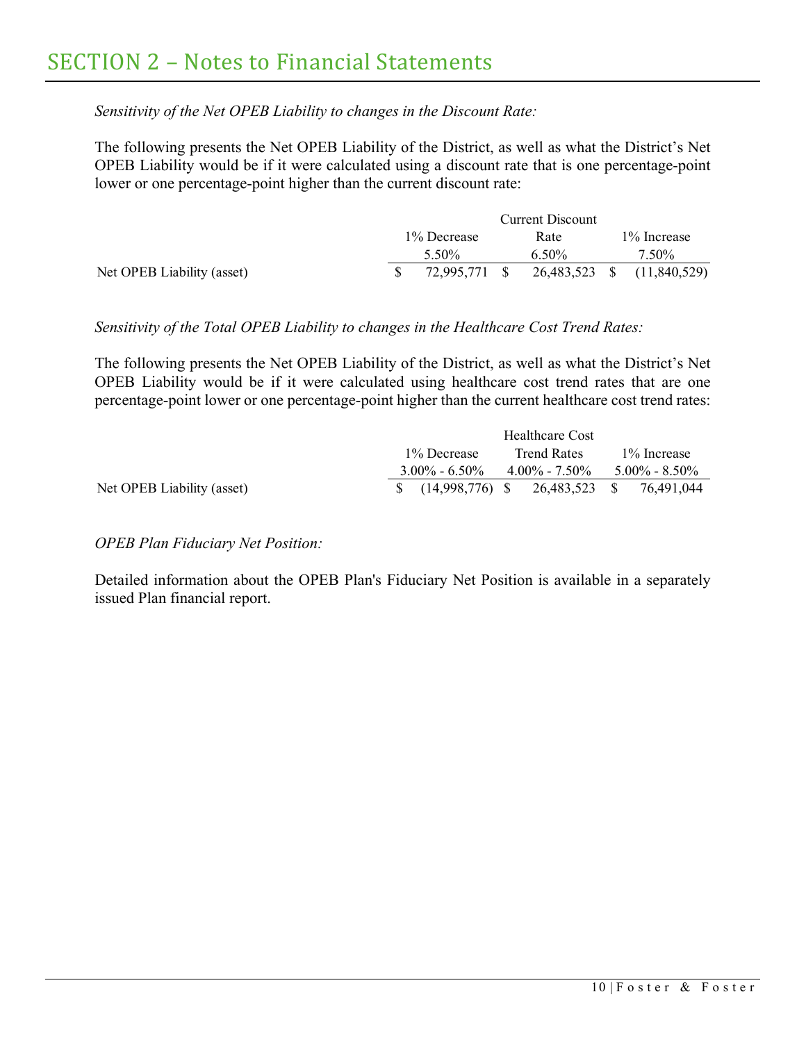*Sensitivity of the Net OPEB Liability to changes in the Discount Rate:*

The following presents the Net OPEB Liability of the District, as well as what the District's Net OPEB Liability would be if it were calculated using a discount rate that is one percentage-point lower or one percentage-point higher than the current discount rate:

|                            |             | Current Discount |  |          |  |                                          |
|----------------------------|-------------|------------------|--|----------|--|------------------------------------------|
|                            | 1% Decrease |                  |  | Rate     |  | 1\% Increase                             |
|                            |             | 5.50%            |  | $6.50\%$ |  | 7.50%                                    |
| Net OPEB Liability (asset) |             |                  |  |          |  | 72,995,771 \$ 26,483,523 \$ (11,840,529) |

## *Sensitivity of the Total OPEB Liability to changes in the Healthcare Cost Trend Rates:*

The following presents the Net OPEB Liability of the District, as well as what the District's Net OPEB Liability would be if it were calculated using healthcare cost trend rates that are one percentage-point lower or one percentage-point higher than the current healthcare cost trend rates:

|                            |                                             | Healthcare Cost   |                   |
|----------------------------|---------------------------------------------|-------------------|-------------------|
|                            | 1\% Decrease                                | Trend Rates       | 1\% Increase      |
|                            | $3.00\% - 6.50\%$                           | $4.00\% - 7.50\%$ | $5.00\% - 8.50\%$ |
| Net OPEB Liability (asset) | $\frac{1}{2}$ (14,998,776) \$ 26,483,523 \$ |                   | 76.491.044        |

*OPEB Plan Fiduciary Net Position:*

Detailed information about the OPEB Plan's Fiduciary Net Position is available in a separately issued Plan financial report.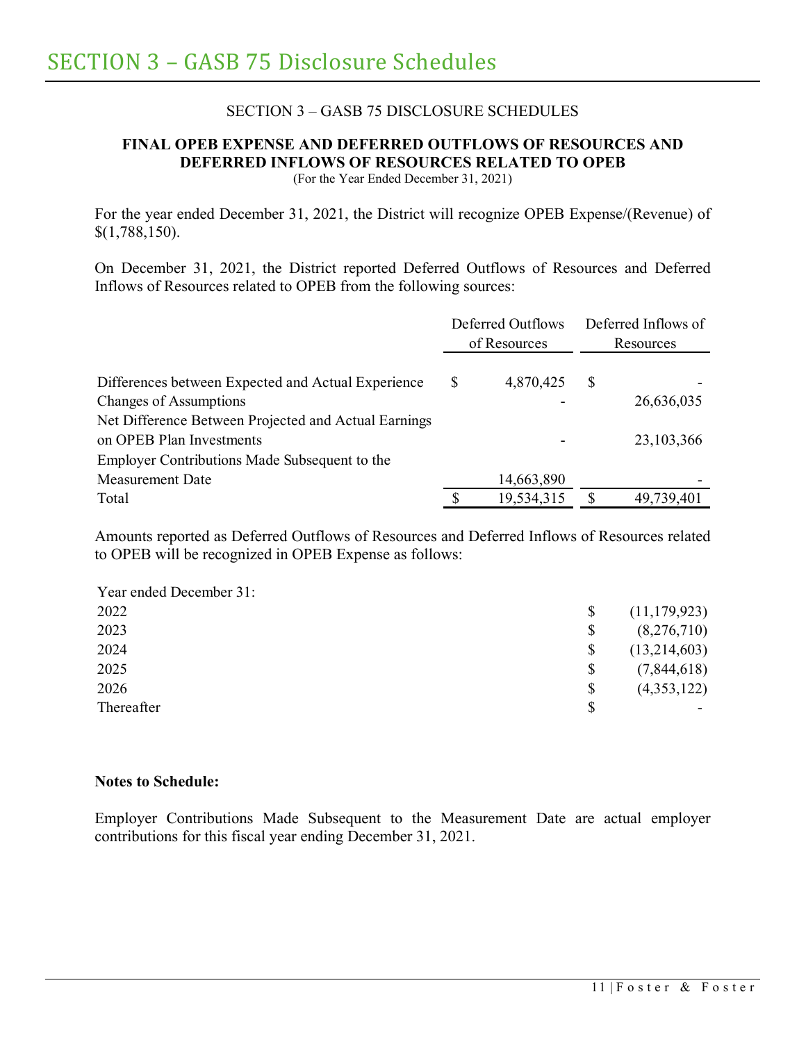## SECTION 3 – GASB 75 DISCLOSURE SCHEDULES

# <span id="page-15-0"></span>**FINAL OPEB EXPENSE AND DEFERRED OUTFLOWS OF RESOURCES AND DEFERRED INFLOWS OF RESOURCES RELATED TO OPEB**

(For the Year Ended December 31, 2021)

For the year ended December 31, 2021, the District will recognize OPEB Expense/(Revenue) of \$(1,788,150).

On December 31, 2021, the District reported Deferred Outflows of Resources and Deferred Inflows of Resources related to OPEB from the following sources:

|                                                      | Deferred Outflows<br>of Resources |            | Deferred Inflows of<br>Resources |              |
|------------------------------------------------------|-----------------------------------|------------|----------------------------------|--------------|
| Differences between Expected and Actual Experience   | \$                                | 4,870,425  | S                                |              |
| <b>Changes of Assumptions</b>                        |                                   |            |                                  | 26,636,035   |
| Net Difference Between Projected and Actual Earnings |                                   |            |                                  |              |
| on OPEB Plan Investments                             |                                   |            |                                  | 23, 103, 366 |
| Employer Contributions Made Subsequent to the        |                                   |            |                                  |              |
| <b>Measurement Date</b>                              |                                   | 14,663,890 |                                  |              |
| Total                                                |                                   | 19,534,315 | S                                | 49,739,401   |

Amounts reported as Deferred Outflows of Resources and Deferred Inflows of Resources related to OPEB will be recognized in OPEB Expense as follows:

| Year ended December 31: |                      |
|-------------------------|----------------------|
| 2022                    | \$<br>(11, 179, 923) |
| 2023                    | \$<br>(8,276,710)    |
| 2024                    | \$<br>(13,214,603)   |
| 2025                    | \$<br>(7,844,618)    |
| 2026                    | \$<br>(4,353,122)    |
| Thereafter              | \$                   |

### **Notes to Schedule:**

Employer Contributions Made Subsequent to the Measurement Date are actual employer contributions for this fiscal year ending December 31, 2021.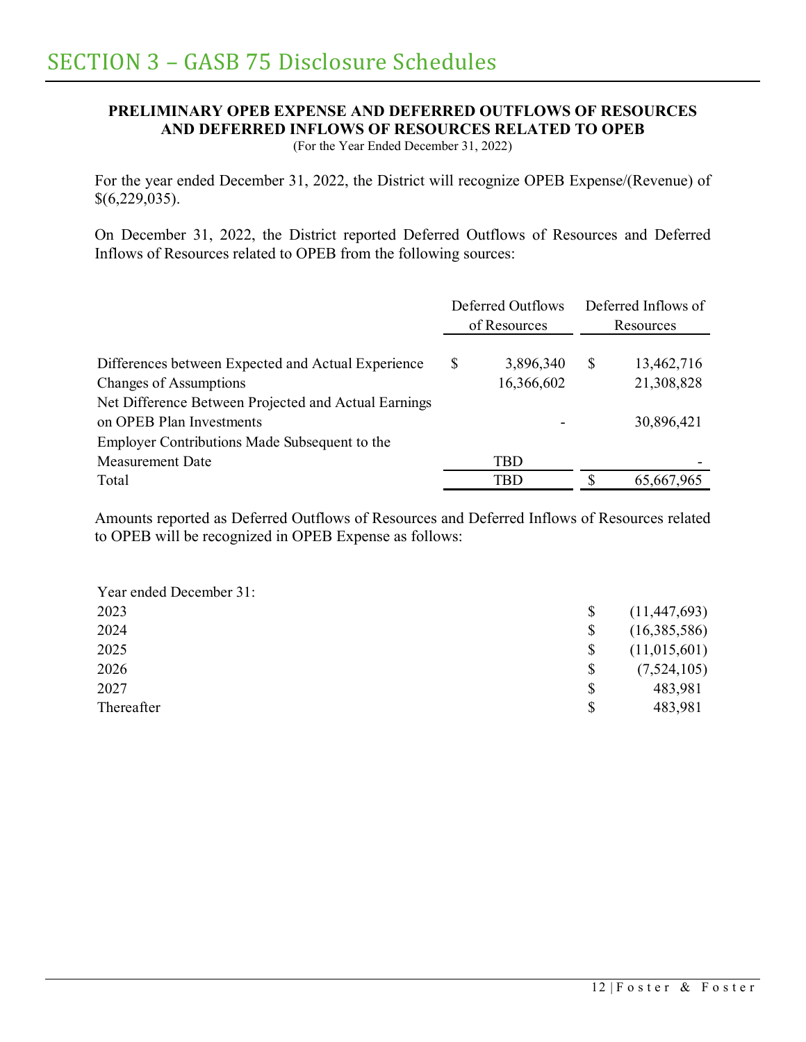# **PRELIMINARY OPEB EXPENSE AND DEFERRED OUTFLOWS OF RESOURCES AND DEFERRED INFLOWS OF RESOURCES RELATED TO OPEB**

(For the Year Ended December 31, 2022)

For the year ended December 31, 2022, the District will recognize OPEB Expense/(Revenue) of \$(6,229,035).

On December 31, 2022, the District reported Deferred Outflows of Resources and Deferred Inflows of Resources related to OPEB from the following sources:

|                                                      | Deferred Outflows<br>of Resources |            | Deferred Inflows of<br>Resources |
|------------------------------------------------------|-----------------------------------|------------|----------------------------------|
| Differences between Expected and Actual Experience   | S                                 | 3,896,340  | \$<br>13,462,716                 |
| <b>Changes of Assumptions</b>                        |                                   | 16,366,602 | 21,308,828                       |
| Net Difference Between Projected and Actual Earnings |                                   |            |                                  |
| on OPEB Plan Investments                             |                                   |            | 30,896,421                       |
| Employer Contributions Made Subsequent to the        |                                   |            |                                  |
| <b>Measurement Date</b>                              |                                   | <b>TBD</b> |                                  |
| Total                                                |                                   | TBD        | \$<br>65,667,965                 |

Amounts reported as Deferred Outflows of Resources and Deferred Inflows of Resources related to OPEB will be recognized in OPEB Expense as follows:

| Year ended December 31: |               |                |
|-------------------------|---------------|----------------|
| 2023                    | <sup>\$</sup> | (11, 447, 693) |
| 2024                    | \$            | (16,385,586)   |
| 2025                    | \$            | (11,015,601)   |
| 2026                    | \$            | (7,524,105)    |
| 2027                    | \$            | 483,981        |
| Thereafter              | \$            | 483,981        |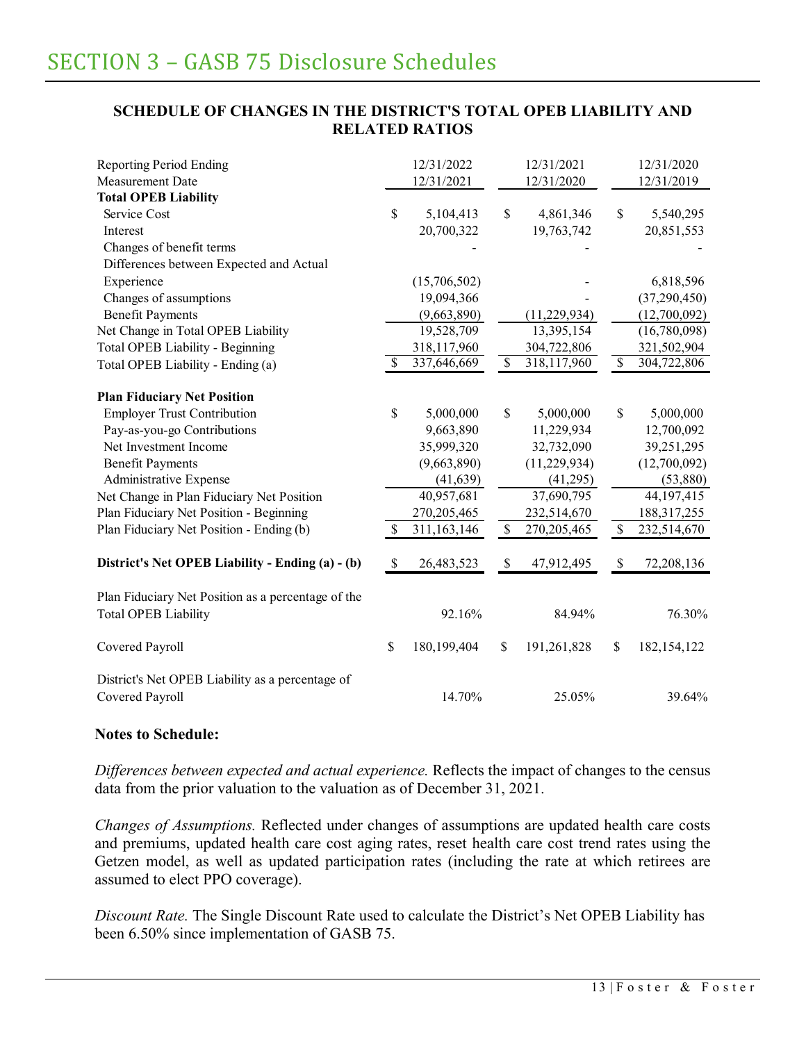## **SCHEDULE OF CHANGES IN THE DISTRICT'S TOTAL OPEB LIABILITY AND RELATED RATIOS**

| <b>Reporting Period Ending</b>                     |              | 12/31/2022   |                          | 12/31/2021     |                          | 12/31/2020     |
|----------------------------------------------------|--------------|--------------|--------------------------|----------------|--------------------------|----------------|
| <b>Measurement Date</b>                            |              | 12/31/2021   |                          | 12/31/2020     |                          | 12/31/2019     |
| <b>Total OPEB Liability</b>                        |              |              |                          |                |                          |                |
| Service Cost                                       | $\mathbb{S}$ | 5,104,413    | \$                       | 4,861,346      | \$                       | 5,540,295      |
| Interest                                           |              | 20,700,322   |                          | 19,763,742     |                          | 20,851,553     |
| Changes of benefit terms                           |              |              |                          |                |                          |                |
| Differences between Expected and Actual            |              |              |                          |                |                          |                |
| Experience                                         |              | (15,706,502) |                          |                |                          | 6,818,596      |
| Changes of assumptions                             |              | 19,094,366   |                          |                |                          | (37, 290, 450) |
| <b>Benefit Payments</b>                            |              | (9,663,890)  |                          | (11, 229, 934) |                          | (12,700,092)   |
| Net Change in Total OPEB Liability                 |              | 19,528,709   |                          | 13,395,154     |                          | (16,780,098)   |
| Total OPEB Liability - Beginning                   |              | 318,117,960  |                          | 304,722,806    |                          | 321,502,904    |
| Total OPEB Liability - Ending (a)                  | S            | 337,646,669  | $\overline{\mathcal{S}}$ | 318,117,960    | $\overline{\mathcal{S}}$ | 304,722,806    |
|                                                    |              |              |                          |                |                          |                |
| <b>Plan Fiduciary Net Position</b>                 |              |              |                          |                |                          |                |
| <b>Employer Trust Contribution</b>                 | $\mathbb{S}$ | 5,000,000    | $\mathbb{S}$             | 5,000,000      | \$                       | 5,000,000      |
| Pay-as-you-go Contributions                        |              | 9,663,890    |                          | 11,229,934     |                          | 12,700,092     |
| Net Investment Income                              |              | 35,999,320   |                          | 32,732,090     |                          | 39,251,295     |
| <b>Benefit Payments</b>                            |              | (9,663,890)  |                          | (11, 229, 934) |                          | (12,700,092)   |
| Administrative Expense                             |              | (41, 639)    |                          | (41,295)       |                          | (53,880)       |
| Net Change in Plan Fiduciary Net Position          |              | 40,957,681   |                          | 37,690,795     |                          | 44,197,415     |
| Plan Fiduciary Net Position - Beginning            |              | 270,205,465  |                          | 232,514,670    |                          | 188, 317, 255  |
| Plan Fiduciary Net Position - Ending (b)           | \$           | 311,163,146  | $\mathcal{S}$            | 270, 205, 465  | $\mathcal{S}$            | 232,514,670    |
|                                                    |              |              |                          |                |                          |                |
| District's Net OPEB Liability - Ending (a) - (b)   | \$           | 26,483,523   | \$                       | 47,912,495     | \$                       | 72,208,136     |
| Plan Fiduciary Net Position as a percentage of the |              |              |                          |                |                          |                |
| <b>Total OPEB Liability</b>                        |              | 92.16%       |                          | 84.94%         |                          | 76.30%         |
|                                                    |              |              |                          |                |                          |                |
| Covered Payroll                                    | \$           | 180,199,404  | \$                       | 191,261,828    | \$                       | 182, 154, 122  |
|                                                    |              |              |                          |                |                          |                |
| District's Net OPEB Liability as a percentage of   |              |              |                          |                |                          |                |
| Covered Payroll                                    |              | 14.70%       |                          | 25.05%         |                          | 39.64%         |

## **Notes to Schedule:**

*Differences between expected and actual experience.* Reflects the impact of changes to the census data from the prior valuation to the valuation as of December 31, 2021.

*Changes of Assumptions.* Reflected under changes of assumptions are updated health care costs and premiums, updated health care cost aging rates, reset health care cost trend rates using the Getzen model, as well as updated participation rates (including the rate at which retirees are assumed to elect PPO coverage).

*Discount Rate.* The Single Discount Rate used to calculate the District's Net OPEB Liability has been 6.50% since implementation of GASB 75.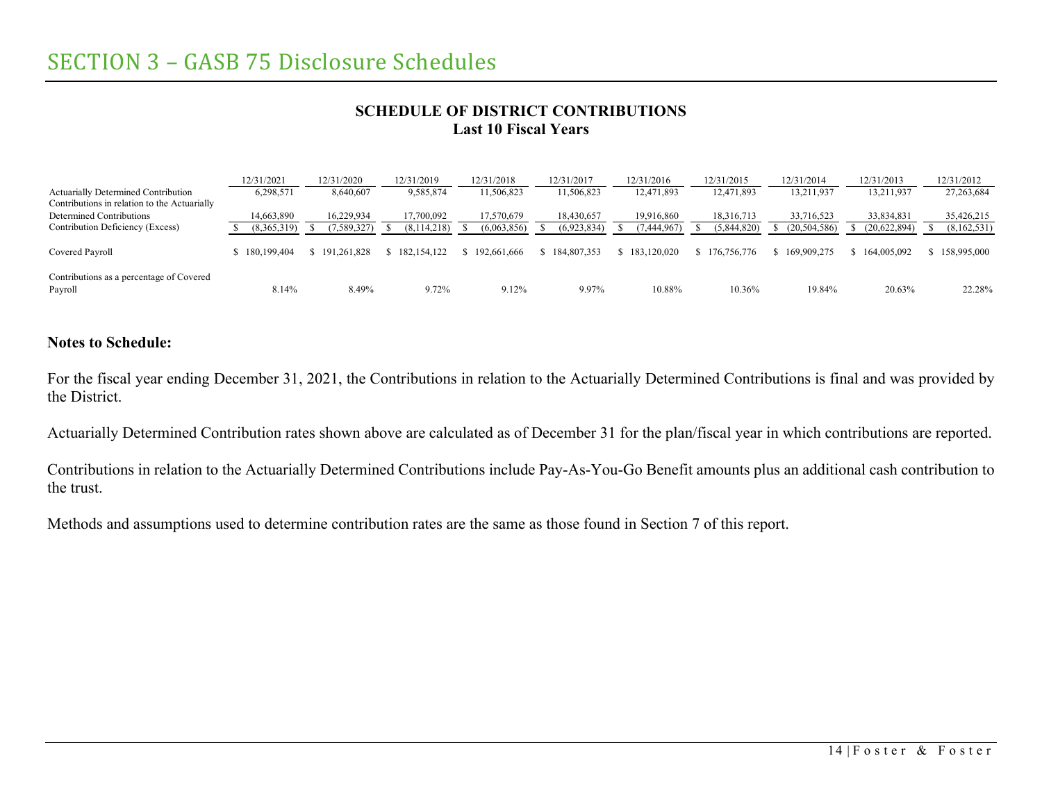## **SCHEDULE OF DISTRICT CONTRIBUTIONS Last 10 Fiscal Years**

|                                                                                            | 12/31/2021    | 12/31/2020  | 12/31/2019    | 12/31/2018  | 12/31/2017  | 12/31/2016    | 12/31/2015  | 12/31/2014  | 12/31/2013   | 12/31/2012    |
|--------------------------------------------------------------------------------------------|---------------|-------------|---------------|-------------|-------------|---------------|-------------|-------------|--------------|---------------|
| <b>Actuarially Determined Contribution</b><br>Contributions in relation to the Actuarially | 6,298,571     | 8,640,607   | 9,585,874     | 11,506,823  | 11,506,823  | 12,471,893    | 12,471,893  | 13,211,937  | 13,211,937   | 27, 263, 684  |
| Determined Contributions                                                                   | 14,663,890    | 16.229.934  | 17,700,092    | 17,570,679  | 18,430,657  | 19.916.860    | 18,316,713  | 33,716,523  | 33,834,831   | 35,426,215    |
| Contribution Deficiency (Excess)                                                           | (8,365,319)   | 7,589,327)  | (8,114,218)   | (6,063,856) | (6,923,834) | (7,444,967)   | (5,844,820) | 20,504,586) | (20,622,894) | (8,162,531)   |
| Covered Payroll                                                                            | \$180,199,404 | 191.261.828 | 182, 154, 122 | 192,661,666 | 184,807,353 | \$183,120,020 | 176,756,776 | 169,909,275 | 164,005,092  | \$158,995,000 |
| Contributions as a percentage of Covered<br>Payroll                                        | 8.14%         | 8.49%       | 9.72%         | 9.12%       | 9.97%       | 10.88%        | 10.36%      | 19.84%      | 20.63%       | 22.28%        |

## **Notes to Schedule:**

For the fiscal year ending December 31, 2021, the Contributions in relation to the Actuarially Determined Contributions is final and was provided by the District.

Actuarially Determined Contribution rates shown above are calculated as of December 31 for the plan/fiscal year in which contributions are reported.

Contributions in relation to the Actuarially Determined Contributions include Pay-As-You-Go Benefit amounts plus an additional cash contribution to the trust.

Methods and assumptions used to determine contribution rates are the same as those found in Section 7 of this report.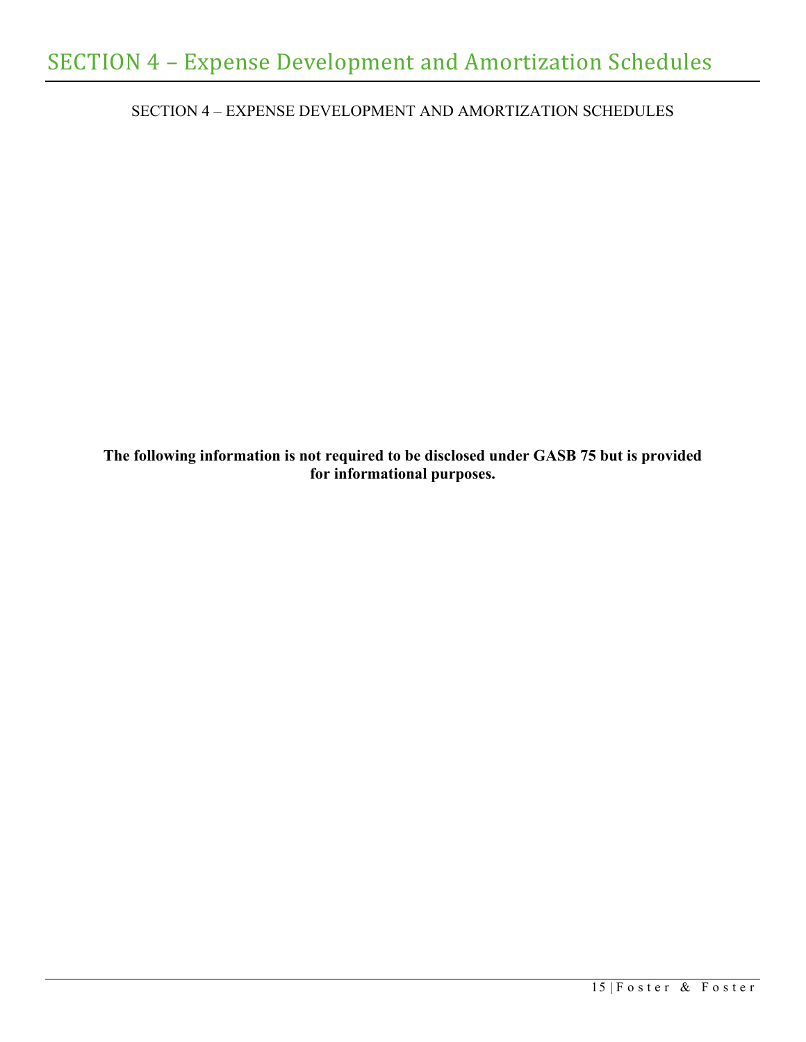<span id="page-19-0"></span>SECTION 4 – EXPENSE DEVELOPMENT AND AMORTIZATION SCHEDULES

**The following information is not required to be disclosed under GASB 75 but is provided for informational purposes.**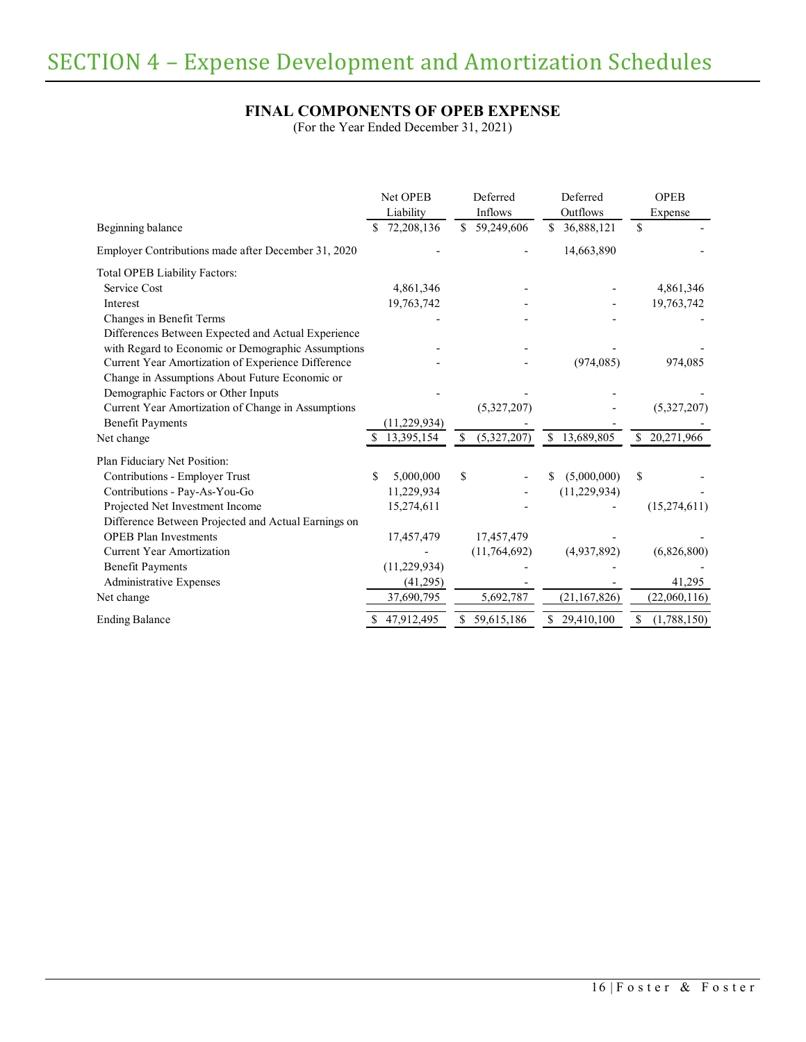# **FINAL COMPONENTS OF OPEB EXPENSE**

(For the Year Ended December 31, 2021)

|                                                     |    | <b>Net OPEB</b> |    | Deferred     | Deferred         | <b>OPEB</b>       |
|-----------------------------------------------------|----|-----------------|----|--------------|------------------|-------------------|
|                                                     |    | Liability       |    | Inflows      | Outflows         | Expense           |
| Beginning balance                                   |    | 72,208,136      | \$ | 59,249,606   | \$<br>36,888,121 | \$                |
| Employer Contributions made after December 31, 2020 |    |                 |    |              | 14,663,890       |                   |
| <b>Total OPEB Liability Factors:</b>                |    |                 |    |              |                  |                   |
| Service Cost                                        |    | 4,861,346       |    |              |                  | 4,861,346         |
| Interest                                            |    | 19,763,742      |    |              |                  | 19,763,742        |
| Changes in Benefit Terms                            |    |                 |    |              |                  |                   |
| Differences Between Expected and Actual Experience  |    |                 |    |              |                  |                   |
| with Regard to Economic or Demographic Assumptions  |    |                 |    |              |                  |                   |
| Current Year Amortization of Experience Difference  |    |                 |    |              | (974, 085)       | 974,085           |
| Change in Assumptions About Future Economic or      |    |                 |    |              |                  |                   |
| Demographic Factors or Other Inputs                 |    |                 |    |              |                  |                   |
| Current Year Amortization of Change in Assumptions  |    |                 |    | (5,327,207)  |                  | (5,327,207)       |
| <b>Benefit Payments</b>                             |    | (11, 229, 934)  |    |              |                  |                   |
| Net change                                          | S. | 13,395,154      | \$ | (5,327,207)  | \$<br>13,689,805 | \$<br>20,271,966  |
| Plan Fiduciary Net Position:                        |    |                 |    |              |                  |                   |
| Contributions - Employer Trust                      | \$ | 5,000,000       | \$ |              | (5,000,000)      | \$                |
| Contributions - Pay-As-You-Go                       |    | 11,229,934      |    |              | (11, 229, 934)   |                   |
| Projected Net Investment Income                     |    | 15,274,611      |    |              |                  | (15,274,611)      |
| Difference Between Projected and Actual Earnings on |    |                 |    |              |                  |                   |
| <b>OPEB</b> Plan Investments                        |    | 17,457,479      |    | 17,457,479   |                  |                   |
| <b>Current Year Amortization</b>                    |    |                 |    | (11,764,692) | (4,937,892)      | (6,826,800)       |
| <b>Benefit Payments</b>                             |    | (11, 229, 934)  |    |              |                  |                   |
| Administrative Expenses                             |    | (41,295)        |    |              |                  | 41,295            |
| Net change                                          |    | 37,690,795      |    | 5,692,787    | (21, 167, 826)   | (22,060,116)      |
| <b>Ending Balance</b>                               | \$ | 47,912,495      | S  | 59,615,186   | \$<br>29,410,100 | \$<br>(1,788,150) |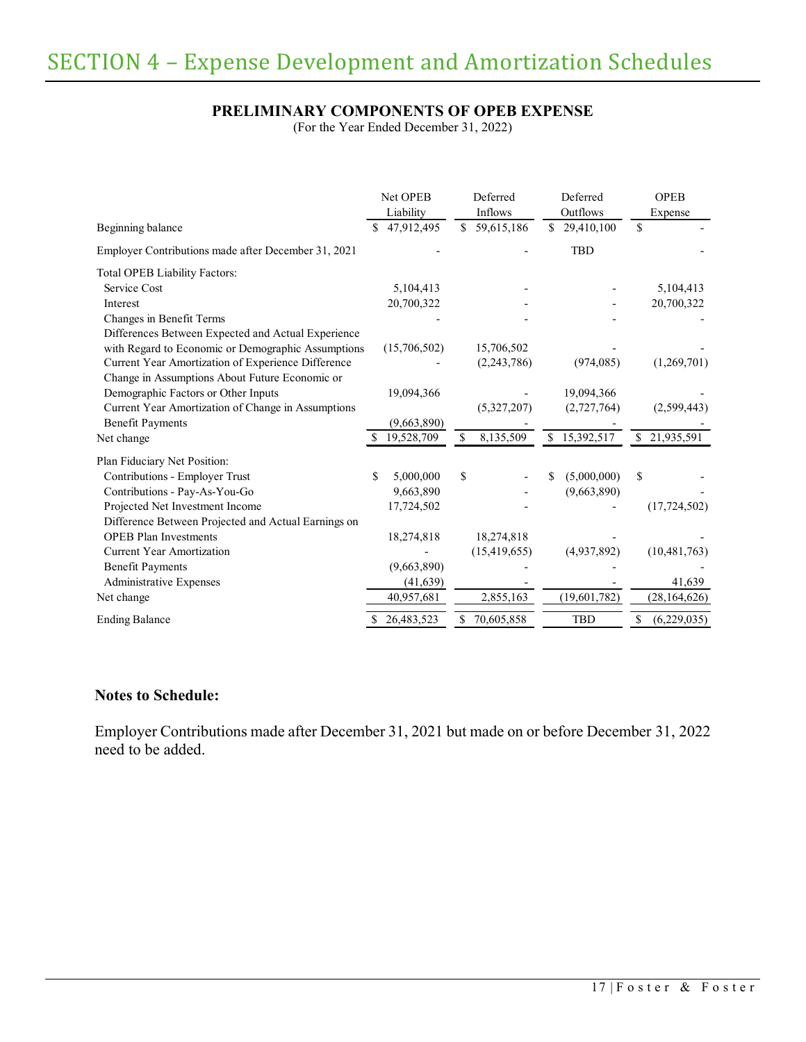## **PRELIMINARY COMPONENTS OF OPEB EXPENSE**

(For the Year Ended December 31, 2022)

|                                                     | Net OPEB<br>Liability |              |               | Deferred       | Deferred         | <b>OPEB</b>   |                |  |
|-----------------------------------------------------|-----------------------|--------------|---------------|----------------|------------------|---------------|----------------|--|
|                                                     |                       |              |               | Inflows        | Outflows         |               | Expense        |  |
| Beginning balance                                   | \$                    | 47,912,495   | \$            | 59,615,186     | \$<br>29,410,100 | $\mathbb{S}$  |                |  |
| Employer Contributions made after December 31, 2021 |                       |              |               |                | <b>TBD</b>       |               |                |  |
| <b>Total OPEB Liability Factors:</b>                |                       |              |               |                |                  |               |                |  |
| Service Cost                                        |                       | 5,104,413    |               |                |                  |               | 5,104,413      |  |
| Interest                                            |                       | 20,700,322   |               |                |                  |               | 20,700,322     |  |
| Changes in Benefit Terms                            |                       |              |               |                |                  |               |                |  |
| Differences Between Expected and Actual Experience  |                       |              |               |                |                  |               |                |  |
| with Regard to Economic or Demographic Assumptions  |                       | (15,706,502) |               | 15,706,502     |                  |               |                |  |
| Current Year Amortization of Experience Difference  |                       |              |               | (2,243,786)    | (974, 085)       |               | (1,269,701)    |  |
| Change in Assumptions About Future Economic or      |                       |              |               |                |                  |               |                |  |
| Demographic Factors or Other Inputs                 |                       | 19,094,366   |               |                | 19,094,366       |               |                |  |
| Current Year Amortization of Change in Assumptions  |                       |              |               | (5,327,207)    | (2,727,764)      |               | (2,599,443)    |  |
| <b>Benefit Payments</b>                             |                       | (9,663,890)  |               |                |                  |               |                |  |
| Net change                                          | £.                    | 19,528,709   | <sup>\$</sup> | 8,135,509      | \$<br>15,392,517 | <sup>\$</sup> | 21,935,591     |  |
| Plan Fiduciary Net Position:                        |                       |              |               |                |                  |               |                |  |
| Contributions - Employer Trust                      |                       | 5,000,000    | \$            |                | (5,000,000)      | \$            |                |  |
| Contributions - Pay-As-You-Go                       |                       | 9,663,890    |               |                | (9,663,890)      |               |                |  |
| Projected Net Investment Income                     |                       | 17,724,502   |               |                |                  |               | (17, 724, 502) |  |
| Difference Between Projected and Actual Earnings on |                       |              |               |                |                  |               |                |  |
| <b>OPEB</b> Plan Investments                        |                       | 18,274,818   |               | 18,274,818     |                  |               |                |  |
| <b>Current Year Amortization</b>                    |                       |              |               | (15, 419, 655) | (4,937,892)      |               | (10, 481, 763) |  |
| <b>Benefit Payments</b>                             |                       | (9,663,890)  |               |                |                  |               |                |  |
| Administrative Expenses                             |                       | (41, 639)    |               |                |                  |               | 41,639         |  |
| Net change                                          |                       | 40,957,681   |               | 2,855,163      | (19,601,782)     |               | (28, 164, 626) |  |
| <b>Ending Balance</b>                               | S                     | 26,483,523   | S             | 70,605,858     | <b>TBD</b>       | \$            | (6,229,035)    |  |

## **Notes to Schedule:**

Employer Contributions made after December 31, 2021 but made on or before December 31, 2022 need to be added.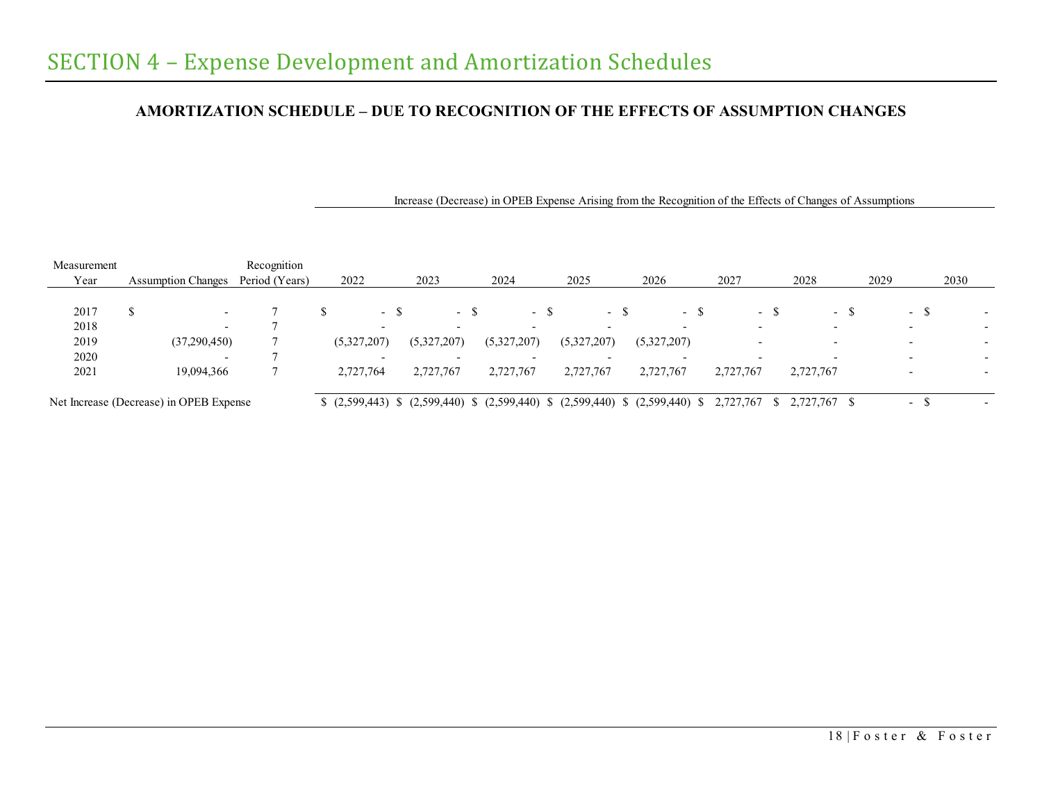# **AMORTIZATION SCHEDULE – DUE TO RECOGNITION OF THE EFFECTS OF ASSUMPTION CHANGES**

| Measurement |                                         | Recognition    |             |                          |                                                    |             |                          |      |             |      |                                   |      |           |     |              |     |      |                          |      |                          |
|-------------|-----------------------------------------|----------------|-------------|--------------------------|----------------------------------------------------|-------------|--------------------------|------|-------------|------|-----------------------------------|------|-----------|-----|--------------|-----|------|--------------------------|------|--------------------------|
| Year        | <b>Assumption Changes</b>               | Period (Years) | 2022        |                          | 2023                                               | 2024        |                          |      | 2025        |      | 2026                              | 2027 |           |     | 2028         |     | 2029 |                          | 2030 |                          |
|             |                                         |                |             |                          |                                                    |             |                          |      |             |      |                                   |      |           |     |              |     |      |                          |      |                          |
| 2017        | ¢<br>Φ<br>$\overline{\phantom{a}}$      |                |             | - 5                      | - \$                                               |             |                          | - \$ |             | - \$ | - \$                              |      |           | - ১ |              | - 5 |      | $-$ \$                   |      |                          |
| 2018        | $\overline{\phantom{0}}$                |                |             | $\overline{\phantom{0}}$ | $\overline{\phantom{0}}$                           |             | $\overline{\phantom{0}}$ |      |             |      |                                   |      |           |     |              |     |      |                          |      |                          |
| 2019        | (37,290,450)                            |                | (5,327,207) |                          | (5,327,207)                                        | (5,327,207) |                          |      | (5,327,207) |      | (5,327,207)                       |      |           |     |              |     |      | $\overline{\phantom{0}}$ |      |                          |
| 2020        |                                         |                |             | $\overline{\phantom{0}}$ | $\overline{\phantom{0}}$                           |             | $\overline{\phantom{0}}$ |      |             |      | $\overline{\phantom{0}}$          |      |           |     |              |     |      |                          |      |                          |
| 2021        | 19,094,366                              |                | 2,727,764   |                          | 2,727,767                                          |             | 2,727,767                |      | 2,727,767   |      | 2,727,767                         |      | 2,727,767 |     | 2,727,767    |     |      |                          |      |                          |
|             | Net Increase (Decrease) in OPEB Expense |                |             |                          | $(2,599,443)$ \$ $(2,599,440)$ \$ $(2,599,440)$ \$ |             |                          |      |             |      | $(2,599,440)$ \$ $(2,599,440)$ \$ |      | 2,727,767 |     | 2,727,767 \$ |     |      | $\overline{\phantom{a}}$ |      | $\overline{\phantom{0}}$ |

Increase (Decrease) in OPEB Expense Arising from the Recognition of the Effects of Changes of Assumptions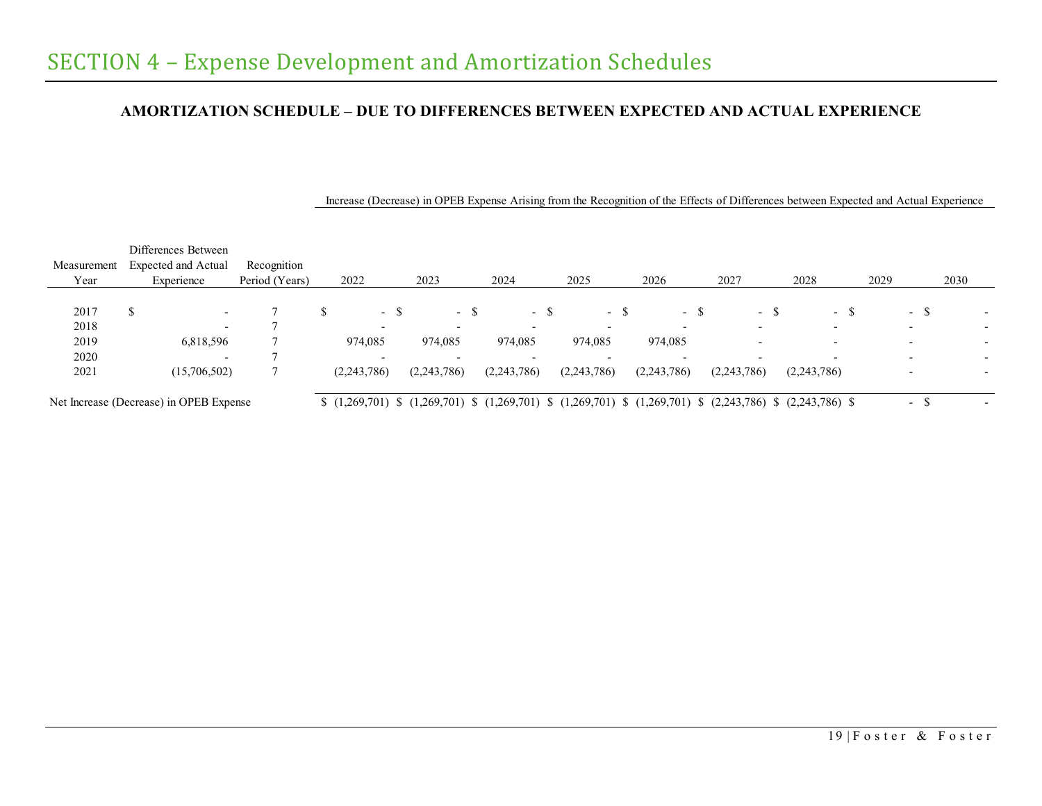## **AMORTIZATION SCHEDULE – DUE TO DIFFERENCES BETWEEN EXPECTED AND ACTUAL EXPERIENCE**

|             |   | Differences Between                     |                |      |                          |      |                          |                          |                          |                                                                                                                                             |             |        |      |             |        |      |        |      |  |
|-------------|---|-----------------------------------------|----------------|------|--------------------------|------|--------------------------|--------------------------|--------------------------|---------------------------------------------------------------------------------------------------------------------------------------------|-------------|--------|------|-------------|--------|------|--------|------|--|
| Measurement |   | <b>Expected and Actual</b>              | Recognition    |      |                          |      |                          |                          |                          |                                                                                                                                             |             |        |      |             |        |      |        |      |  |
| Year        |   | Experience                              | Period (Years) | 2022 |                          |      | 2023                     | 2024                     | 2025                     | 2026                                                                                                                                        | 2027        |        | 2028 |             |        | 2029 |        | 2030 |  |
|             |   |                                         |                |      |                          |      |                          |                          |                          |                                                                                                                                             |             |        |      |             |        |      |        |      |  |
| 2017        | S | $\overline{\phantom{0}}$                |                |      |                          | - \$ | - \$                     | - 8                      | - ക                      | - S                                                                                                                                         |             | $\sim$ |      |             | $\sim$ |      | - ა    |      |  |
| 2018        |   | $\overline{\phantom{a}}$                |                |      | $\overline{\phantom{a}}$ |      | $\overline{\phantom{a}}$ |                          |                          |                                                                                                                                             |             |        |      |             |        |      |        |      |  |
| 2019        |   | 6,818,596                               |                |      | 974,085                  |      | 974,085                  | 974,085                  | 974,085                  | 974,085                                                                                                                                     |             |        |      |             |        |      |        |      |  |
| 2020        |   | $\overline{\phantom{0}}$                |                |      | $\overline{\phantom{0}}$ |      | $\overline{\phantom{0}}$ | $\overline{\phantom{0}}$ | $\overline{\phantom{0}}$ |                                                                                                                                             |             |        |      |             |        |      |        |      |  |
| 2021        |   | (15,706,502)                            |                |      | (2,243,786)              |      | (2,243,786)              | (2,243,786)              | (2,243,786)              | (2,243,786)                                                                                                                                 | (2,243,786) |        |      | (2,243,786) |        |      |        |      |  |
|             |   |                                         |                |      |                          |      |                          |                          |                          |                                                                                                                                             |             |        |      |             |        |      |        |      |  |
|             |   | Net Increase (Decrease) in OPEB Expense |                |      |                          |      |                          |                          |                          | $(1,269,701)$ $(1,269,701)$ $(1,269,701)$ $(1,269,701)$ $(1,269,701)$ $(1,269,701)$ $(2,243,786)$ $(2,243,786)$ $(2,243,786)$ $(3,243,786)$ |             |        |      |             |        |      | $\sim$ |      |  |

Increase (Decrease) in OPEB Expense Arising from the Recognition of the Effects of Differences between Expected and Actual Experience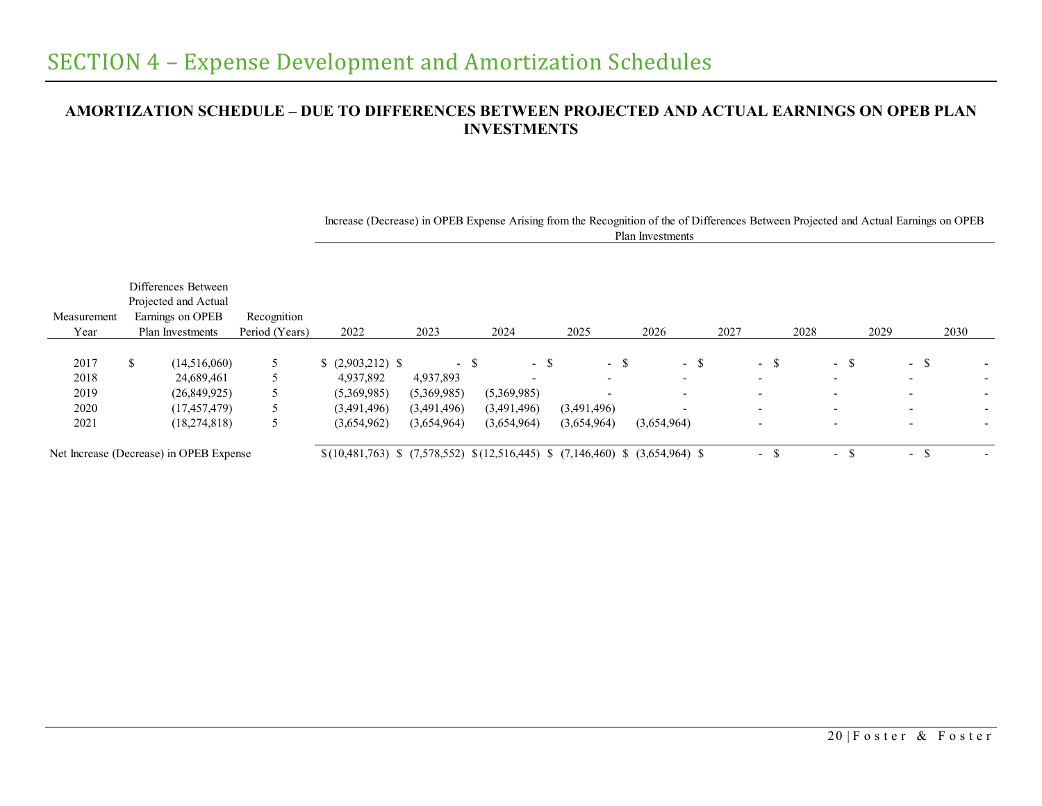# **AMORTIZATION SCHEDULE – DUE TO DIFFERENCES BETWEEN PROJECTED AND ACTUAL EARNINGS ON OPEB PLAN INVESTMENTS**

| Measurement  | Differences Between<br>Projected and Actual<br>Earnings on OPEB | Recognition    |                                                                                 |                     |                                  |                                  |                                  |                                  |      |                                 |                                    |                          |
|--------------|-----------------------------------------------------------------|----------------|---------------------------------------------------------------------------------|---------------------|----------------------------------|----------------------------------|----------------------------------|----------------------------------|------|---------------------------------|------------------------------------|--------------------------|
| Year         | Plan Investments                                                | Period (Years) | 2022                                                                            | 2023                | 2024                             | 2025                             | 2026                             | 2027                             | 2028 | 2029                            | 2030                               |                          |
| 2017<br>2018 | (14,516,060)<br>24,689,461                                      |                | $$(2,903,212)$ \\$<br>4,937,892                                                 | $-$ \$<br>4,937,893 | - \$<br>$\overline{\phantom{0}}$ | - \$<br>$\overline{\phantom{a}}$ | - \$<br>$\overline{\phantom{0}}$ | - \$<br>$\overline{\phantom{a}}$ |      | - 5<br>$\overline{\phantom{a}}$ | $-$ \$<br>$\overline{\phantom{0}}$ | $\overline{\phantom{0}}$ |
| 2019         | (26,849,925)                                                    |                | (5,369,985)                                                                     | (5,369,985)         | (5,369,985)                      | $\overline{\phantom{a}}$         |                                  |                                  |      |                                 |                                    |                          |
| 2020         | (17, 457, 479)                                                  |                | (3,491,496)                                                                     | (3,491,496)         | (3,491,496)                      | (3,491,496)                      |                                  | $\overline{\phantom{0}}$         |      | $\overline{\phantom{a}}$        | $\overline{\phantom{0}}$           |                          |
| 2021         | (18,274,818)                                                    |                | (3,654,962)                                                                     | (3,654,964)         | (3,654,964)                      | (3,654,964)                      | (3,654,964)                      | $\overline{\phantom{a}}$         |      |                                 |                                    |                          |
|              | Net Increase (Decrease) in OPEB Expense                         |                | $\{(10,481,763) \$ (7.578.552) $\{(12,516,445) \$ (7.146.460) \ (3.654.964) \ \ |                     |                                  |                                  |                                  | $\sim$                           |      | $\sim$                          | $\sim$                             |                          |

Increase (Decrease) in OPEB Expense Arising from the Recognition of the of Differences Between Projected and Actual Earnings on OPEB Plan Investments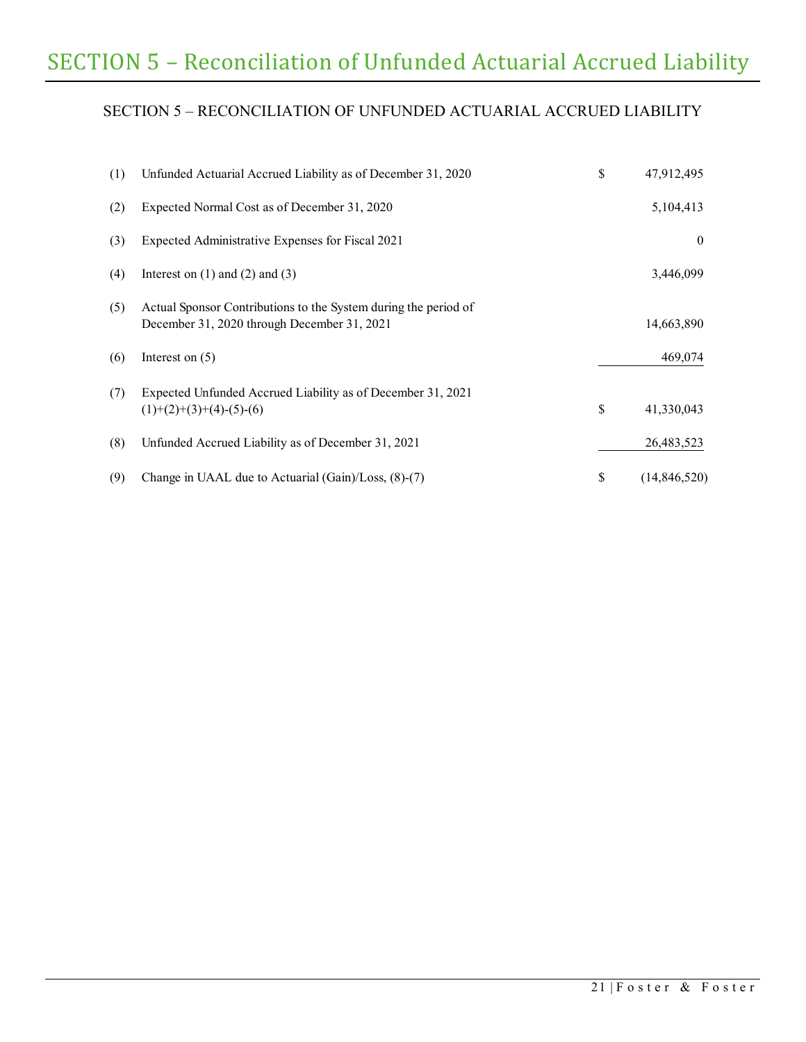# SECTION 5 – Reconciliation of Unfunded Actuarial Accrued Liability

# <span id="page-25-0"></span>SECTION 5 – RECONCILIATION OF UNFUNDED ACTUARIAL ACCRUED LIABILITY

| (1) | Unfunded Actuarial Accrued Liability as of December 31, 2020                                                   | \$<br>47,912,495   |
|-----|----------------------------------------------------------------------------------------------------------------|--------------------|
| (2) | Expected Normal Cost as of December 31, 2020                                                                   | 5,104,413          |
| (3) | Expected Administrative Expenses for Fiscal 2021                                                               | $\theta$           |
| (4) | Interest on $(1)$ and $(2)$ and $(3)$                                                                          | 3,446,099          |
| (5) | Actual Sponsor Contributions to the System during the period of<br>December 31, 2020 through December 31, 2021 | 14,663,890         |
| (6) | Interest on $(5)$                                                                                              | 469,074            |
| (7) | Expected Unfunded Accrued Liability as of December 31, 2021<br>$(1)+(2)+(3)+(4)-(5)-(6)$                       | \$<br>41,330,043   |
| (8) | Unfunded Accrued Liability as of December 31, 2021                                                             | 26,483,523         |
| (9) | Change in UAAL due to Actuarial (Gain)/Loss, (8)-(7)                                                           | \$<br>(14,846,520) |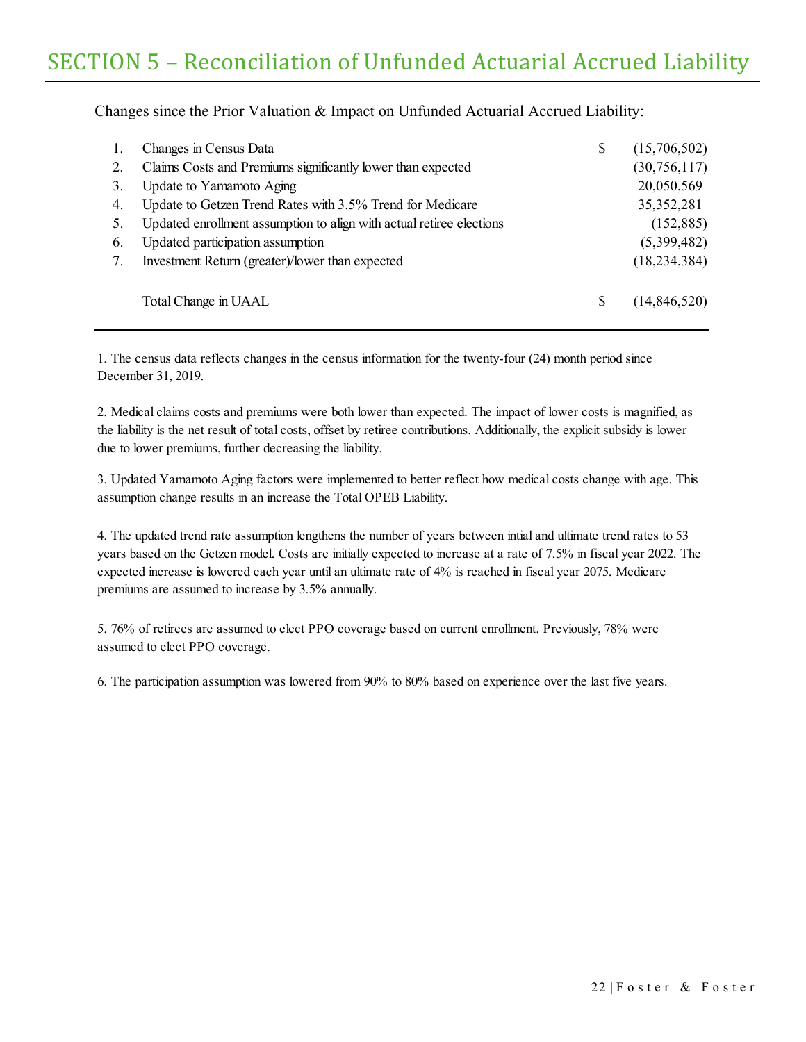Changes since the Prior Valuation & Impact on Unfunded Actuarial Accrued Liability:

| 1. | Changes in Census Data                                               | (15,706,502)   |
|----|----------------------------------------------------------------------|----------------|
| 2. | Claims Costs and Premiums significantly lower than expected          | (30,756,117)   |
| 3. | Update to Yamamoto Aging                                             | 20,050,569     |
| 4. | Update to Getzen Trend Rates with 3.5% Trend for Medicare            | 35, 352, 281   |
| 5. | Updated enrollment assumption to align with actual retiree elections | (152, 885)     |
| 6. | Updated participation assumption                                     | (5,399,482)    |
|    | Investment Return (greater)/lower than expected                      | (18, 234, 384) |
|    | Total Change in UAAL                                                 | (14,846,520)   |

1. The census data reflects changes in the census information for the twenty-four (24) month period since December 31, 2019.

2. Medical claims costs and premiums were both lower than expected. The impact of lower costs is magnified, as the liability is the net result of total costs, offset by retiree contributions. Additionally, the explicit subsidy is lower due to lower premiums, further decreasing the liability.

3. Updated Yamamoto Aging factors were implemented to better reflect how medical costs change with age. This assumption change results in an increase the Total OPEB Liability.

4. The updated trend rate assumption lengthens the number of years between intial and ultimate trend rates to 53 years based on the Getzen model. Costs are initially expected to increase at a rate of 7.5% in fiscal year 2022. The expected increase is lowered each year until an ultimate rate of 4% is reached in fiscal year 2075. Medicare premiums are assumed to increase by 3.5% annually.

5. 76% of retirees are assumed to elect PPO coverage based on current enrollment. Previously, 78% were assumed to elect PPO coverage.

6. The participation assumption was lowered from 90% to 80% based on experience over the last five years.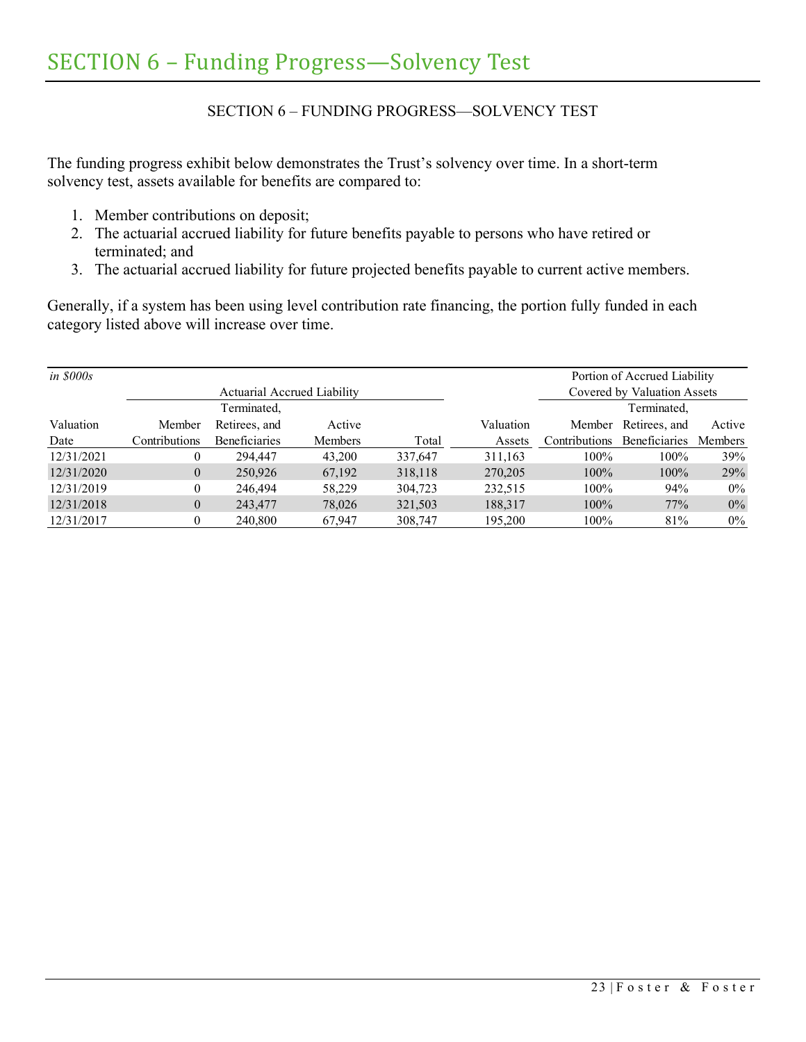## SECTION 6 – FUNDING PROGRESS—SOLVENCY TEST

<span id="page-27-0"></span>The funding progress exhibit below demonstrates the Trust's solvency over time. In a short-term solvency test, assets available for benefits are compared to:

- 1. Member contributions on deposit;
- 2. The actuarial accrued liability for future benefits payable to persons who have retired or terminated; and
- 3. The actuarial accrued liability for future projected benefits payable to current active members.

Generally, if a system has been using level contribution rate financing, the portion fully funded in each category listed above will increase over time.

| <i>in \$000s</i> |                      |                             |                |         |           |                      | Portion of Accrued Liability |                |
|------------------|----------------------|-----------------------------|----------------|---------|-----------|----------------------|------------------------------|----------------|
|                  |                      | Actuarial Accrued Liability |                |         |           |                      | Covered by Valuation Assets  |                |
|                  |                      | Terminated,                 |                |         |           |                      | Terminated,                  |                |
| Valuation        | Member               | Retirees, and               | Active         |         | Valuation |                      | Member Retirees, and         | Active         |
| Date             | <b>Contributions</b> | <b>Beneficiaries</b>        | <b>Members</b> | Total   | Assets    | <b>Contributions</b> | <b>Beneficiaries</b>         | <b>Members</b> |
| 12/31/2021       | 0                    | 294,447                     | 43,200         | 337,647 | 311.163   | $100\%$              | 100%                         | 39%            |
| 12/31/2020       | $\overline{0}$       | 250,926                     | 67,192         | 318,118 | 270,205   | 100%                 | 100%                         | 29%            |
| 12/31/2019       | $\theta$             | 246,494                     | 58,229         | 304,723 | 232.515   | $100\%$              | 94%                          | $0\%$          |
| 12/31/2018       | $\overline{0}$       | 243,477                     | 78,026         | 321,503 | 188,317   | $100\%$              | 77%                          | $0\%$          |
| 12/31/2017       | $\theta$             | 240,800                     | 67,947         | 308,747 | 195,200   | 100%                 | 81%                          | $0\%$          |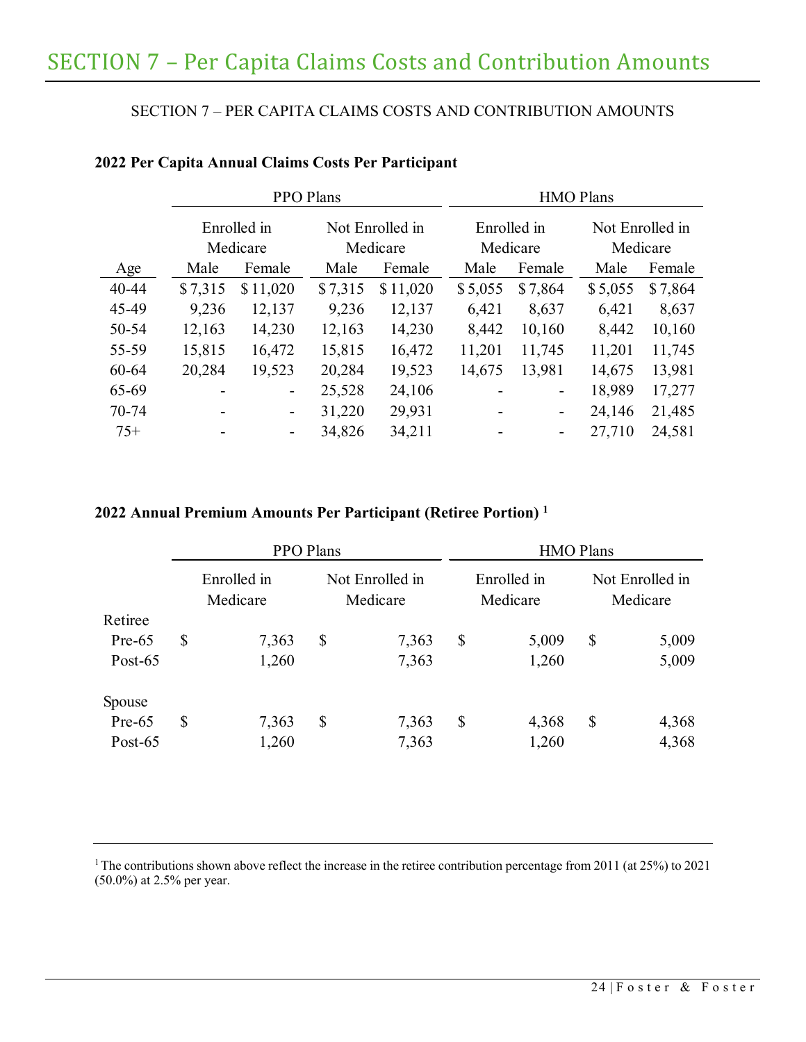# <span id="page-28-0"></span>SECTION 7 – PER CAPITA CLAIMS COSTS AND CONTRIBUTION AMOUNTS

|           |         |                         | PPO Plans |                             | <b>HMO Plans</b> |                         |                             |         |  |  |  |
|-----------|---------|-------------------------|-----------|-----------------------------|------------------|-------------------------|-----------------------------|---------|--|--|--|
|           |         | Enrolled in<br>Medicare |           | Not Enrolled in<br>Medicare |                  | Enrolled in<br>Medicare | Not Enrolled in<br>Medicare |         |  |  |  |
| Age       | Male    | Female                  | Male      | Female                      | Male             | Female                  | Male                        | Female  |  |  |  |
| $40 - 44$ | \$7,315 | \$11,020                | \$7,315   | \$11,020                    | \$5,055          | \$7,864                 | \$5,055                     | \$7,864 |  |  |  |
| 45-49     | 9,236   | 12,137                  | 9,236     | 12,137                      | 6,421            | 8,637                   | 6,421                       | 8,637   |  |  |  |
| 50-54     | 12,163  | 14,230                  | 12,163    | 14,230                      | 8,442            | 10,160                  | 8,442                       | 10,160  |  |  |  |
| 55-59     | 15,815  | 16,472                  | 15,815    | 16,472                      | 11,201           | 11,745                  | 11,201                      | 11,745  |  |  |  |
| 60-64     | 20,284  | 19,523                  | 20,284    | 19,523                      | 14,675           | 13,981                  | 14,675                      | 13,981  |  |  |  |
| 65-69     |         | -                       | 25,528    | 24,106                      |                  | -                       | 18,989                      | 17,277  |  |  |  |
| 70-74     |         | -                       | 31,220    | 29,931                      |                  | -                       | 24,146                      | 21,485  |  |  |  |
| $75+$     |         | ۰.                      | 34,826    | 34,211                      |                  | -                       | 27,710                      | 24,581  |  |  |  |

# **2022 Per Capita Annual Claims Costs Per Participant**

## **2022 Annual Premium Amounts Per Participant (Retiree Portion) 1**

|            | PPO Plans               |       |                             |       |                           | <b>HMO Plans</b> |                             |       |  |
|------------|-------------------------|-------|-----------------------------|-------|---------------------------|------------------|-----------------------------|-------|--|
|            | Enrolled in<br>Medicare |       | Not Enrolled in<br>Medicare |       | Enrolled in<br>Medicare   |                  | Not Enrolled in<br>Medicare |       |  |
| Retiree    |                         |       |                             |       |                           |                  |                             |       |  |
| $Pre-65$   | \$                      | 7,363 | $\boldsymbol{\mathsf{S}}$   | 7,363 | $\boldsymbol{\mathsf{S}}$ | 5,009            | \$                          | 5,009 |  |
| Post- $65$ |                         | 1,260 |                             | 7,363 |                           | 1,260            |                             | 5,009 |  |
| Spouse     |                         |       |                             |       |                           |                  |                             |       |  |
| $Pre-65$   | \$                      | 7,363 | \$                          | 7,363 | \$                        | 4,368            | $\boldsymbol{\mathsf{S}}$   | 4,368 |  |
| Post- $65$ |                         | 1,260 |                             | 7,363 |                           | 1,260            |                             | 4,368 |  |

<sup>1</sup> The contributions shown above reflect the increase in the retiree contribution percentage from 2011 (at 25%) to 2021 (50.0%) at 2.5% per year.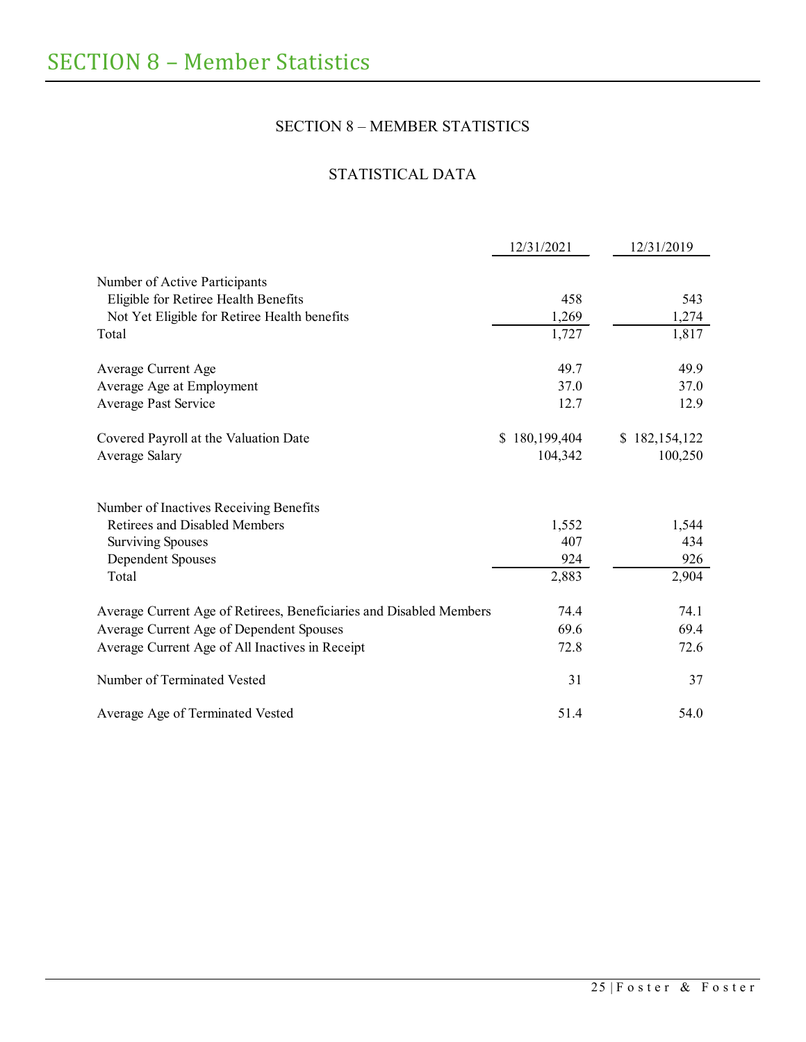# SECTION 8 – MEMBER STATISTICS

# STATISTICAL DATA

<span id="page-29-1"></span><span id="page-29-0"></span>

|                                                                     | 12/31/2021    | 12/31/2019    |
|---------------------------------------------------------------------|---------------|---------------|
| Number of Active Participants                                       |               |               |
| Eligible for Retiree Health Benefits                                | 458           | 543           |
| Not Yet Eligible for Retiree Health benefits                        | 1,269         | 1,274         |
| Total                                                               | 1,727         | 1,817         |
| Average Current Age                                                 | 49.7          | 49.9          |
| Average Age at Employment                                           | 37.0          | 37.0          |
| Average Past Service                                                | 12.7          | 12.9          |
| Covered Payroll at the Valuation Date                               | \$180,199,404 | \$182,154,122 |
| Average Salary                                                      | 104,342       | 100,250       |
| Number of Inactives Receiving Benefits                              |               |               |
| Retirees and Disabled Members                                       | 1,552         | 1,544         |
| <b>Surviving Spouses</b>                                            | 407           | 434           |
| Dependent Spouses                                                   | 924           | 926           |
| Total                                                               | 2,883         | 2,904         |
| Average Current Age of Retirees, Beneficiaries and Disabled Members | 74.4          | 74.1          |
| Average Current Age of Dependent Spouses                            | 69.6          | 69.4          |
| Average Current Age of All Inactives in Receipt                     | 72.8          | 72.6          |
| Number of Terminated Vested                                         | 31            | 37            |
| Average Age of Terminated Vested                                    | 51.4          | 54.0          |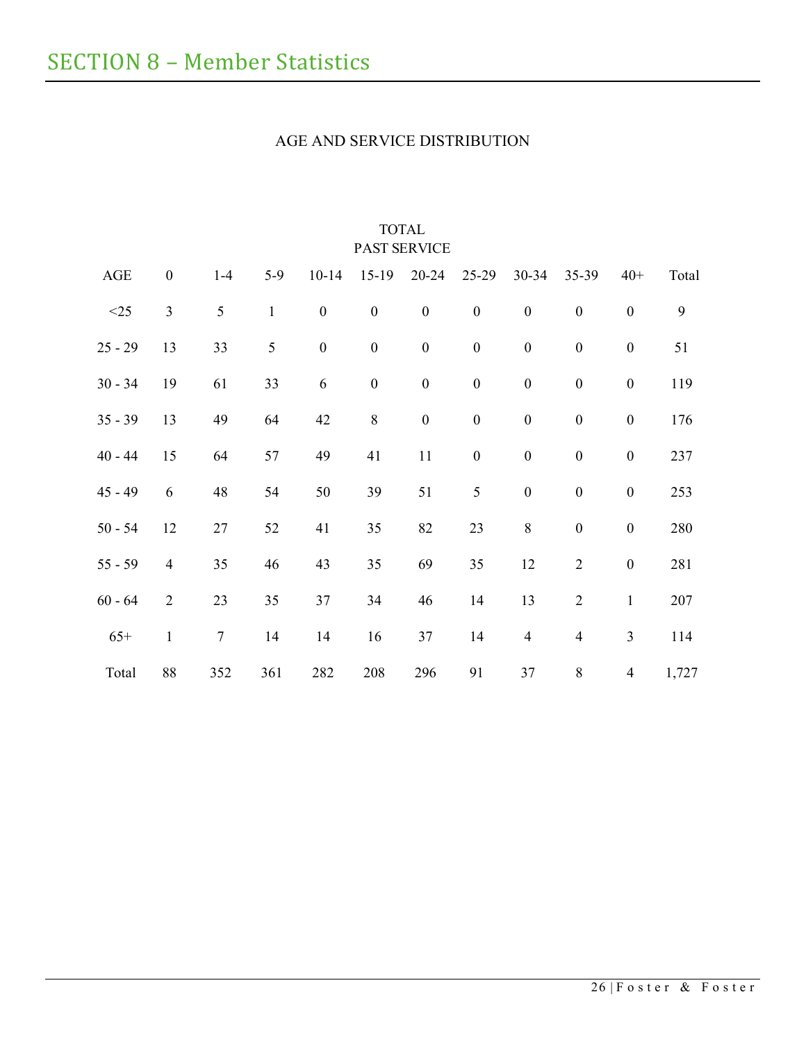# AGE AND SERVICE DISTRIBUTION

<span id="page-30-0"></span>

|           |                  |                  |               |                  |                  | <b>PAST SERVICE</b> |                  |                  |                  |                          |       |
|-----------|------------------|------------------|---------------|------------------|------------------|---------------------|------------------|------------------|------------------|--------------------------|-------|
| AGE       | $\boldsymbol{0}$ | $1-4$            | $5-9$         | $10 - 14$        | $15-19$          | $20 - 24$           | $25-29$          | $30 - 34$        | $35 - 39$        | $40+$                    | Total |
| $<25$     | $\mathfrak{Z}$   | $\mathfrak{S}$   | $\mathbf{1}$  | $\boldsymbol{0}$ | $\boldsymbol{0}$ | $\boldsymbol{0}$    | $\boldsymbol{0}$ | $\boldsymbol{0}$ | $\boldsymbol{0}$ | $\boldsymbol{0}$         | 9     |
| $25 - 29$ | 13               | 33               | $\mathfrak s$ | $\boldsymbol{0}$ | $\boldsymbol{0}$ | $\boldsymbol{0}$    | $\boldsymbol{0}$ | $\boldsymbol{0}$ | $\boldsymbol{0}$ | $\boldsymbol{0}$         | 51    |
| $30 - 34$ | 19               | 61               | 33            | 6                | $\boldsymbol{0}$ | $\boldsymbol{0}$    | $\boldsymbol{0}$ | $\boldsymbol{0}$ | $\boldsymbol{0}$ | $\boldsymbol{0}$         | 119   |
| $35 - 39$ | 13               | 49               | 64            | 42               | $\,8\,$          | $\boldsymbol{0}$    | $\boldsymbol{0}$ | $\boldsymbol{0}$ | $\boldsymbol{0}$ | $\boldsymbol{0}$         | 176   |
| $40 - 44$ | 15               | 64               | 57            | 49               | 41               | 11                  | $\boldsymbol{0}$ | $\boldsymbol{0}$ | $\boldsymbol{0}$ | $\boldsymbol{0}$         | 237   |
| $45 - 49$ | 6                | 48               | 54            | 50               | 39               | 51                  | 5                | $\boldsymbol{0}$ | $\boldsymbol{0}$ | $\boldsymbol{0}$         | 253   |
| $50 - 54$ | 12               | 27               | 52            | 41               | 35               | 82                  | 23               | 8                | $\boldsymbol{0}$ | $\boldsymbol{0}$         | 280   |
| $55 - 59$ | $\overline{4}$   | 35               | 46            | 43               | 35               | 69                  | 35               | 12               | $\overline{2}$   | $\boldsymbol{0}$         | 281   |
| $60 - 64$ | $\overline{2}$   | 23               | 35            | 37               | 34               | 46                  | 14               | 13               | $\mathbf{2}$     | $\mathbf{1}$             | 207   |
| $65+$     | $\mathbf{1}$     | $\boldsymbol{7}$ | 14            | 14               | 16               | 37                  | 14               | $\overline{4}$   | $\overline{4}$   | $\mathfrak{Z}$           | 114   |
| Total     | 88               | 352              | 361           | 282              | 208              | 296                 | 91               | 37               | $\,8\,$          | $\overline{\mathcal{A}}$ | 1,727 |

# TOTAL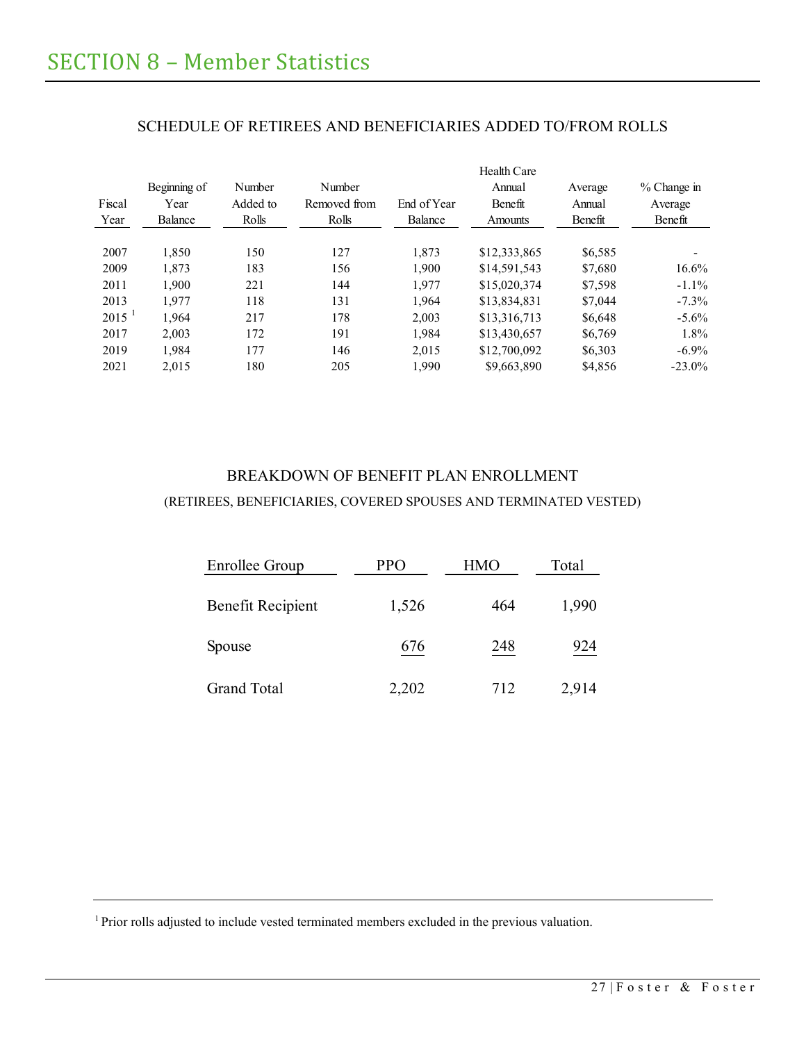<span id="page-31-0"></span>

| Fiscal<br>Year | Beginning of<br>Year<br>Balance | Number<br>Added to<br>Rolls | Number<br>Removed from<br>Rolls | End of Year<br>Balance | Health Care<br>Annual<br>Benefit<br>Amounts | Average<br>Annual<br>Benefit | $%$ Change in<br>Average<br>Benefit |
|----------------|---------------------------------|-----------------------------|---------------------------------|------------------------|---------------------------------------------|------------------------------|-------------------------------------|
| 2007           | 1.850                           | 150                         | 127                             | 1.873                  | \$12,333,865                                | \$6,585                      | -                                   |
| 2009           | 1.873                           | 183                         | 156                             | 1,900                  | \$14,591,543                                | \$7,680                      | $16.6\%$                            |
| 2011           | 1.900                           | 221                         | 144                             | 1.977                  | \$15,020,374                                | \$7,598                      | $-1.1\%$                            |
| 2013           | 1.977                           | 118                         | 131                             | 1.964                  | \$13,834,831                                | \$7,044                      | $-7.3\%$                            |
| $2015^{-1}$    | 1.964                           | 217                         | 178                             | 2.003                  | \$13,316,713                                | \$6,648                      | $-5.6\%$                            |
| 2017           | 2.003                           | 172                         | 191                             | 1.984                  | \$13,430,657                                | \$6,769                      | $1.8\%$                             |
| 2019           | 1.984                           | 177                         | 146                             | 2.015                  | \$12,700,092                                | \$6,303                      | $-6.9\%$                            |
| 2021           | 2.015                           | 180                         | 205                             | 1,990                  | \$9,663,890                                 | \$4,856                      | $-23.0\%$                           |

# SCHEDULE OF RETIREES AND BENEFICIARIES ADDED TO/FROM ROLLS

# <span id="page-31-1"></span>BREAKDOWN OF BENEFIT PLAN ENROLLMENT (RETIREES, BENEFICIARIES, COVERED SPOUSES AND TERMINATED VESTED)

| Enrollee Group           | PPO   | HMO | Total |
|--------------------------|-------|-----|-------|
| <b>Benefit Recipient</b> | 1,526 | 464 | 1,990 |
| Spouse                   | 676   | 248 | 924   |
| <b>Grand Total</b>       | 2,202 | 712 | 2,914 |

<sup>1</sup> Prior rolls adjusted to include vested terminated members excluded in the previous valuation.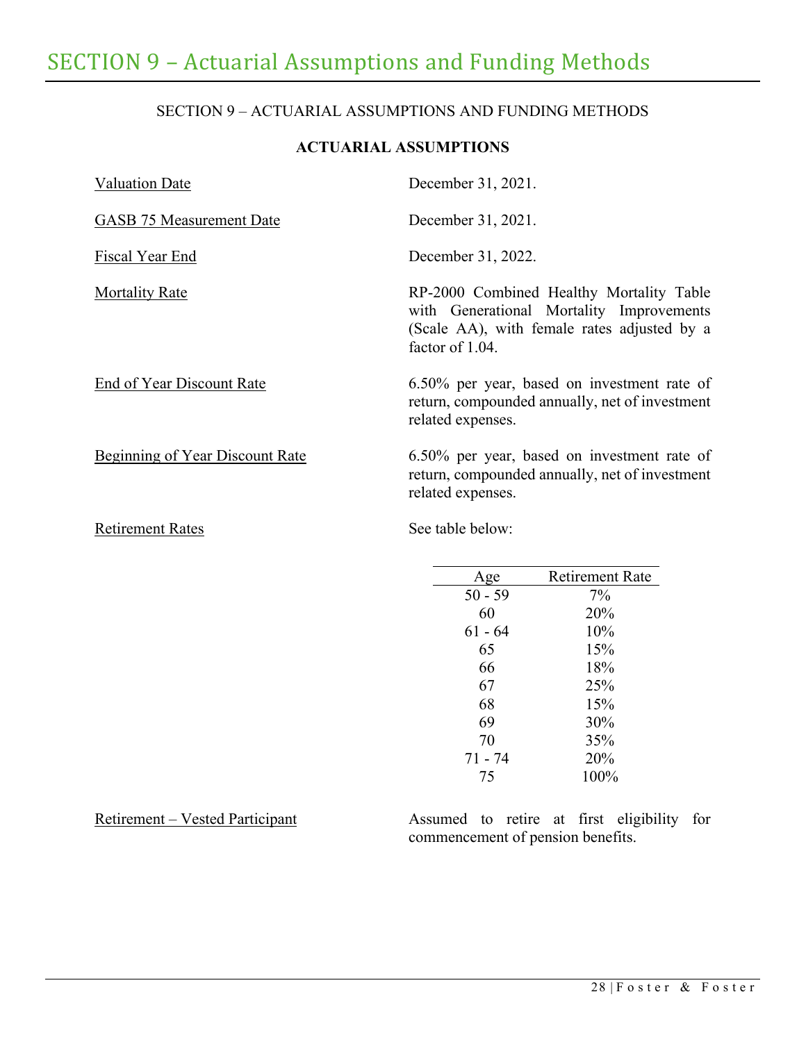# <span id="page-32-0"></span>SECTION 9 – ACTUARIAL ASSUMPTIONS AND FUNDING METHODS

# **ACTUARIAL ASSUMPTIONS**

| <b>Valuation Date</b>                  | December 31, 2021.                                                                                                                                     |
|----------------------------------------|--------------------------------------------------------------------------------------------------------------------------------------------------------|
| <b>GASB 75 Measurement Date</b>        | December 31, 2021.                                                                                                                                     |
| Fiscal Year End                        | December 31, 2022.                                                                                                                                     |
| <b>Mortality Rate</b>                  | RP-2000 Combined Healthy Mortality Table<br>with Generational Mortality Improvements<br>(Scale AA), with female rates adjusted by a<br>factor of 1.04. |
| End of Year Discount Rate              | 6.50% per year, based on investment rate of<br>return, compounded annually, net of investment<br>related expenses.                                     |
| <b>Beginning of Year Discount Rate</b> | 6.50% per year, based on investment rate of<br>return, compounded annually, net of investment<br>related expenses.                                     |
| <b>Retirement Rates</b>                | See table below:                                                                                                                                       |

| Age       | <b>Retirement Rate</b> |
|-----------|------------------------|
| $50 - 59$ | 7%                     |
| 60        | 20%                    |
| 61 - 64   | 10%                    |
| 65        | 15%                    |
| 66        | 18%                    |
| 67        | 25%                    |
| 68        | 15%                    |
| 69        | 30%                    |
| 70        | 35%                    |
| $71 - 74$ | 20%                    |
| 75        | 100%                   |
|           |                        |

Retirement – Vested Participant Assumed to retire at first eligibility for commencement of pension benefits.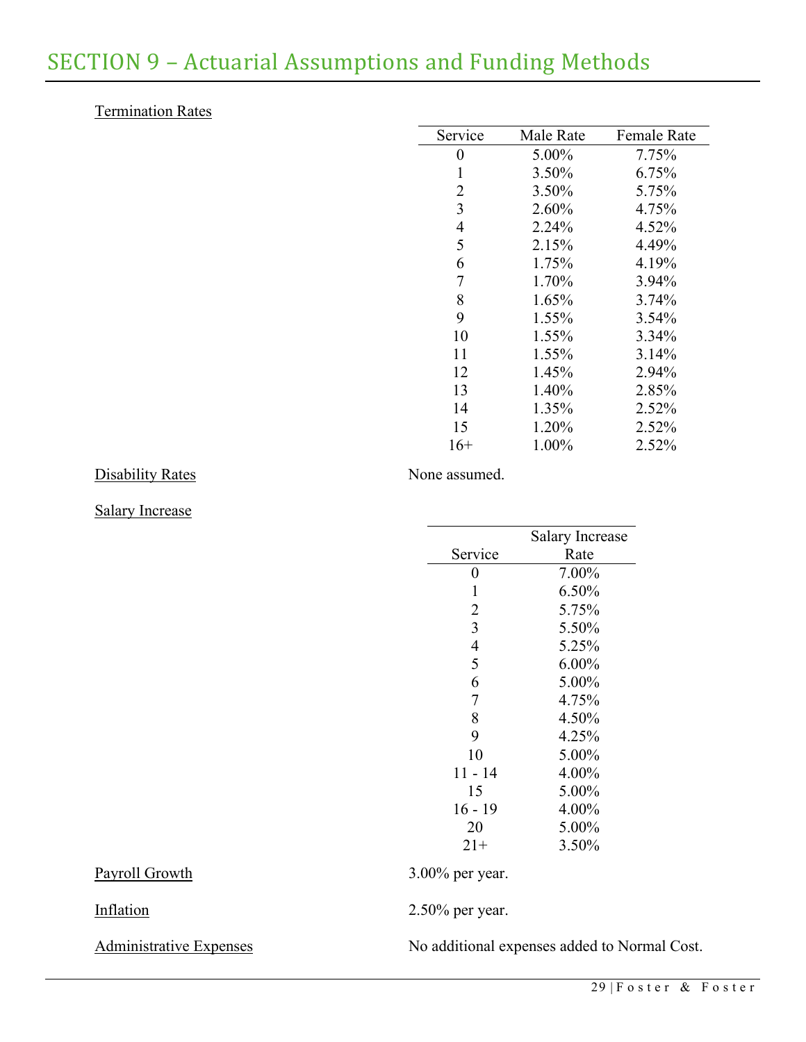# Termination Rates

| Male Rate | <b>Female Rate</b> |
|-----------|--------------------|
| 5.00%     | 7.75%              |
| 3.50%     | 6.75%              |
| 3.50%     | 5.75%              |
| 2.60%     | 4.75%              |
| 2.24%     | 4.52%              |
| 2.15%     | 4.49%              |
| 1.75%     | 4.19%              |
| 1.70%     | 3.94%              |
| 1.65%     | 3.74%              |
| 1.55%     | 3.54%              |
| 1.55%     | 3.34%              |
| 1.55%     | 3.14%              |
| 1.45%     | 2.94%              |
| 1.40%     | 2.85%              |
| 1.35%     | 2.52%              |
| 1.20%     | 2.52%              |
| 1.00%     | 2.52%              |
|           |                    |

# Disability Rates None assumed.

# Salary Increase

|                 | <b>Salary Increase</b> |
|-----------------|------------------------|
| Service         | Rate                   |
| 0               | 7.00%                  |
| 1               | 6.50%                  |
| $\overline{2}$  | 5.75%                  |
| 3               | 5.50%                  |
| 4               | 5.25%                  |
| 5               | $6.00\%$               |
| 6               | 5.00%                  |
| 7               | 4.75%                  |
| 8               | 4.50%                  |
| 9               | 4.25%                  |
| 10              | 5.00%                  |
| $11 - 14$       | 4.00%                  |
| 15              | 5.00%                  |
| $16 - 19$       | 4.00%                  |
| 20              | 5.00%                  |
| $21+$           | 3.50%                  |
| 3.00% per year. |                        |
|                 |                        |
| 2.50% per year. |                        |

# Payroll Growth

# **Inflation**

Administrative Expenses 1986 1997 1998 No additional expenses added to Normal Cost.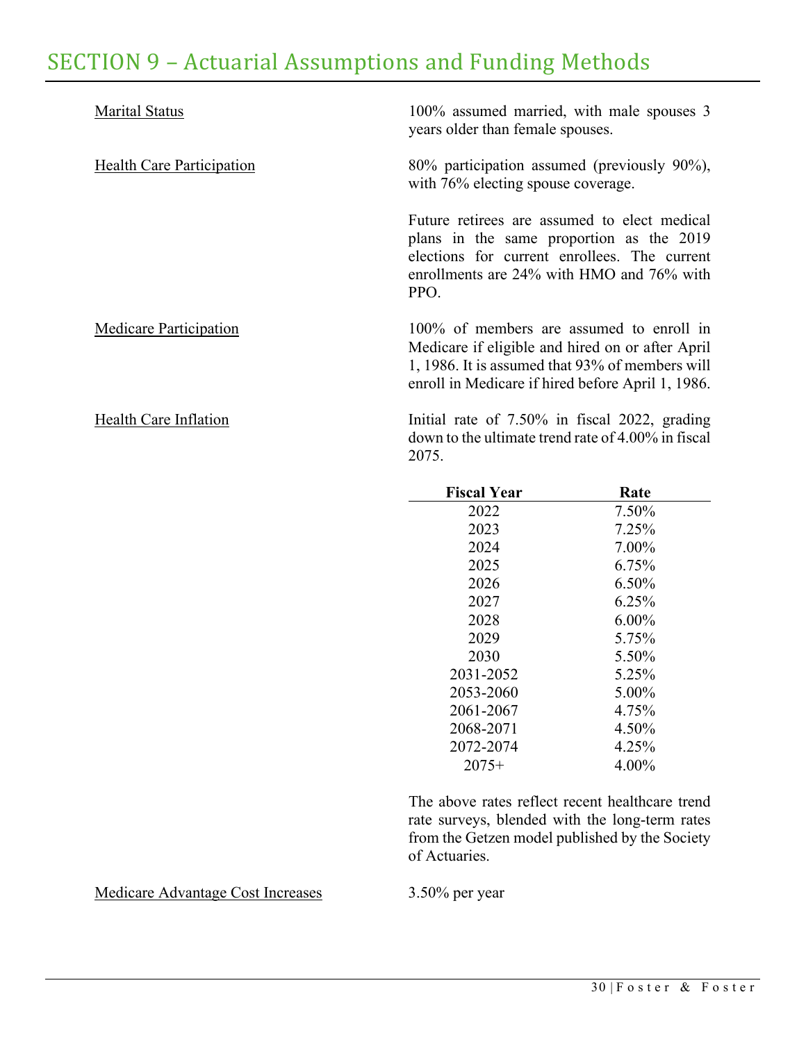| <b>Marital Status</b>            | 100% assumed married, with male spouses 3<br>years older than female spouses.                                                                                                                        |
|----------------------------------|------------------------------------------------------------------------------------------------------------------------------------------------------------------------------------------------------|
| <b>Health Care Participation</b> | 80% participation assumed (previously 90%),<br>with 76% electing spouse coverage.                                                                                                                    |
|                                  | Future retirees are assumed to elect medical<br>plans in the same proportion as the 2019<br>elections for current enrollees. The current<br>enrollments are 24% with HMO and 76% with<br>PPO.        |
| Medicare Participation           | 100% of members are assumed to enroll in<br>Medicare if eligible and hired on or after April<br>1, 1986. It is assumed that 93% of members will<br>enroll in Medicare if hired before April 1, 1986. |
| Health Care Inflation            | Initial rate of 7.50% in fiscal 2022, grading<br>down to the ultimate trend rate of 4.00% in fiscal                                                                                                  |

2075.

| <b>Fiscal Year</b> | Rate     |
|--------------------|----------|
| 2022               | 7.50%    |
| 2023               | 7.25%    |
| 2024               | 7.00%    |
| 2025               | 6.75%    |
| 2026               | 6.50%    |
| 2027               | 6.25%    |
| 2028               | $6.00\%$ |
| 2029               | 5.75%    |
| 2030               | 5.50%    |
| 2031-2052          | 5.25%    |
| 2053-2060          | 5.00%    |
| 2061-2067          | 4.75%    |
| 2068-2071          | 4.50%    |
| 2072-2074          | 4.25%    |
| $2075+$            | 4.00%    |

The above rates reflect recent healthcare trend rate surveys, blended with the long-term rates from the Getzen model published by the Society of Actuaries.

Medicare Advantage Cost Increases 3.50% per year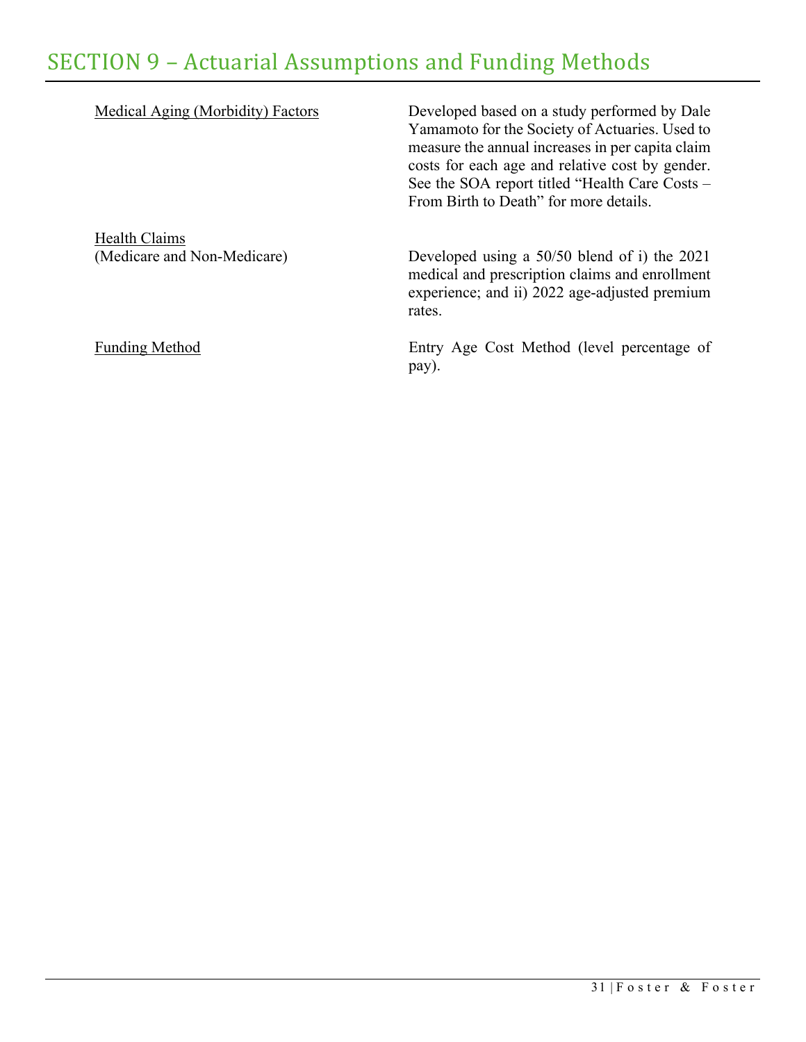| Medical Aging (Morbidity) Factors                   | Developed based on a study performed by Dale<br>Yamamoto for the Society of Actuaries. Used to<br>measure the annual increases in per capita claim<br>costs for each age and relative cost by gender.<br>See the SOA report titled "Health Care Costs -<br>From Birth to Death" for more details. |
|-----------------------------------------------------|---------------------------------------------------------------------------------------------------------------------------------------------------------------------------------------------------------------------------------------------------------------------------------------------------|
| <b>Health Claims</b><br>(Medicare and Non-Medicare) | Developed using a $50/50$ blend of i) the 2021<br>medical and prescription claims and enrollment<br>experience; and ii) 2022 age-adjusted premium<br>rates.                                                                                                                                       |
| <b>Funding Method</b>                               | Entry Age Cost Method (level percentage of<br>pay).                                                                                                                                                                                                                                               |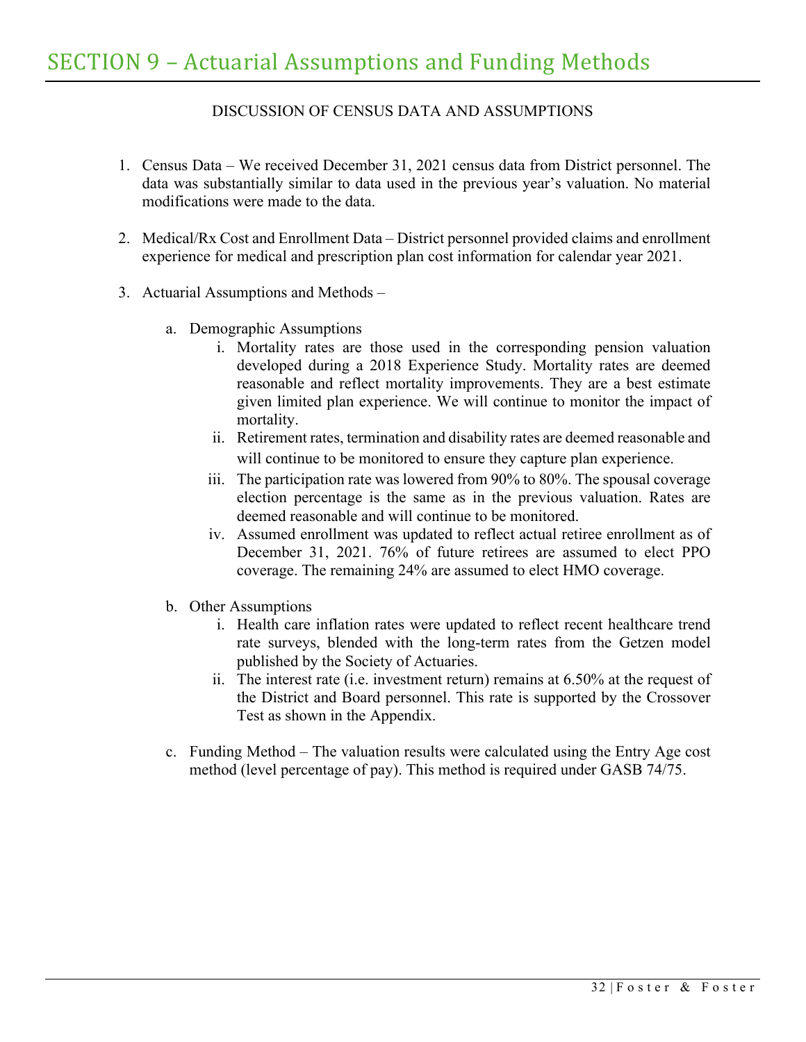# DISCUSSION OF CENSUS DATA AND ASSUMPTIONS

- 1. Census Data We received December 31, 2021 census data from District personnel. The data was substantially similar to data used in the previous year's valuation. No material modifications were made to the data.
- 2. Medical/Rx Cost and Enrollment Data District personnel provided claims and enrollment experience for medical and prescription plan cost information for calendar year 2021.
- 3. Actuarial Assumptions and Methods
	- a. Demographic Assumptions
		- i. Mortality rates are those used in the corresponding pension valuation developed during a 2018 Experience Study. Mortality rates are deemed reasonable and reflect mortality improvements. They are a best estimate given limited plan experience. We will continue to monitor the impact of mortality.
		- ii. Retirement rates, termination and disability rates are deemed reasonable and will continue to be monitored to ensure they capture plan experience.
		- iii. The participation rate was lowered from 90% to 80%. The spousal coverage election percentage is the same as in the previous valuation. Rates are deemed reasonable and will continue to be monitored.
		- iv. Assumed enrollment was updated to reflect actual retiree enrollment as of December 31, 2021. 76% of future retirees are assumed to elect PPO coverage. The remaining 24% are assumed to elect HMO coverage.
	- b. Other Assumptions
		- i. Health care inflation rates were updated to reflect recent healthcare trend rate surveys, blended with the long-term rates from the Getzen model published by the Society of Actuaries.
		- ii. The interest rate (i.e. investment return) remains at 6.50% at the request of the District and Board personnel. This rate is supported by the Crossover Test as shown in the Appendix.
	- c. Funding Method The valuation results were calculated using the Entry Age cost method (level percentage of pay). This method is required under GASB 74/75.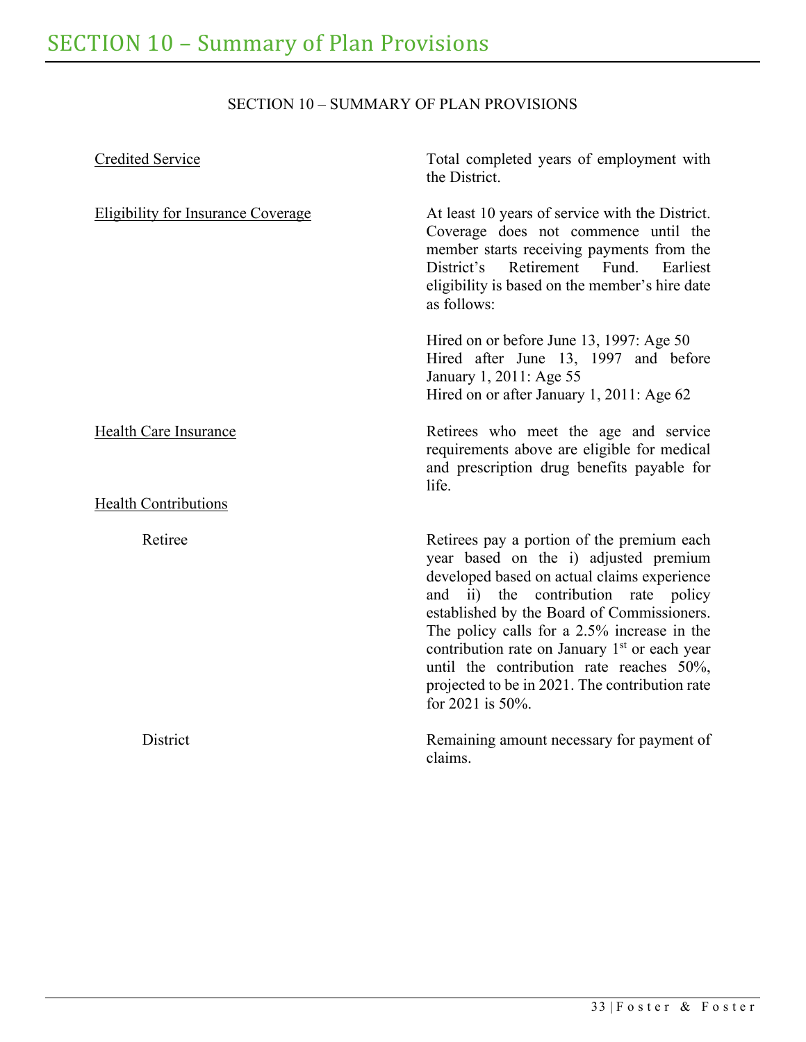# SECTION 10 – SUMMARY OF PLAN PROVISIONS

<span id="page-37-0"></span>

| Credited Service                          | Total completed years of employment with<br>the District.                                                                                                                                                                                                                                                                                                                                                                                                 |
|-------------------------------------------|-----------------------------------------------------------------------------------------------------------------------------------------------------------------------------------------------------------------------------------------------------------------------------------------------------------------------------------------------------------------------------------------------------------------------------------------------------------|
| <b>Eligibility for Insurance Coverage</b> | At least 10 years of service with the District.<br>Coverage does not commence until the<br>member starts receiving payments from the<br>District's Retirement Fund.<br>Earliest<br>eligibility is based on the member's hire date<br>as follows:                                                                                                                                                                                                          |
|                                           | Hired on or before June 13, 1997: Age 50<br>Hired after June 13, 1997 and before<br>January 1, 2011: Age 55<br>Hired on or after January 1, 2011: Age 62                                                                                                                                                                                                                                                                                                  |
| Health Care Insurance                     | Retirees who meet the age and service<br>requirements above are eligible for medical<br>and prescription drug benefits payable for<br>life.                                                                                                                                                                                                                                                                                                               |
| <b>Health Contributions</b>               |                                                                                                                                                                                                                                                                                                                                                                                                                                                           |
| Retiree                                   | Retirees pay a portion of the premium each<br>year based on the i) adjusted premium<br>developed based on actual claims experience<br>ii) the contribution rate policy<br>and<br>established by the Board of Commissioners.<br>The policy calls for a 2.5% increase in the<br>contribution rate on January 1 <sup>st</sup> or each year<br>until the contribution rate reaches 50%,<br>projected to be in 2021. The contribution rate<br>for 2021 is 50%. |
| District                                  | Remaining amount necessary for payment of<br>claims.                                                                                                                                                                                                                                                                                                                                                                                                      |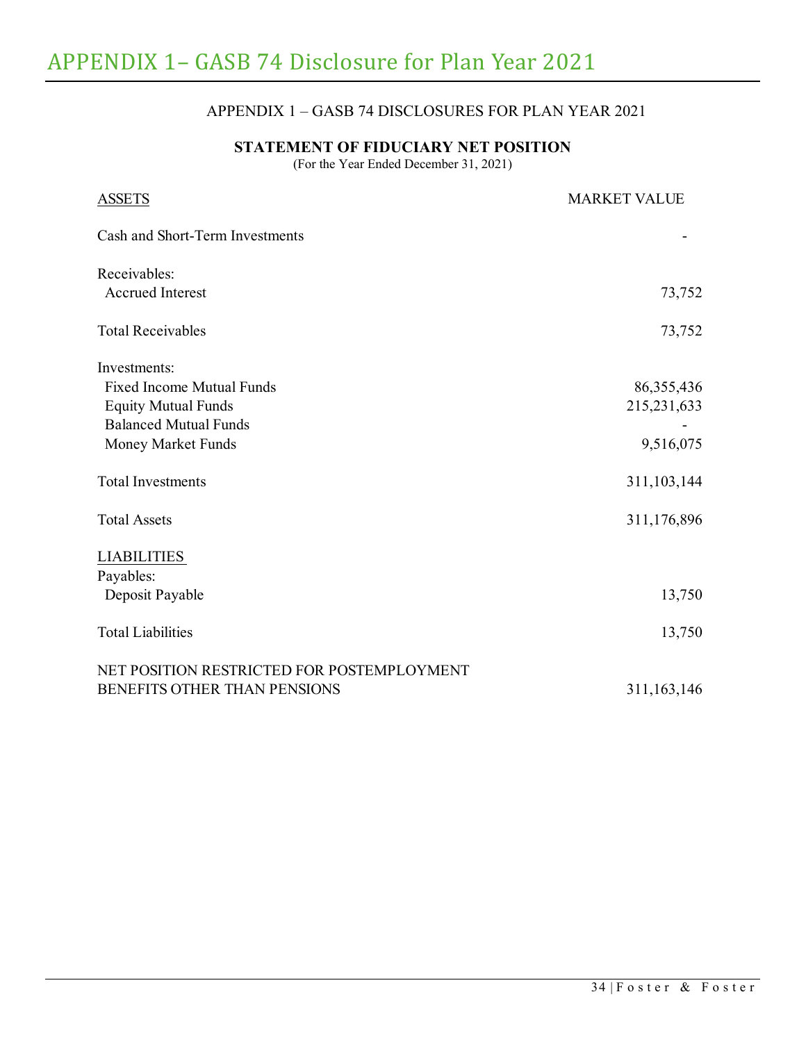# APPENDIX 1 – GASB 74 DISCLOSURES FOR PLAN YEAR 2021

## **STATEMENT OF FIDUCIARY NET POSITION**

(For the Year Ended December 31, 2021)

<span id="page-38-0"></span>

| <b>ASSETS</b>                              | <b>MARKET VALUE</b> |
|--------------------------------------------|---------------------|
| Cash and Short-Term Investments            |                     |
| Receivables:                               |                     |
| <b>Accrued Interest</b>                    | 73,752              |
| <b>Total Receivables</b>                   | 73,752              |
| Investments:                               |                     |
| <b>Fixed Income Mutual Funds</b>           | 86, 355, 436        |
| <b>Equity Mutual Funds</b>                 | 215, 231, 633       |
| <b>Balanced Mutual Funds</b>               |                     |
| Money Market Funds                         | 9,516,075           |
| <b>Total Investments</b>                   | 311,103,144         |
| <b>Total Assets</b>                        | 311,176,896         |
| <b>LIABILITIES</b>                         |                     |
| Payables:                                  |                     |
| Deposit Payable                            | 13,750              |
| <b>Total Liabilities</b>                   | 13,750              |
| NET POSITION RESTRICTED FOR POSTEMPLOYMENT |                     |
| BENEFITS OTHER THAN PENSIONS               | 311,163,146         |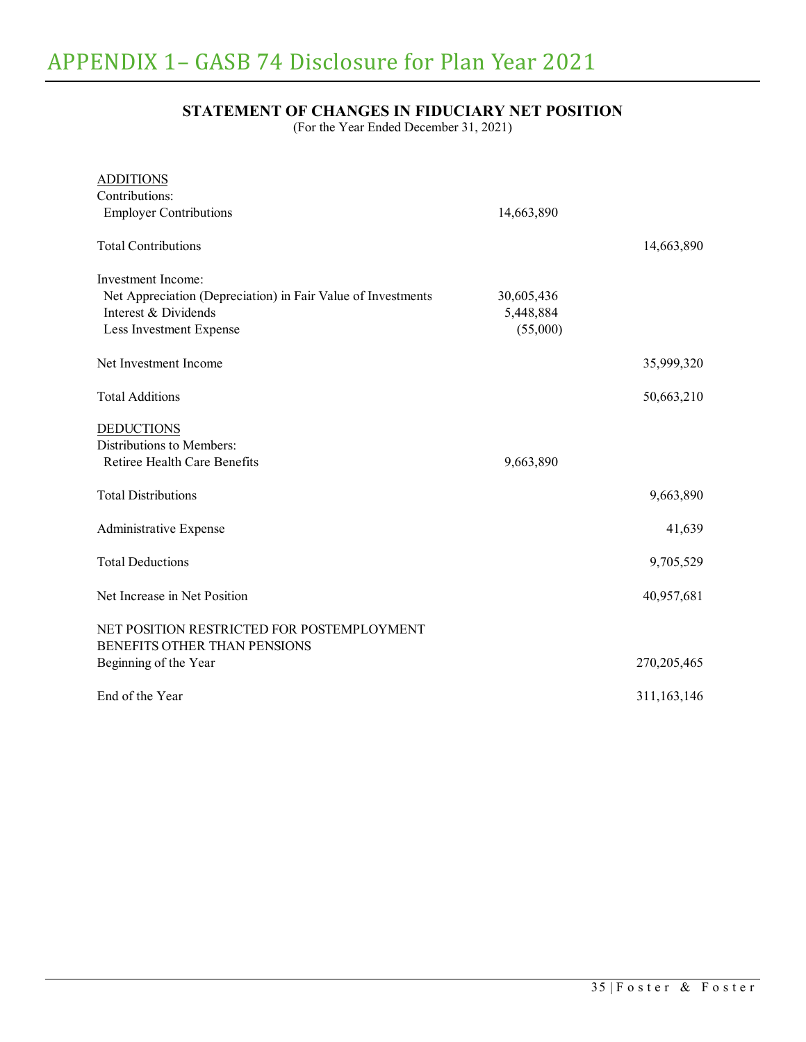# **STATEMENT OF CHANGES IN FIDUCIARY NET POSITION**

(For the Year Ended December 31, 2021)

| <b>ADDITIONS</b>                                             |            |             |
|--------------------------------------------------------------|------------|-------------|
| Contributions:                                               |            |             |
| <b>Employer Contributions</b>                                | 14,663,890 |             |
| <b>Total Contributions</b>                                   |            | 14,663,890  |
| Investment Income:                                           |            |             |
| Net Appreciation (Depreciation) in Fair Value of Investments | 30,605,436 |             |
| Interest & Dividends                                         | 5,448,884  |             |
| Less Investment Expense                                      | (55,000)   |             |
|                                                              |            |             |
| Net Investment Income                                        |            | 35,999,320  |
|                                                              |            |             |
| <b>Total Additions</b>                                       |            | 50,663,210  |
|                                                              |            |             |
| <b>DEDUCTIONS</b>                                            |            |             |
| Distributions to Members:                                    |            |             |
| Retiree Health Care Benefits                                 | 9,663,890  |             |
|                                                              |            |             |
| <b>Total Distributions</b>                                   |            | 9,663,890   |
|                                                              |            |             |
| Administrative Expense                                       |            | 41,639      |
|                                                              |            |             |
| <b>Total Deductions</b>                                      |            | 9,705,529   |
|                                                              |            |             |
| Net Increase in Net Position                                 |            | 40,957,681  |
|                                                              |            |             |
| NET POSITION RESTRICTED FOR POSTEMPLOYMENT                   |            |             |
| BENEFITS OTHER THAN PENSIONS                                 |            |             |
| Beginning of the Year                                        |            | 270,205,465 |
|                                                              |            |             |
| End of the Year                                              |            | 311,163,146 |
|                                                              |            |             |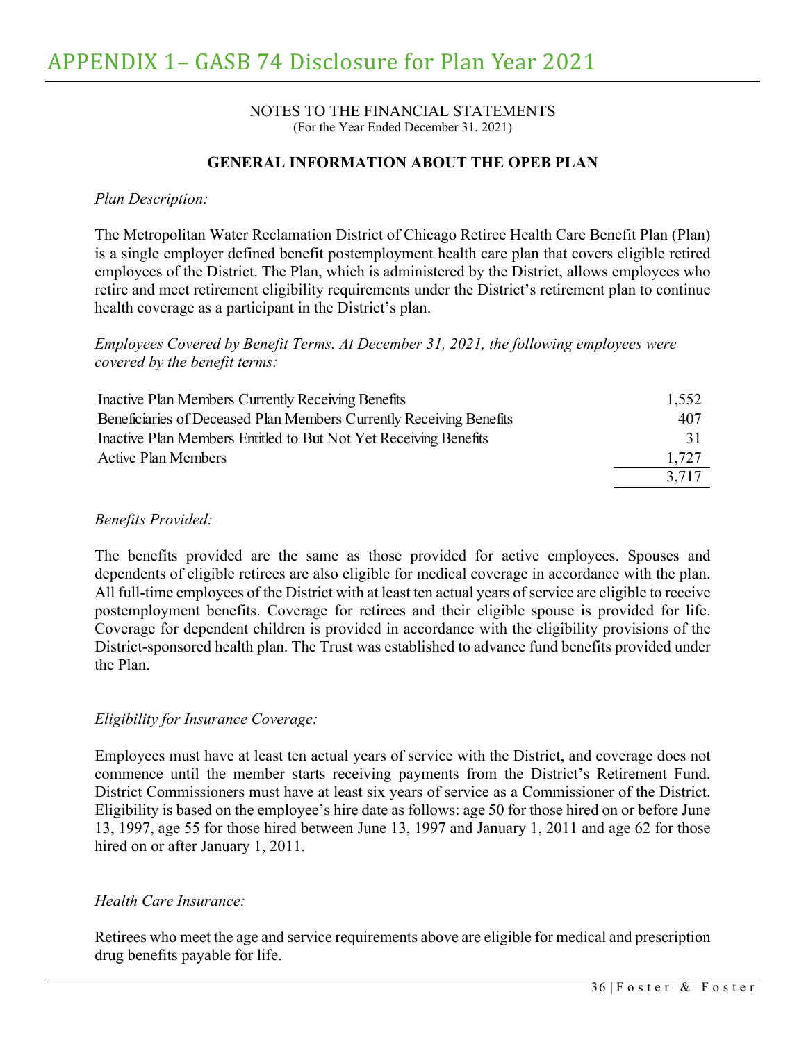#### NOTES TO THE FINANCIAL STATEMENTS (For the Year Ended December 31, 2021)

## **GENERAL INFORMATION ABOUT THE OPEB PLAN**

#### *Plan Description:*

The Metropolitan Water Reclamation District of Chicago Retiree Health Care Benefit Plan (Plan) is a single employer defined benefit postemployment health care plan that covers eligible retired employees of the District. The Plan, which is administered by the District, allows employees who retire and meet retirement eligibility requirements under the District's retirement plan to continue health coverage as a participant in the District's plan.

### *Employees Covered by Benefit Terms. At December 31, 2021, the following employees were covered by the benefit terms:*

| Inactive Plan Members Currently Receiving Benefits                  | 1,552 |
|---------------------------------------------------------------------|-------|
| Beneficiaries of Deceased Plan Members Currently Receiving Benefits | 407   |
| Inactive Plan Members Entitled to But Not Yet Receiving Benefits    | 31    |
| <b>Active Plan Members</b>                                          | 1,727 |
|                                                                     | 3.717 |

#### *Benefits Provided:*

The benefits provided are the same as those provided for active employees. Spouses and dependents of eligible retirees are also eligible for medical coverage in accordance with the plan. All full-time employees of the District with at least ten actual years of service are eligible to receive postemployment benefits. Coverage for retirees and their eligible spouse is provided for life. Coverage for dependent children is provided in accordance with the eligibility provisions of the District-sponsored health plan. The Trust was established to advance fund benefits provided under the Plan.

### *Eligibility for Insurance Coverage:*

Employees must have at least ten actual years of service with the District, and coverage does not commence until the member starts receiving payments from the District's Retirement Fund. District Commissioners must have at least six years of service as a Commissioner of the District. Eligibility is based on the employee's hire date as follows: age 50 for those hired on or before June 13, 1997, age 55 for those hired between June 13, 1997 and January 1, 2011 and age 62 for those hired on or after January 1, 2011.

#### *Health Care Insurance:*

Retirees who meet the age and service requirements above are eligible for medical and prescription drug benefits payable for life.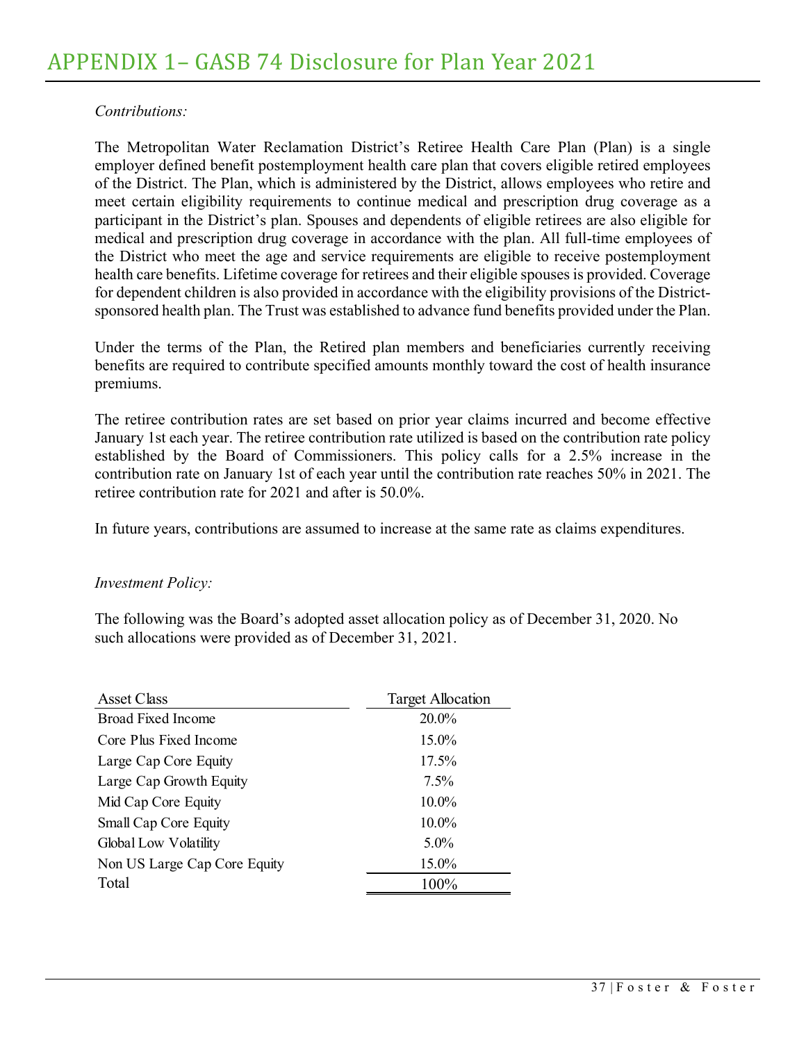## *Contributions:*

The Metropolitan Water Reclamation District's Retiree Health Care Plan (Plan) is a single employer defined benefit postemployment health care plan that covers eligible retired employees of the District. The Plan, which is administered by the District, allows employees who retire and meet certain eligibility requirements to continue medical and prescription drug coverage as a participant in the District's plan. Spouses and dependents of eligible retirees are also eligible for medical and prescription drug coverage in accordance with the plan. All full-time employees of the District who meet the age and service requirements are eligible to receive postemployment health care benefits. Lifetime coverage for retirees and their eligible spouses is provided. Coverage for dependent children is also provided in accordance with the eligibility provisions of the Districtsponsored health plan. The Trust was established to advance fund benefits provided under the Plan.

Under the terms of the Plan, the Retired plan members and beneficiaries currently receiving benefits are required to contribute specified amounts monthly toward the cost of health insurance premiums.

The retiree contribution rates are set based on prior year claims incurred and become effective January 1st each year. The retiree contribution rate utilized is based on the contribution rate policy established by the Board of Commissioners. This policy calls for a 2.5% increase in the contribution rate on January 1st of each year until the contribution rate reaches 50% in 2021. The retiree contribution rate for 2021 and after is 50.0%.

In future years, contributions are assumed to increase at the same rate as claims expenditures.

#### *Investment Policy:*

The following was the Board's adopted asset allocation policy as of December 31, 2020. No such allocations were provided as of December 31, 2021.

| Asset Class                  | <b>Target Allocation</b> |
|------------------------------|--------------------------|
| <b>Broad Fixed Income</b>    | 20.0%                    |
| Core Plus Fixed Income       | 15.0%                    |
| Large Cap Core Equity        | 17.5%                    |
| Large Cap Growth Equity      | $7.5\%$                  |
| Mid Cap Core Equity          | 10.0%                    |
| Small Cap Core Equity        | 10.0%                    |
| Global Low Volatility        | $5.0\%$                  |
| Non US Large Cap Core Equity | 15.0%                    |
| Total                        | 100%                     |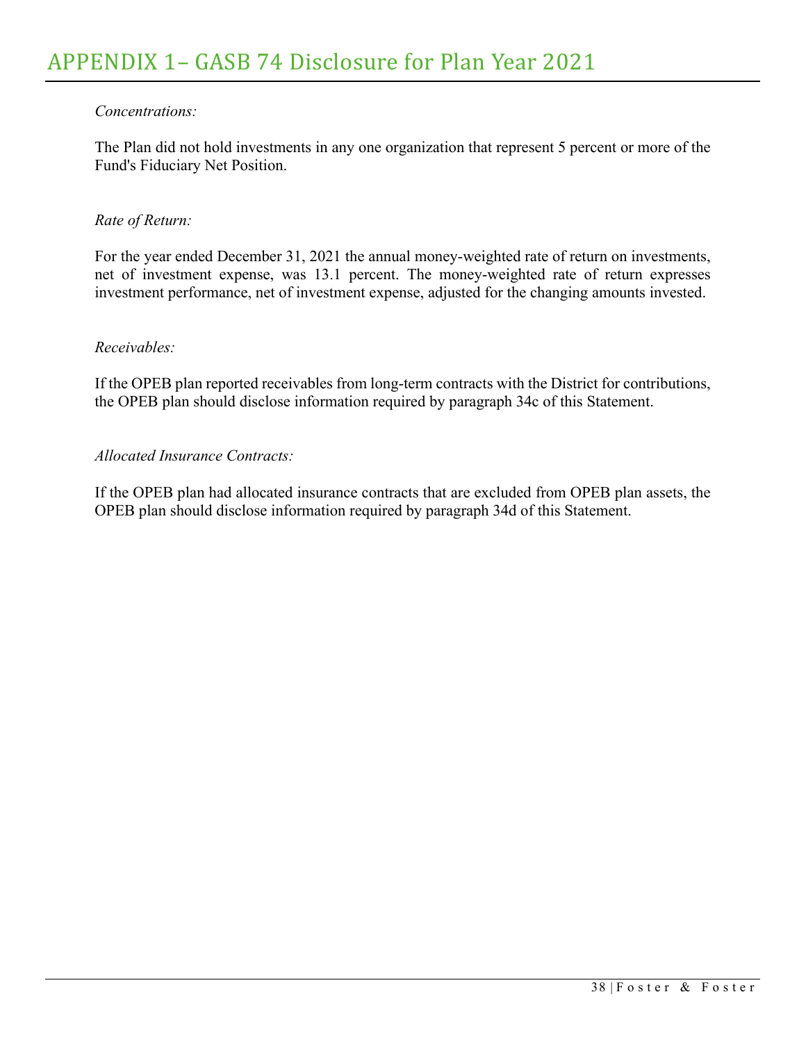## *Concentrations:*

The Plan did not hold investments in any one organization that represent 5 percent or more of the Fund's Fiduciary Net Position.

### *Rate of Return:*

For the year ended December 31, 2021 the annual money-weighted rate of return on investments, net of investment expense, was 13.1 percent. The money-weighted rate of return expresses investment performance, net of investment expense, adjusted for the changing amounts invested.

### *Receivables:*

If the OPEB plan reported receivables from long-term contracts with the District for contributions, the OPEB plan should disclose information required by paragraph 34c of this Statement.

### *Allocated Insurance Contracts:*

If the OPEB plan had allocated insurance contracts that are excluded from OPEB plan assets, the OPEB plan should disclose information required by paragraph 34d of this Statement.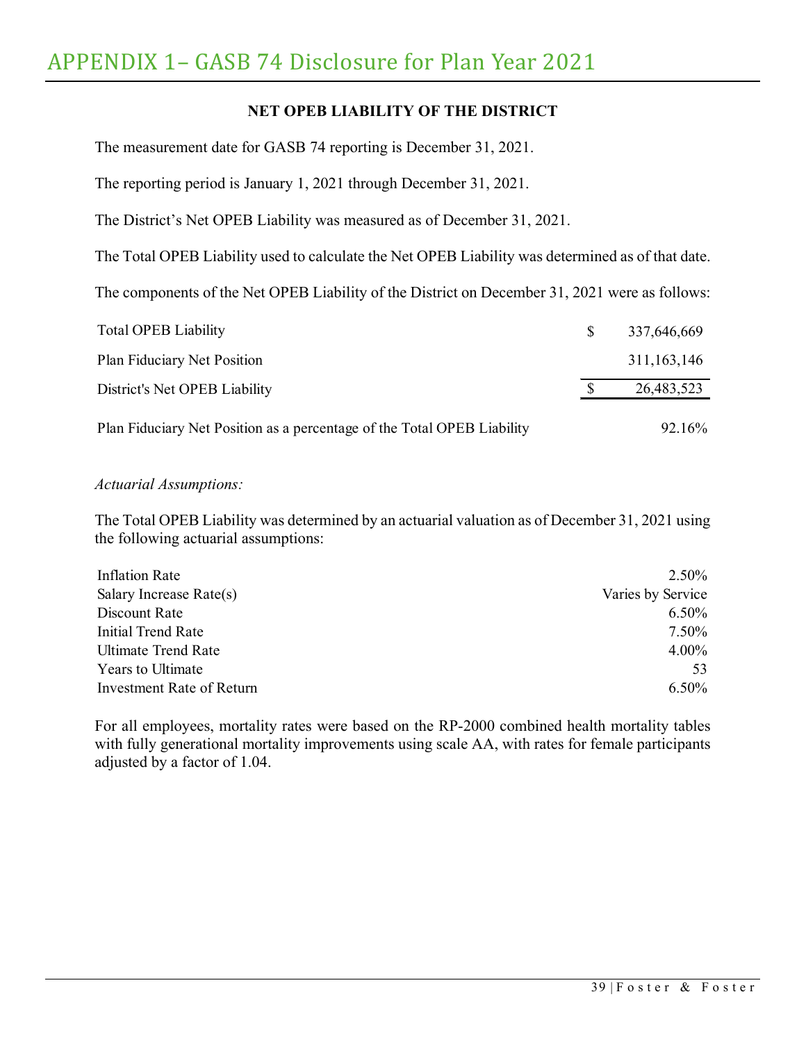# **NET OPEB LIABILITY OF THE DISTRICT**

The measurement date for GASB 74 reporting is December 31, 2021.

The reporting period is January 1, 2021 through December 31, 2021.

The District's Net OPEB Liability was measured as of December 31, 2021.

The Total OPEB Liability used to calculate the Net OPEB Liability was determined as of that date.

The components of the Net OPEB Liability of the District on December 31, 2021 were as follows:

| <b>Total OPEB Liability</b>                                             | <sup>S</sup> | 337,646,669   |
|-------------------------------------------------------------------------|--------------|---------------|
| Plan Fiduciary Net Position                                             |              | 311, 163, 146 |
| District's Net OPEB Liability                                           |              | 26,483,523    |
| Plan Fiduciary Net Position as a percentage of the Total OPEB Liability |              | 92.16%        |

#### *Actuarial Assumptions:*

The Total OPEB Liability was determined by an actuarial valuation as of December 31, 2021 using the following actuarial assumptions:

| Inflation Rate             | 2.50%             |
|----------------------------|-------------------|
| Salary Increase Rate(s)    | Varies by Service |
| Discount Rate              | 6.50%             |
| Initial Trend Rate         | 7.50%             |
| <b>Ultimate Trend Rate</b> | 4.00%             |
| <b>Years to Ultimate</b>   | 53                |
| Investment Rate of Return  | $6.50\%$          |

For all employees, mortality rates were based on the RP-2000 combined health mortality tables with fully generational mortality improvements using scale AA, with rates for female participants adjusted by a factor of 1.04.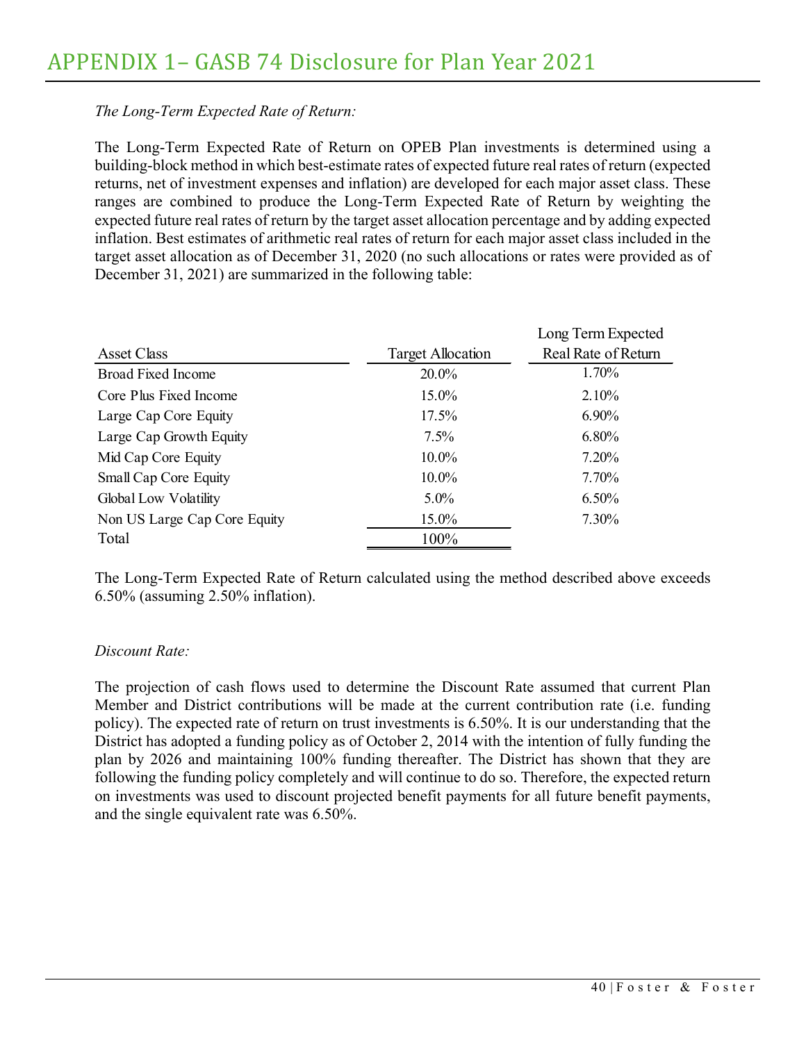# *The Long-Term Expected Rate of Return:*

The Long-Term Expected Rate of Return on OPEB Plan investments is determined using a building-block method in which best-estimate rates of expected future real rates of return (expected returns, net of investment expenses and inflation) are developed for each major asset class. These ranges are combined to produce the Long-Term Expected Rate of Return by weighting the expected future real rates of return by the target asset allocation percentage and by adding expected inflation. Best estimates of arithmetic real rates of return for each major asset class included in the target asset allocation as of December 31, 2020 (no such allocations or rates were provided as of December 31, 2021) are summarized in the following table:

|                              |                          | Long Term Expected  |
|------------------------------|--------------------------|---------------------|
| Asset Class                  | <b>Target Allocation</b> | Real Rate of Return |
| <b>Broad Fixed Income</b>    | 20.0%                    | 1.70%               |
| Core Plus Fixed Income       | 15.0%                    | $2.10\%$            |
| Large Cap Core Equity        | 17.5%                    | $6.90\%$            |
| Large Cap Growth Equity      | $7.5\%$                  | $6.80\%$            |
| Mid Cap Core Equity          | 10.0%                    | $7.20\%$            |
| Small Cap Core Equity        | $10.0\%$                 | 7.70%               |
| Global Low Volatility        | $5.0\%$                  | $6.50\%$            |
| Non US Large Cap Core Equity | 15.0%                    | 7.30%               |
| Total                        | 100%                     |                     |

The Long-Term Expected Rate of Return calculated using the method described above exceeds 6.50% (assuming 2.50% inflation).

## *Discount Rate:*

The projection of cash flows used to determine the Discount Rate assumed that current Plan Member and District contributions will be made at the current contribution rate (i.e. funding policy). The expected rate of return on trust investments is 6.50%. It is our understanding that the District has adopted a funding policy as of October 2, 2014 with the intention of fully funding the plan by 2026 and maintaining 100% funding thereafter. The District has shown that they are following the funding policy completely and will continue to do so. Therefore, the expected return on investments was used to discount projected benefit payments for all future benefit payments, and the single equivalent rate was 6.50%.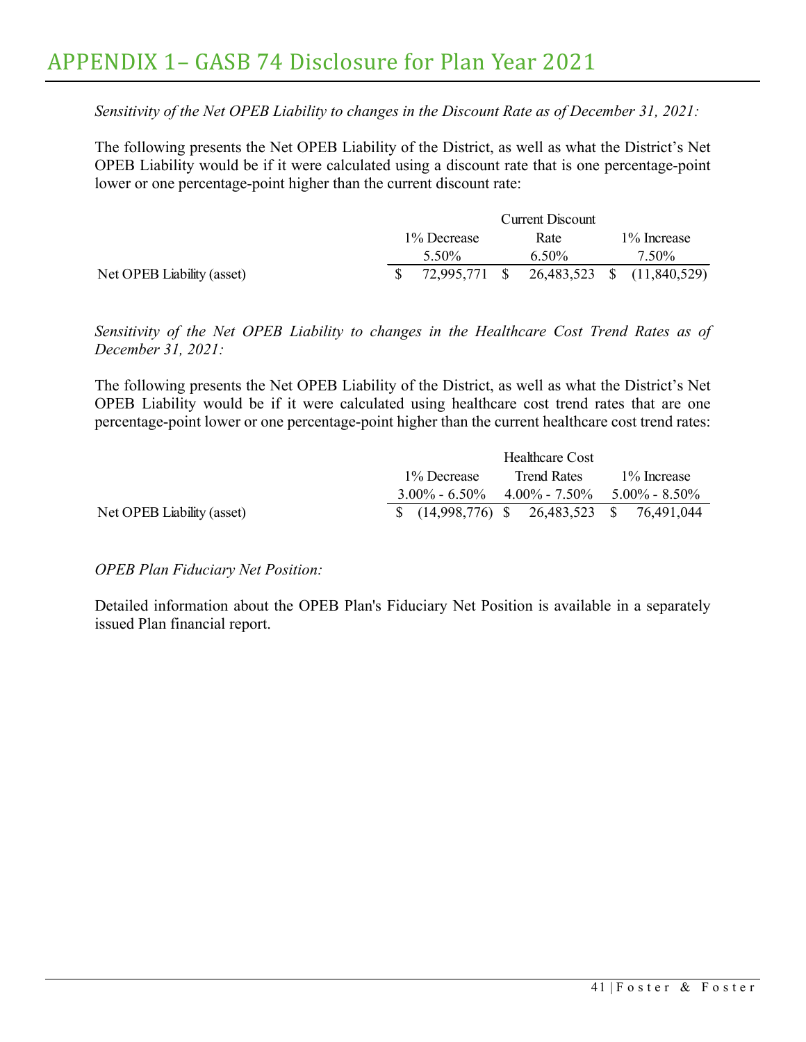*Sensitivity of the Net OPEB Liability to changes in the Discount Rate as of December 31, 2021:*

The following presents the Net OPEB Liability of the District, as well as what the District's Net OPEB Liability would be if it were calculated using a discount rate that is one percentage-point lower or one percentage-point higher than the current discount rate:

|                            |  | Current Discount |          |      |       |                                                          |  |
|----------------------------|--|------------------|----------|------|-------|----------------------------------------------------------|--|
|                            |  | 1\% Decrease     |          | Rate |       | 1\% Increase                                             |  |
|                            |  | 5.50%            | $6.50\%$ |      | 7.50% |                                                          |  |
| Net OPEB Liability (asset) |  |                  |          |      |       | $\frac{1}{2}$ 72,995,771 \, 26,483,523 \, 3 (11,840,529) |  |

*Sensitivity of the Net OPEB Liability to changes in the Healthcare Cost Trend Rates as of December 31, 2021:*

The following presents the Net OPEB Liability of the District, as well as what the District's Net OPEB Liability would be if it were calculated using healthcare cost trend rates that are one percentage-point lower or one percentage-point higher than the current healthcare cost trend rates:

|                            |                                                        | Healthcare Cost    |                                                                       |  |  |  |
|----------------------------|--------------------------------------------------------|--------------------|-----------------------------------------------------------------------|--|--|--|
|                            | 1\% Decrease                                           | <b>Trend Rates</b> | 1\% Increase<br>$3.00\% - 6.50\% - 4.00\% - 7.50\% - 5.00\% - 8.50\%$ |  |  |  |
|                            |                                                        |                    |                                                                       |  |  |  |
| Net OPEB Liability (asset) | $\frac{1}{2}$ (14,998,776) \$ 26,483,523 \$ 76,491,044 |                    |                                                                       |  |  |  |

## *OPEB Plan Fiduciary Net Position:*

Detailed information about the OPEB Plan's Fiduciary Net Position is available in a separately issued Plan financial report.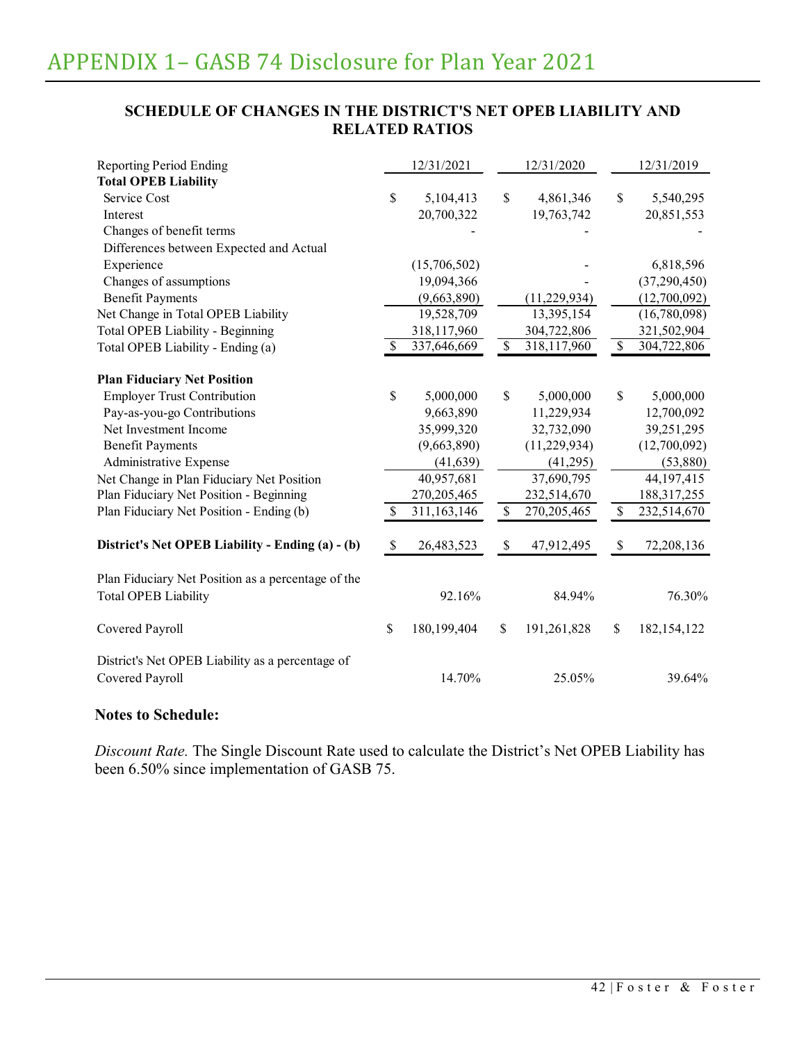# **SCHEDULE OF CHANGES IN THE DISTRICT'S NET OPEB LIABILITY AND RELATED RATIOS**

| <b>Reporting Period Ending</b>                                                    |               | 12/31/2021    |              | 12/31/2020     |              | 12/31/2019     |
|-----------------------------------------------------------------------------------|---------------|---------------|--------------|----------------|--------------|----------------|
| <b>Total OPEB Liability</b>                                                       |               |               |              |                |              |                |
| Service Cost                                                                      | \$            | 5,104,413     | \$           | 4,861,346      | \$           | 5,540,295      |
| Interest                                                                          |               | 20,700,322    |              | 19,763,742     |              | 20,851,553     |
| Changes of benefit terms                                                          |               |               |              |                |              |                |
| Differences between Expected and Actual                                           |               |               |              |                |              |                |
| Experience                                                                        |               | (15,706,502)  |              |                |              | 6,818,596      |
| Changes of assumptions                                                            |               | 19,094,366    |              |                |              | (37, 290, 450) |
| <b>Benefit Payments</b>                                                           |               | (9,663,890)   |              | (11, 229, 934) |              | (12,700,092)   |
| Net Change in Total OPEB Liability                                                |               | 19,528,709    |              | 13,395,154     |              | (16,780,098)   |
| <b>Total OPEB Liability - Beginning</b>                                           |               | 318,117,960   |              | 304,722,806    |              | 321,502,904    |
| Total OPEB Liability - Ending (a)                                                 | <sup>\$</sup> | 337,646,669   | \$           | 318,117,960    | $\mathbb{S}$ | 304,722,806    |
| <b>Plan Fiduciary Net Position</b>                                                |               |               |              |                |              |                |
| <b>Employer Trust Contribution</b>                                                | \$            | 5,000,000     | \$           | 5,000,000      | \$           | 5,000,000      |
| Pay-as-you-go Contributions                                                       |               | 9,663,890     |              | 11,229,934     |              | 12,700,092     |
| Net Investment Income                                                             |               | 35,999,320    |              | 32,732,090     |              | 39,251,295     |
| <b>Benefit Payments</b>                                                           |               | (9,663,890)   |              | (11, 229, 934) |              | (12,700,092)   |
| Administrative Expense                                                            |               | (41, 639)     |              | (41,295)       |              | (53,880)       |
| Net Change in Plan Fiduciary Net Position                                         |               | 40,957,681    |              | 37,690,795     |              | 44,197,415     |
| Plan Fiduciary Net Position - Beginning                                           |               | 270, 205, 465 |              | 232,514,670    |              | 188, 317, 255  |
| Plan Fiduciary Net Position - Ending (b)                                          | \$            | 311,163,146   | $\mathbb{S}$ | 270,205,465    | $\mathbb{S}$ | 232,514,670    |
| District's Net OPEB Liability - Ending (a) - (b)                                  | $\mathbb{S}$  | 26,483,523    | $\mathbb S$  | 47,912,495     | \$           | 72,208,136     |
|                                                                                   |               |               |              |                |              |                |
| Plan Fiduciary Net Position as a percentage of the<br><b>Total OPEB Liability</b> |               | 92.16%        |              | 84.94%         |              | 76.30%         |
| Covered Payroll                                                                   | $\mathbb{S}$  | 180,199,404   | \$           | 191,261,828    | \$           | 182, 154, 122  |
| District's Net OPEB Liability as a percentage of<br>Covered Payroll               |               | 14.70%        |              | 25.05%         |              | 39.64%         |

### **Notes to Schedule:**

*Discount Rate.* The Single Discount Rate used to calculate the District's Net OPEB Liability has been 6.50% since implementation of GASB 75.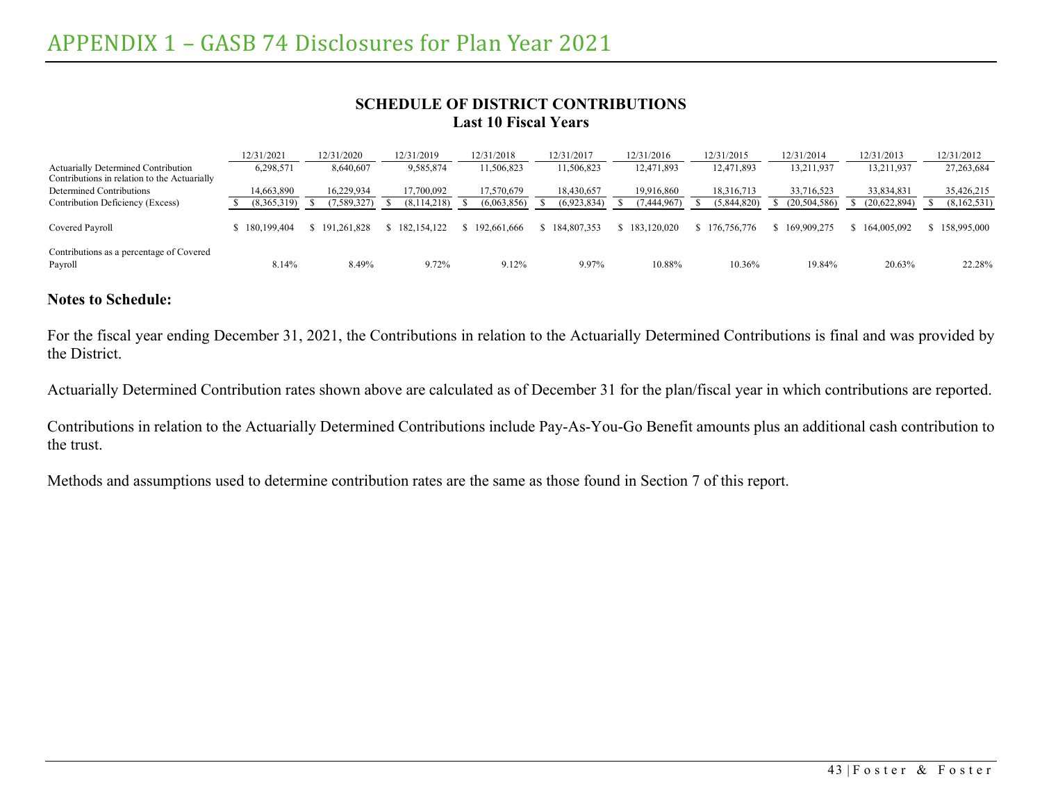### **SCHEDULE OF DISTRICT CONTRIBUTIONS Last 10 Fiscal Years**

|                                                                                     | 12/31/2021    | 12/31/2020  | 12/31/2019    | 12/31/2018  | 12/31/2017  | 12/31/2016    | 12/31/2015  | 12/31/2014  | 12/31/2013   | 12/31/2012    |
|-------------------------------------------------------------------------------------|---------------|-------------|---------------|-------------|-------------|---------------|-------------|-------------|--------------|---------------|
| Actuarially Determined Contribution<br>Contributions in relation to the Actuarially | 6,298,571     | 8,640,607   | 9,585,874     | 11,506,823  | 1,506,823   | 12,471,893    | 12,471,893  | 13,211,937  | 13,211,937   | 27, 263, 684  |
| Determined Contributions                                                            | 14,663,890    | 16.229.934  | 17,700,092    | 7,570,679   | 18,430,657  | 19.916.860    | 18,316,713  | 33,716,523  | 33,834,831   | 35,426,215    |
| Contribution Deficiency (Excess)                                                    | (8,365,319)   | 7,589,327)  | (8, 114, 218) | (6,063,856) | (6,923,834) | 7,444,967)    | (5,844,820) | 20,504,586) | (20,622,894) | (8,162,531)   |
| Covered Payroll                                                                     | \$180,199,404 | 191.261.828 | 182, 154, 122 | 192,661,666 | 184,807,353 | \$183,120,020 | 176,756,776 | 169,909,275 | 164,005,092  | \$158,995,000 |
| Contributions as a percentage of Covered<br>Payroll                                 | 8.14%         | 8.49%       | 9.72%         | 9.12%       | 9.97%       | 10.88%        | 10.36%      | 19.84%      | 20.63%       | 22.28%        |

# **Notes to Schedule:**

For the fiscal year ending December 31, 2021, the Contributions in relation to the Actuarially Determined Contributions is final and was provided by the District.

Actuarially Determined Contribution rates shown above are calculated as of December 31 for the plan/fiscal year in which contributions are reported.

Contributions in relation to the Actuarially Determined Contributions include Pay-As-You-Go Benefit amounts plus an additional cash contribution to the trust.

Methods and assumptions used to determine contribution rates are the same as those found in Section 7 of this report.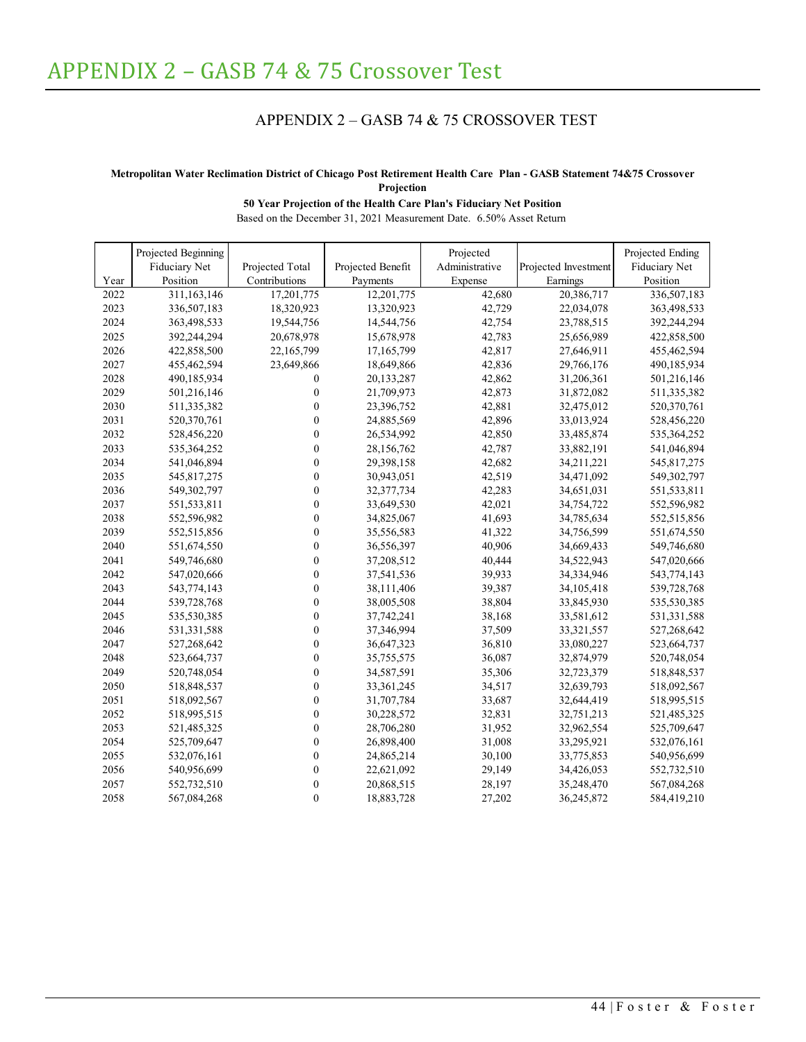# APPENDIX 2 – GASB 74 & 75 CROSSOVER TEST

#### <span id="page-48-0"></span>**Metropolitan Water Reclimation District of Chicago Post Retirement Health Care Plan - GASB Statement 74&75 Crossover Projection**

#### **50 Year Projection of the Health Care Plan's Fiduciary Net Position**

Based on the December 31, 2021 Measurement Date. 6.50% Asset Return

|      | Projected Beginning |                  |                   | Projected      |                      | Projected Ending |
|------|---------------------|------------------|-------------------|----------------|----------------------|------------------|
|      | Fiduciary Net       | Projected Total  | Projected Benefit | Administrative | Projected Investment | Fiduciary Net    |
| Year | Position            | Contributions    | Payments          | Expense        | Earnings             | Position         |
| 2022 | 311,163,146         | 17,201,775       | 12,201,775        | 42,680         | 20,386,717           | 336,507,183      |
| 2023 | 336,507,183         | 18,320,923       | 13,320,923        | 42,729         | 22,034,078           | 363,498,533      |
| 2024 | 363,498,533         | 19,544,756       | 14,544,756        | 42,754         | 23,788,515           | 392,244,294      |
| 2025 | 392,244,294         | 20,678,978       | 15,678,978        | 42,783         | 25,656,989           | 422,858,500      |
| 2026 | 422,858,500         | 22,165,799       | 17,165,799        | 42,817         | 27,646,911           | 455,462,594      |
| 2027 | 455,462,594         | 23,649,866       | 18,649,866        | 42,836         | 29,766,176           | 490,185,934      |
| 2028 | 490,185,934         | 0                | 20,133,287        | 42,862         | 31,206,361           | 501,216,146      |
| 2029 | 501,216,146         | $\boldsymbol{0}$ | 21,709,973        | 42,873         | 31,872,082           | 511,335,382      |
| 2030 | 511,335,382         | $\boldsymbol{0}$ | 23,396,752        | 42,881         | 32,475,012           | 520,370,761      |
| 2031 | 520,370,761         | $\boldsymbol{0}$ | 24,885,569        | 42,896         | 33,013,924           | 528,456,220      |
| 2032 | 528,456,220         | $\overline{0}$   | 26,534,992        | 42,850         | 33,485,874           | 535,364,252      |
| 2033 | 535,364,252         | $\boldsymbol{0}$ | 28,156,762        | 42,787         | 33,882,191           | 541,046,894      |
| 2034 | 541,046,894         | $\boldsymbol{0}$ | 29,398,158        | 42,682         | 34,211,221           | 545,817,275      |
| 2035 | 545,817,275         | $\mathbf{0}$     | 30,943,051        | 42,519         | 34,471,092           | 549,302,797      |
| 2036 | 549,302,797         | $\mathbf{0}$     | 32,377,734        | 42,283         | 34,651,031           | 551,533,811      |
| 2037 | 551,533,811         | $\boldsymbol{0}$ | 33,649,530        | 42,021         | 34,754,722           | 552,596,982      |
| 2038 | 552,596,982         | $\boldsymbol{0}$ | 34,825,067        | 41,693         | 34,785,634           | 552,515,856      |
| 2039 | 552,515,856         | $\boldsymbol{0}$ | 35,556,583        | 41,322         | 34,756,599           | 551,674,550      |
| 2040 | 551,674,550         | $\boldsymbol{0}$ | 36,556,397        | 40,906         | 34,669,433           | 549,746,680      |
| 2041 | 549,746,680         | $\mathbf{0}$     | 37,208,512        | 40,444         | 34,522,943           | 547,020,666      |
| 2042 | 547,020,666         | $\mathbf{0}$     | 37,541,536        | 39,933         | 34,334,946           | 543,774,143      |
| 2043 | 543,774,143         | $\boldsymbol{0}$ | 38,111,406        | 39,387         | 34,105,418           | 539,728,768      |
| 2044 | 539,728,768         | $\boldsymbol{0}$ | 38,005,508        | 38,804         | 33,845,930           | 535,530,385      |
| 2045 | 535,530,385         | $\boldsymbol{0}$ | 37,742,241        | 38,168         | 33,581,612           | 531,331,588      |
| 2046 | 531,331,588         | $\boldsymbol{0}$ | 37,346,994        | 37,509         | 33,321,557           | 527,268,642      |
| 2047 | 527,268,642         | $\mathbf{0}$     | 36,647,323        | 36,810         | 33,080,227           | 523,664,737      |
| 2048 | 523,664,737         | $\boldsymbol{0}$ | 35,755,575        | 36,087         | 32,874,979           | 520,748,054      |
| 2049 | 520,748,054         | $\mathbf{0}$     | 34,587,591        | 35,306         | 32,723,379           | 518,848,537      |
| 2050 | 518,848,537         | $\mathbf{0}$     | 33, 361, 245      | 34,517         | 32,639,793           | 518,092,567      |
| 2051 | 518,092,567         | $\boldsymbol{0}$ | 31,707,784        | 33,687         | 32,644,419           | 518,995,515      |
| 2052 | 518,995,515         | $\boldsymbol{0}$ | 30,228,572        | 32,831         | 32,751,213           | 521,485,325      |
| 2053 | 521,485,325         | $\mathbf{0}$     | 28,706,280        | 31,952         | 32,962,554           | 525,709,647      |
| 2054 | 525,709,647         | $\mathbf{0}$     | 26,898,400        | 31,008         | 33,295,921           | 532,076,161      |
| 2055 | 532,076,161         | $\boldsymbol{0}$ | 24,865,214        | 30,100         | 33,775,853           | 540,956,699      |
| 2056 | 540,956,699         | $\mathbf{0}$     | 22,621,092        | 29,149         | 34,426,053           | 552,732,510      |
| 2057 | 552,732,510         | $\boldsymbol{0}$ | 20,868,515        | 28,197         | 35,248,470           | 567,084,268      |
| 2058 | 567,084,268         | $\boldsymbol{0}$ | 18,883,728        | 27,202         | 36,245,872           | 584,419,210      |